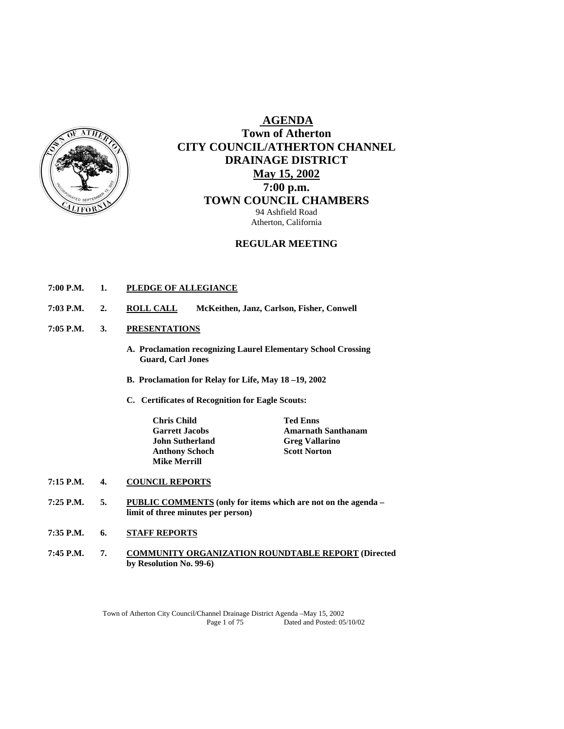

# **AGENDA Town of Atherton CITY COUNCIL/ATHERTON CHANNEL DRAINAGE DISTRICT May 15, 2002 7:00 p.m. TOWN COUNCIL CHAMBERS** 94 Ashfield Road

Atherton, California

## **REGULAR MEETING**

## **7:00 P.M. 1. PLEDGE OF ALLEGIANCE**

- **7:03 P.M. 2. ROLL CALL McKeithen, Janz, Carlson, Fisher, Conwell**
- **7:05 P.M. 3. PRESENTATIONS**
	- **A. Proclamation recognizing Laurel Elementary School Crossing Guard, Carl Jones**
	- **B. Proclamation for Relay for Life, May 18 –19, 2002**
	- **C. Certificates of Recognition for Eagle Scouts:**

 **Chris Child Ted Enns John Sutherland Greg Vallarino Anthony Schoch Scott Norton Mike Merrill** 

**Garrett Jacobs Amarnath Santhanam** 

#### **7:15 P.M. 4. COUNCIL REPORTS**

- **7:25 P.M. 5. PUBLIC COMMENTS (only for items which are not on the agenda limit of three minutes per person)**
- **7:35 P.M. 6. STAFF REPORTS**
- **7:45 P.M. 7. COMMUNITY ORGANIZATION ROUNDTABLE REPORT (Directed by Resolution No. 99-6)**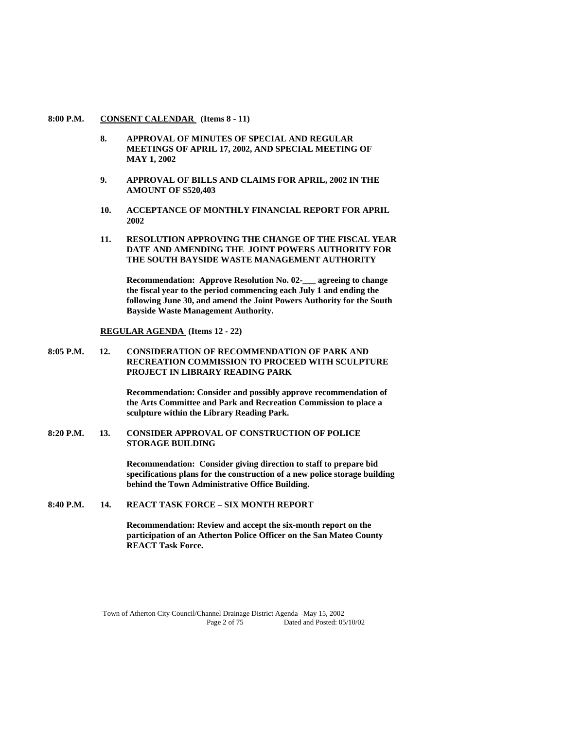#### **8:00 P.M. CONSENT CALENDAR (Items 8 - 11)**

- **8. APPROVAL OF MINUTES OF SPECIAL AND REGULAR MEETINGS OF APRIL 17, 2002, AND SPECIAL MEETING OF MAY 1, 2002**
- **9. APPROVAL OF BILLS AND CLAIMS FOR APRIL, 2002 IN THE AMOUNT OF \$520,403**
- **10. ACCEPTANCE OF MONTHLY FINANCIAL REPORT FOR APRIL 2002**
- **11. RESOLUTION APPROVING THE CHANGE OF THE FISCAL YEAR DATE AND AMENDING THE JOINT POWERS AUTHORITY FOR THE SOUTH BAYSIDE WASTE MANAGEMENT AUTHORITY**

 **Recommendation: Approve Resolution No. 02-\_\_\_ agreeing to change the fiscal year to the period commencing each July 1 and ending the following June 30, and amend the Joint Powers Authority for the South Bayside Waste Management Authority.** 

#### **REGULAR AGENDA (Items 12 - 22)**

#### **8:05 P.M. 12. CONSIDERATION OF RECOMMENDATION OF PARK AND RECREATION COMMISSION TO PROCEED WITH SCULPTURE PROJECT IN LIBRARY READING PARK**

 **Recommendation: Consider and possibly approve recommendation of the Arts Committee and Park and Recreation Commission to place a sculpture within the Library Reading Park.** 

**8:20 P.M. 13. CONSIDER APPROVAL OF CONSTRUCTION OF POLICE STORAGE BUILDING** 

> **Recommendation: Consider giving direction to staff to prepare bid specifications plans for the construction of a new police storage building behind the Town Administrative Office Building.**

### **8:40 P.M. 14. REACT TASK FORCE – SIX MONTH REPORT**

 **Recommendation: Review and accept the six-month report on the participation of an Atherton Police Officer on the San Mateo County REACT Task Force.**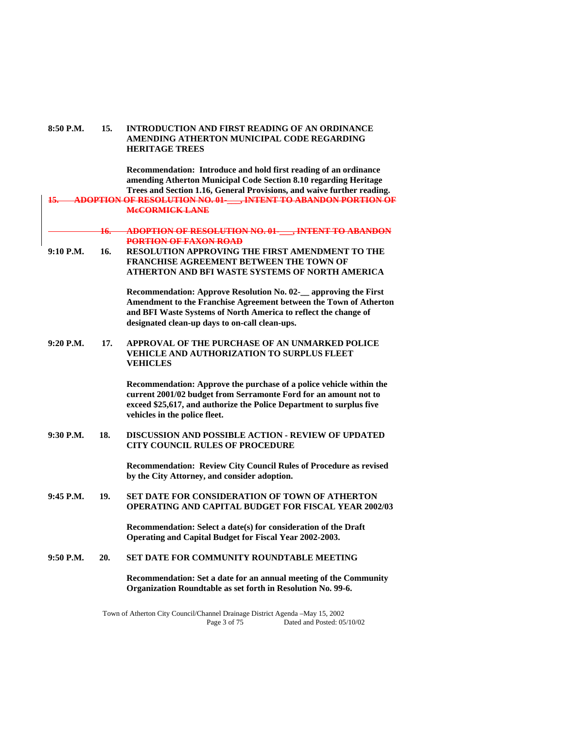#### **8:50 P.M. 15. INTRODUCTION AND FIRST READING OF AN ORDINANCE AMENDING ATHERTON MUNICIPAL CODE REGARDING HERITAGE TREES**

 **Recommendation: Introduce and hold first reading of an ordinance amending Atherton Municipal Code Section 8.10 regarding Heritage Trees and Section 1.16, General Provisions, and waive further reading. 15. ADOPTION OF RESOLUTION NO. 01-\_\_\_, INTENT TO ABANDON PORTION OF McCORMICK LANE 16. ADOPTION OF RESOLUTION NO. 01-\_\_\_, INTENT TO ABANDON PORTION OF FAXON ROAD 9:10 P.M. 16. RESOLUTION APPROVING THE FIRST AMENDMENT TO THE FRANCHISE AGREEMENT BETWEEN THE TOWN OF ATHERTON AND BFI WASTE SYSTEMS OF NORTH AMERICA Recommendation: Approve Resolution No. 02-\_\_ approving the First Amendment to the Franchise Agreement between the Town of Atherton and BFI Waste Systems of North America to reflect the change of designated clean-up days to on-call clean-ups. 9:20 P.M. 17. APPROVAL OF THE PURCHASE OF AN UNMARKED POLICE VEHICLE AND AUTHORIZATION TO SURPLUS FLEET VEHICLES Recommendation: Approve the purchase of a police vehicle within the current 2001/02 budget from Serramonte Ford for an amount not to exceed \$25,617, and authorize the Police Department to surplus five vehicles in the police fleet. 9:30 P.M. 18. DISCUSSION AND POSSIBLE ACTION - REVIEW OF UPDATED CITY COUNCIL RULES OF PROCEDURE Recommendation: Review City Council Rules of Procedure as revised by the City Attorney, and consider adoption. 9:45 P.M. 19. SET DATE FOR CONSIDERATION OF TOWN OF ATHERTON OPERATING AND CAPITAL BUDGET FOR FISCAL YEAR 2002/03 Recommendation: Select a date(s) for consideration of the Draft Operating and Capital Budget for Fiscal Year 2002-2003. 9:50 P.M. 20. SET DATE FOR COMMUNITY ROUNDTABLE MEETING Recommendation: Set a date for an annual meeting of the Community Organization Roundtable as set forth in Resolution No. 99-6.**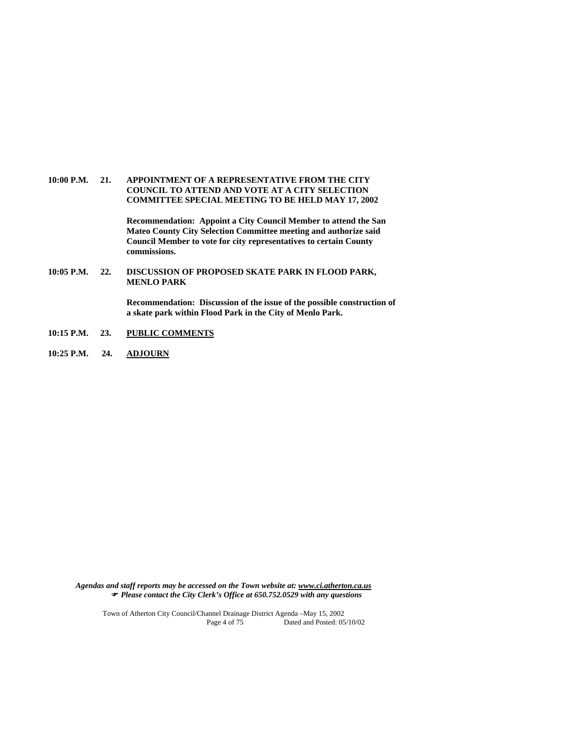#### **10:00 P.M. 21. APPOINTMENT OF A REPRESENTATIVE FROM THE CITY COUNCIL TO ATTEND AND VOTE AT A CITY SELECTION COMMITTEE SPECIAL MEETING TO BE HELD MAY 17, 2002**

 **Recommendation: Appoint a City Council Member to attend the San Mateo County City Selection Committee meeting and authorize said Council Member to vote for city representatives to certain County commissions.** 

**10:05 P.M. 22. DISCUSSION OF PROPOSED SKATE PARK IN FLOOD PARK, MENLO PARK** 

> **Recommendation: Discussion of the issue of the possible construction of a skate park within Flood Park in the City of Menlo Park.**

- **10:15 P.M. 23. PUBLIC COMMENTS**
- **10:25 P.M. 24. ADJOURN**

*Agendas and staff reports may be accessed on the Town website at: www.ci.atherton.ca.us Please contact the City Clerk's Office at 650.752.0529 with any questions*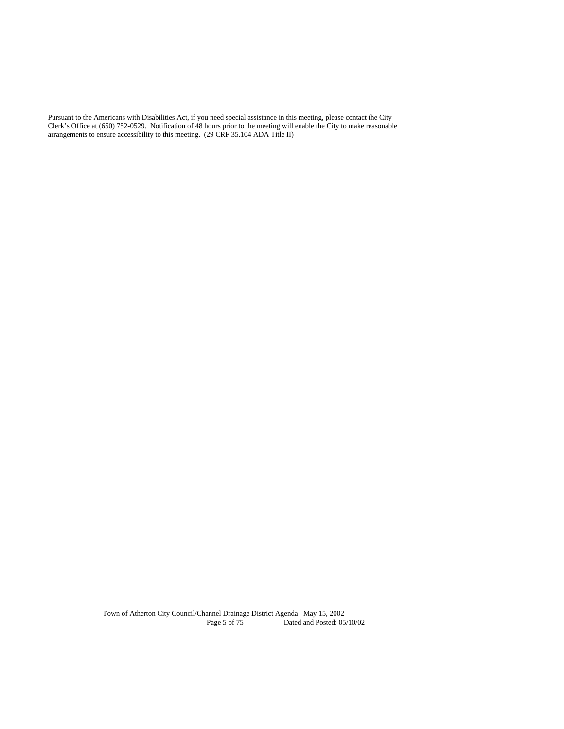Pursuant to the Americans with Disabilities Act, if you need special assistance in this meeting, please contact the City Clerk's Office at (650) 752-0529. Notification of 48 hours prior to the meeting will enable the City to make reasonable arrangements to ensure accessibility to this meeting. (29 CRF 35.104 ADA Title II)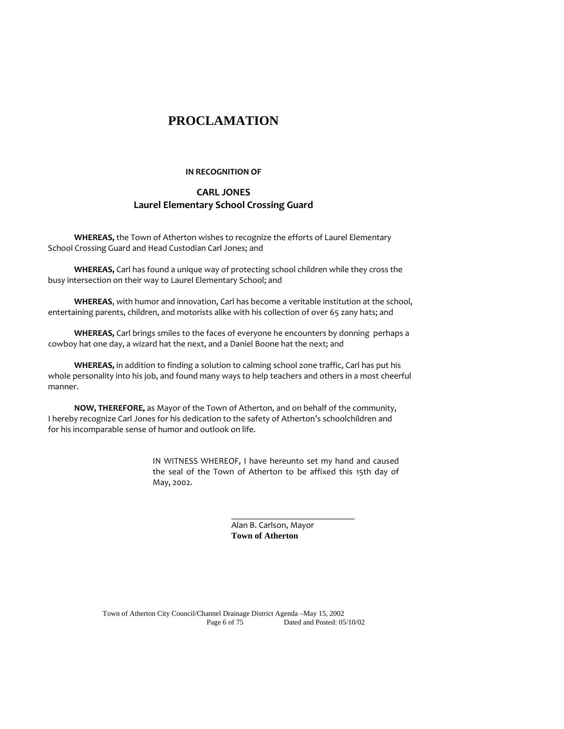# **PROCLAMATION**

#### **IN RECOGNITION OF**

# **CARL JONES Laurel Elementary School Crossing Guard**

**WHEREAS,** the Town of Atherton wishes to recognize the efforts of Laurel Elementary School Crossing Guard and Head Custodian Carl Jones; and

**WHEREAS,** Carl has found a unique way of protecting school children while they cross the busy intersection on their way to Laurel Elementary School; and

**WHEREAS**, with humor and innovation, Carl has become a veritable institution at the school, entertaining parents, children, and motorists alike with his collection of over 65 zany hats; and

**WHEREAS,** Carl brings smiles to the faces of everyone he encounters by donning perhaps a cowboy hat one day, a wizard hat the next, and a Daniel Boone hat the next; and

**WHEREAS,** in addition to finding a solution to calming school zone traffic, Carl has put his whole personality into his job, and found many ways to help teachers and others in a most cheerful manner.

**NOW, THEREFORE,** as Mayor of the Town of Atherton, and on behalf of the community, I hereby recognize Carl Jones for his dedication to the safety of Atherton's schoolchildren and for his incomparable sense of humor and outlook on life.

 $\_$ 

IN WITNESS WHEREOF, I have hereunto set my hand and caused the seal of the Town of Atherton to be affixed this 15th day of May, 2002.

> Alan B. Carlson, Mayor  **Town of Atherton**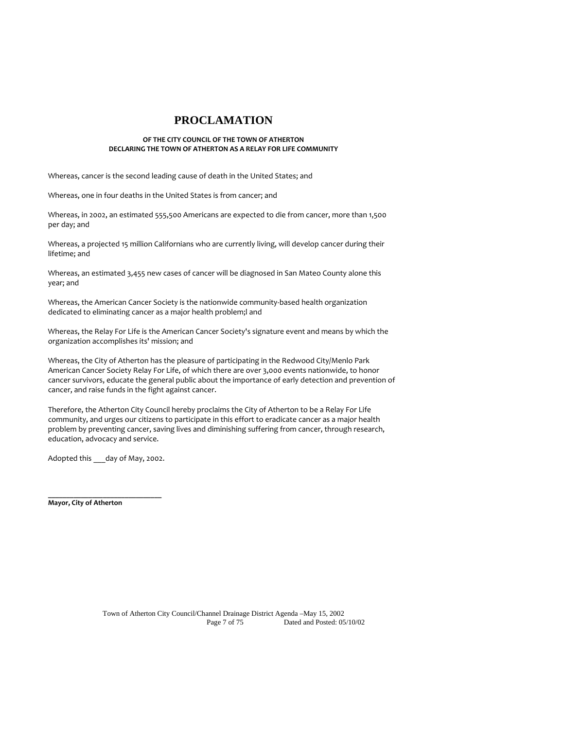# **PROCLAMATION**

#### **OF THE CITY COUNCIL OF THE TOWN OF ATHERTON DECLARING THE TOWN OF ATHERTON AS A RELAY FOR LIFE COMMUNITY**

Whereas, cancer is the second leading cause of death in the United States; and

Whereas, one in four deaths in the United States is from cancer; and

Whereas, in 2002, an estimated 555,500 Americans are expected to die from cancer, more than 1,500 per day; and

Whereas, a projected 15 million Californians who are currently living, will develop cancer during their lifetime; and

Whereas, an estimated 3,455 new cases of cancer will be diagnosed in San Mateo County alone this year; and

Whereas, the American Cancer Society is the nationwide community-based health organization dedicated to eliminating cancer as a major health problem;l and

Whereas, the Relay For Life is the American Cancer Society's signature event and means by which the organization accomplishes its' mission; and

Whereas, the City of Atherton has the pleasure of participating in the Redwood City/Menlo Park American Cancer Society Relay For Life, of which there are over 3,000 events nationwide, to honor cancer survivors, educate the general public about the importance of early detection and prevention of cancer, and raise funds in the fight against cancer.

Therefore, the Atherton City Council hereby proclaims the City of Atherton to be a Relay For Life community, and urges our citizens to participate in this effort to eradicate cancer as a major health problem by preventing cancer, saving lives and diminishing suffering from cancer, through research, education, advocacy and service.

Adopted this day of May, 2002.

**\_\_\_\_\_\_\_\_\_\_\_\_\_\_\_\_\_\_\_\_\_\_\_\_\_\_\_\_\_\_\_ Mayor, City of Atherton**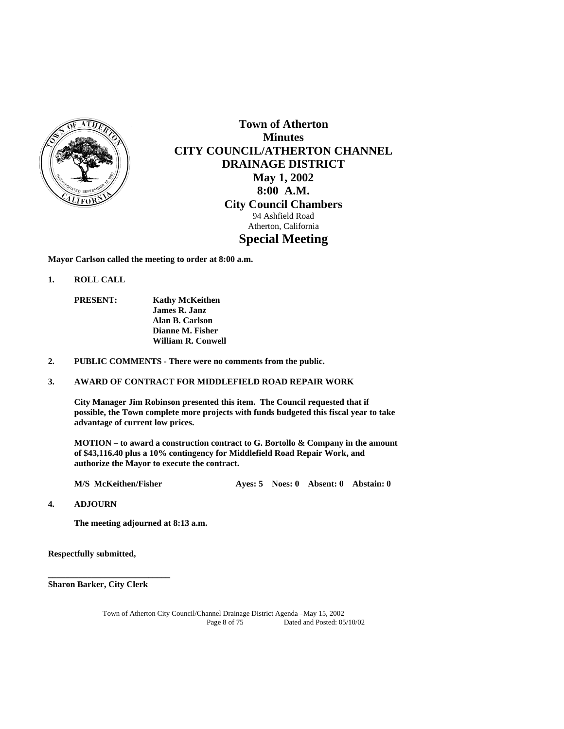

**Town of Atherton Minutes CITY COUNCIL/ATHERTON CHANNEL DRAINAGE DISTRICT May 1, 2002 8:00 A.M. City Council Chambers**  94 Ashfield Road Atherton, California **Special Meeting** 

**Mayor Carlson called the meeting to order at 8:00 a.m.** 

- **1. ROLL CALL** 
	- **PRESENT: Kathy McKeithen James R. Janz Alan B. Carlson Dianne M. Fisher William R. Conwell**
- **2. PUBLIC COMMENTS There were no comments from the public.**

#### **3. AWARD OF CONTRACT FOR MIDDLEFIELD ROAD REPAIR WORK**

 **City Manager Jim Robinson presented this item. The Council requested that if possible, the Town complete more projects with funds budgeted this fiscal year to take advantage of current low prices.** 

 **MOTION – to award a construction contract to G. Bortollo & Company in the amount of \$43,116.40 plus a 10% contingency for Middlefield Road Repair Work, and authorize the Mayor to execute the contract.** 

 **M/S McKeithen/Fisher Ayes: 5 Noes: 0 Absent: 0 Abstain: 0** 

**4. ADJOURN** 

 **The meeting adjourned at 8:13 a.m.** 

**Respectfully submitted,** 

**Sharon Barker, City Clerk**

**\_\_\_\_\_\_\_\_\_\_\_\_\_\_\_\_\_\_\_\_\_\_\_\_\_\_\_\_**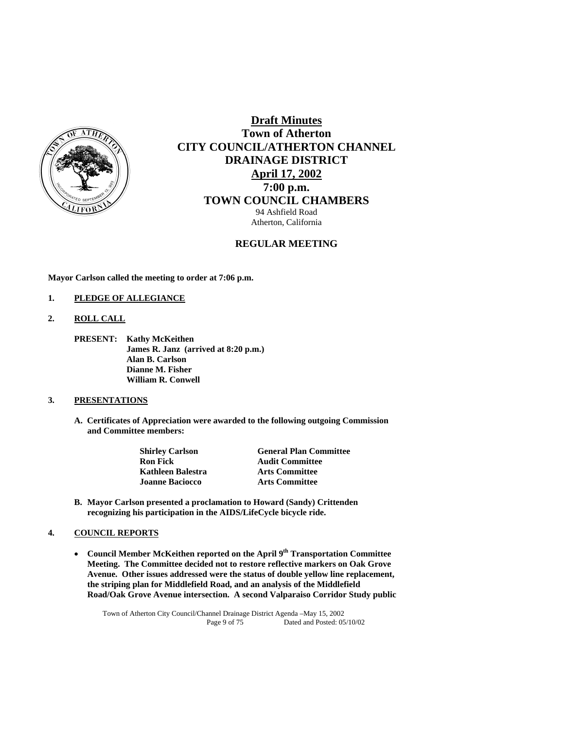

# **Draft Minutes Town of Atherton CITY COUNCIL/ATHERTON CHANNEL DRAINAGE DISTRICT April 17, 2002 7:00 p.m. TOWN COUNCIL CHAMBERS** 94 Ashfield Road

Atherton, California

# **REGULAR MEETING**

**Mayor Carlson called the meeting to order at 7:06 p.m.** 

#### **1. PLEDGE OF ALLEGIANCE**

- **2. ROLL CALL** 
	- **PRESENT: Kathy McKeithen James R. Janz (arrived at 8:20 p.m.) Alan B. Carlson Dianne M. Fisher William R. Conwell**

#### **3. PRESENTATIONS**

 **A. Certificates of Appreciation were awarded to the following outgoing Commission and Committee members:** 

| <b>Shirley Carlson</b> | <b>General Plan Committee</b> |
|------------------------|-------------------------------|
| <b>Ron Fick</b>        | <b>Audit Committee</b>        |
| Kathleen Balestra      | <b>Arts Committee</b>         |
| <b>Joanne Baciocco</b> | <b>Arts Committee</b>         |

**B. Mayor Carlson presented a proclamation to Howard (Sandy) Crittenden recognizing his participation in the AIDS/LifeCycle bicycle ride.** 

### **4. COUNCIL REPORTS**

**Council Member McKeithen reported on the April 9<sup>th</sup> Transportation Committee Meeting. The Committee decided not to restore reflective markers on Oak Grove Avenue. Other issues addressed were the status of double yellow line replacement, the striping plan for Middlefield Road, and an analysis of the Middlefield Road/Oak Grove Avenue intersection. A second Valparaiso Corridor Study public**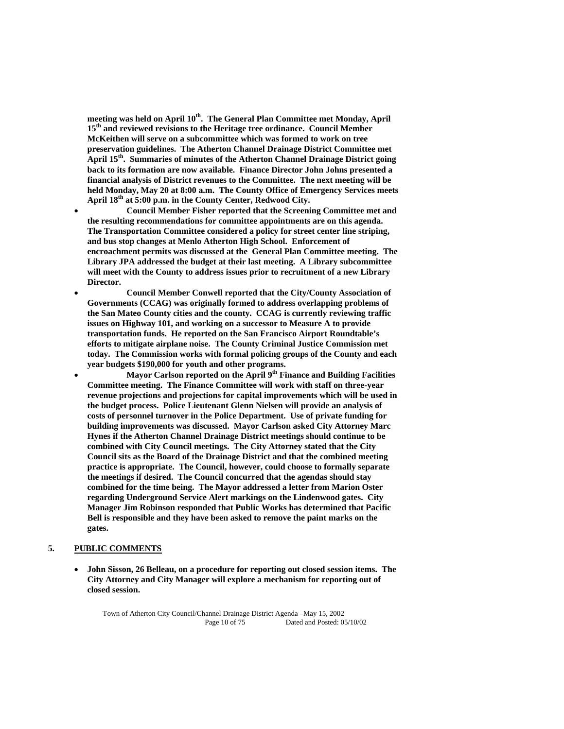meeting was held on April 10<sup>th</sup>. The General Plan Committee met Monday, April **15th and reviewed revisions to the Heritage tree ordinance. Council Member McKeithen will serve on a subcommittee which was formed to work on tree preservation guidelines. The Atherton Channel Drainage District Committee met April 15th. Summaries of minutes of the Atherton Channel Drainage District going back to its formation are now available. Finance Director John Johns presented a financial analysis of District revenues to the Committee. The next meeting will be held Monday, May 20 at 8:00 a.m. The County Office of Emergency Services meets April 18th at 5:00 p.m. in the County Center, Redwood City.** 

 **Council Member Fisher reported that the Screening Committee met and the resulting recommendations for committee appointments are on this agenda. The Transportation Committee considered a policy for street center line striping, and bus stop changes at Menlo Atherton High School. Enforcement of encroachment permits was discussed at the General Plan Committee meeting. The Library JPA addressed the budget at their last meeting. A Library subcommittee will meet with the County to address issues prior to recruitment of a new Library Director.** 

 **Council Member Conwell reported that the City/County Association of Governments (CCAG) was originally formed to address overlapping problems of the San Mateo County cities and the county. CCAG is currently reviewing traffic issues on Highway 101, and working on a successor to Measure A to provide transportation funds. He reported on the San Francisco Airport Roundtable's efforts to mitigate airplane noise. The County Criminal Justice Commission met today. The Commission works with formal policing groups of the County and each year budgets \$190,000 for youth and other programs.** 

 **Mayor Carlson reported on the April 9th Finance and Building Facilities Committee meeting. The Finance Committee will work with staff on three-year revenue projections and projections for capital improvements which will be used in the budget process. Police Lieutenant Glenn Nielsen will provide an analysis of costs of personnel turnover in the Police Department. Use of private funding for building improvements was discussed. Mayor Carlson asked City Attorney Marc Hynes if the Atherton Channel Drainage District meetings should continue to be combined with City Council meetings. The City Attorney stated that the City Council sits as the Board of the Drainage District and that the combined meeting practice is appropriate. The Council, however, could choose to formally separate the meetings if desired. The Council concurred that the agendas should stay combined for the time being. The Mayor addressed a letter from Marion Oster regarding Underground Service Alert markings on the Lindenwood gates. City Manager Jim Robinson responded that Public Works has determined that Pacific Bell is responsible and they have been asked to remove the paint marks on the gates.** 

#### **5. PUBLIC COMMENTS**

 **John Sisson, 26 Belleau, on a procedure for reporting out closed session items. The City Attorney and City Manager will explore a mechanism for reporting out of closed session.**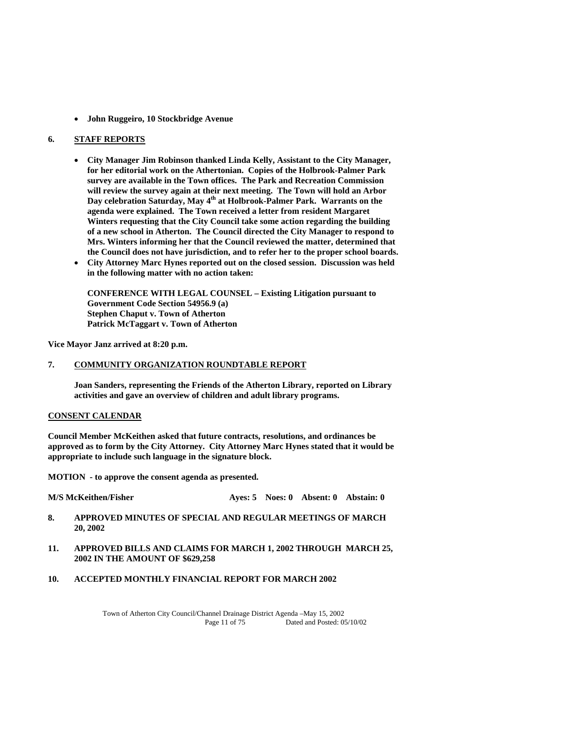**John Ruggeiro, 10 Stockbridge Avenue** 

#### **6. STAFF REPORTS**

- **City Manager Jim Robinson thanked Linda Kelly, Assistant to the City Manager, for her editorial work on the Athertonian. Copies of the Holbrook-Palmer Park survey are available in the Town offices. The Park and Recreation Commission will review the survey again at their next meeting. The Town will hold an Arbor Day celebration Saturday, May 4th at Holbrook-Palmer Park. Warrants on the agenda were explained. The Town received a letter from resident Margaret Winters requesting that the City Council take some action regarding the building of a new school in Atherton. The Council directed the City Manager to respond to Mrs. Winters informing her that the Council reviewed the matter, determined that the Council does not have jurisdiction, and to refer her to the proper school boards.**
- **City Attorney Marc Hynes reported out on the closed session. Discussion was held in the following matter with no action taken:**

**CONFERENCE WITH LEGAL COUNSEL – Existing Litigation pursuant to Government Code Section 54956.9 (a) Stephen Chaput v. Town of Atherton Patrick McTaggart v. Town of Atherton** 

**Vice Mayor Janz arrived at 8:20 p.m.** 

### **7. COMMUNITY ORGANIZATION ROUNDTABLE REPORT**

**Joan Sanders, representing the Friends of the Atherton Library, reported on Library activities and gave an overview of children and adult library programs.** 

#### **CONSENT CALENDAR**

**Council Member McKeithen asked that future contracts, resolutions, and ordinances be approved as to form by the City Attorney. City Attorney Marc Hynes stated that it would be appropriate to include such language in the signature block.** 

**MOTION - to approve the consent agenda as presented.** 

**M/S McKeithen/Fisher Ayes: 5 Noes: 0 Absent: 0 Abstain: 0** 

- **8. APPROVED MINUTES OF SPECIAL AND REGULAR MEETINGS OF MARCH 20, 2002**
- **11. APPROVED BILLS AND CLAIMS FOR MARCH 1, 2002 THROUGH MARCH 25, 2002 IN THE AMOUNT OF \$629,258**
- **10. ACCEPTED MONTHLY FINANCIAL REPORT FOR MARCH 2002**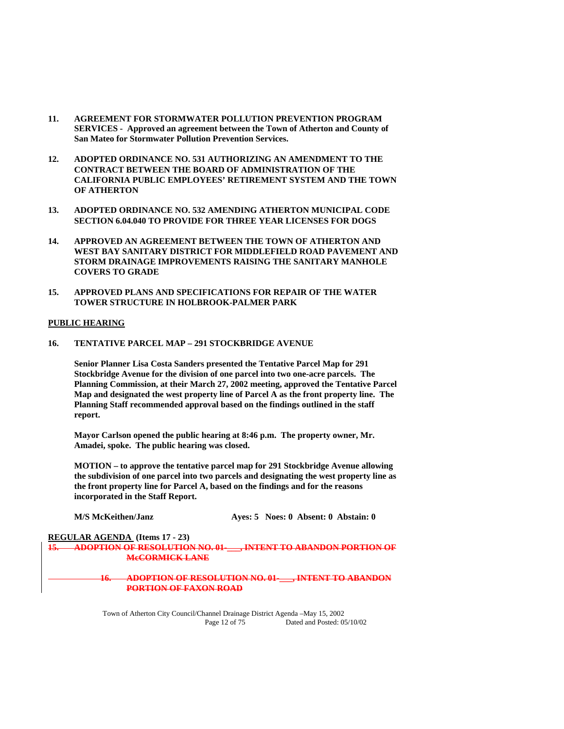- **11. AGREEMENT FOR STORMWATER POLLUTION PREVENTION PROGRAM SERVICES - Approved an agreement between the Town of Atherton and County of San Mateo for Stormwater Pollution Prevention Services.**
- **12. ADOPTED ORDINANCE NO. 531 AUTHORIZING AN AMENDMENT TO THE CONTRACT BETWEEN THE BOARD OF ADMINISTRATION OF THE CALIFORNIA PUBLIC EMPLOYEES' RETIREMENT SYSTEM AND THE TOWN OF ATHERTON**
- **13. ADOPTED ORDINANCE NO. 532 AMENDING ATHERTON MUNICIPAL CODE SECTION 6.04.040 TO PROVIDE FOR THREE YEAR LICENSES FOR DOGS**
- **14. APPROVED AN AGREEMENT BETWEEN THE TOWN OF ATHERTON AND WEST BAY SANITARY DISTRICT FOR MIDDLEFIELD ROAD PAVEMENT AND STORM DRAINAGE IMPROVEMENTS RAISING THE SANITARY MANHOLE COVERS TO GRADE**
- **15. APPROVED PLANS AND SPECIFICATIONS FOR REPAIR OF THE WATER TOWER STRUCTURE IN HOLBROOK-PALMER PARK**

#### **PUBLIC HEARING**

**16. TENTATIVE PARCEL MAP – 291 STOCKBRIDGE AVENUE** 

 **Senior Planner Lisa Costa Sanders presented the Tentative Parcel Map for 291 Stockbridge Avenue for the division of one parcel into two one-acre parcels. The Planning Commission, at their March 27, 2002 meeting, approved the Tentative Parcel Map and designated the west property line of Parcel A as the front property line. The Planning Staff recommended approval based on the findings outlined in the staff report.** 

 **Mayor Carlson opened the public hearing at 8:46 p.m. The property owner, Mr. Amadei, spoke. The public hearing was closed.** 

 **MOTION – to approve the tentative parcel map for 291 Stockbridge Avenue allowing the subdivision of one parcel into two parcels and designating the west property line as the front property line for Parcel A, based on the findings and for the reasons incorporated in the Staff Report.** 

| Aves: 5 Noes: 0 Absent: 0 Abstain: 0 |  | <b>M/S McKeithen/Janz</b> |  |  |  |  |
|--------------------------------------|--|---------------------------|--|--|--|--|
|--------------------------------------|--|---------------------------|--|--|--|--|

#### **REGULAR AGENDA (Items 17 - 23) 15. ADOPTION OF RESOLUTION NO. 01-\_\_\_, INTENT TO ABANDON PORTION OF McCORMICK LANE**

#### **16. ADOPTION OF RESOLUTION NO. 01-\_\_\_, INTENT TO ABANDON PORTION OF FAXON ROAD**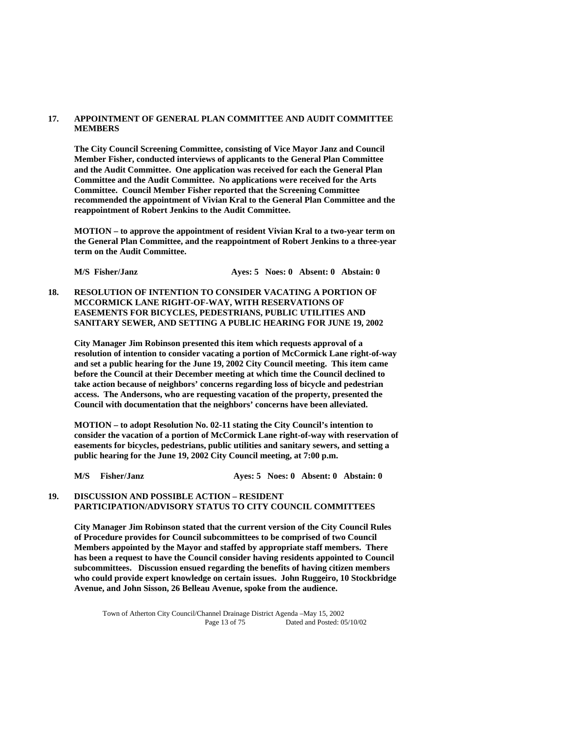#### **17. APPOINTMENT OF GENERAL PLAN COMMITTEE AND AUDIT COMMITTEE MEMBERS**

 **The City Council Screening Committee, consisting of Vice Mayor Janz and Council Member Fisher, conducted interviews of applicants to the General Plan Committee and the Audit Committee. One application was received for each the General Plan Committee and the Audit Committee. No applications were received for the Arts Committee. Council Member Fisher reported that the Screening Committee recommended the appointment of Vivian Kral to the General Plan Committee and the reappointment of Robert Jenkins to the Audit Committee.** 

 **MOTION – to approve the appointment of resident Vivian Kral to a two-year term on the General Plan Committee, and the reappointment of Robert Jenkins to a three-year term on the Audit Committee.** 

**M/S Fisher/Janz Ayes: 5 Noes: 0 Absent: 0 Abstain: 0** 

**18. RESOLUTION OF INTENTION TO CONSIDER VACATING A PORTION OF MCCORMICK LANE RIGHT-OF-WAY, WITH RESERVATIONS OF EASEMENTS FOR BICYCLES, PEDESTRIANS, PUBLIC UTILITIES AND SANITARY SEWER, AND SETTING A PUBLIC HEARING FOR JUNE 19, 2002** 

 **City Manager Jim Robinson presented this item which requests approval of a resolution of intention to consider vacating a portion of McCormick Lane right-of-way and set a public hearing for the June 19, 2002 City Council meeting. This item came before the Council at their December meeting at which time the Council declined to take action because of neighbors' concerns regarding loss of bicycle and pedestrian access. The Andersons, who are requesting vacation of the property, presented the Council with documentation that the neighbors' concerns have been alleviated.** 

 **MOTION – to adopt Resolution No. 02-11 stating the City Council's intention to consider the vacation of a portion of McCormick Lane right-of-way with reservation of easements for bicycles, pedestrians, public utilities and sanitary sewers, and setting a public hearing for the June 19, 2002 City Council meeting, at 7:00 p.m.** 

**M/S Fisher/Janz Ayes: 5 Noes: 0 Absent: 0 Abstain: 0** 

### **19. DISCUSSION AND POSSIBLE ACTION – RESIDENT PARTICIPATION/ADVISORY STATUS TO CITY COUNCIL COMMITTEES**

 **City Manager Jim Robinson stated that the current version of the City Council Rules of Procedure provides for Council subcommittees to be comprised of two Council Members appointed by the Mayor and staffed by appropriate staff members. There has been a request to have the Council consider having residents appointed to Council subcommittees. Discussion ensued regarding the benefits of having citizen members who could provide expert knowledge on certain issues. John Ruggeiro, 10 Stockbridge Avenue, and John Sisson, 26 Belleau Avenue, spoke from the audience.**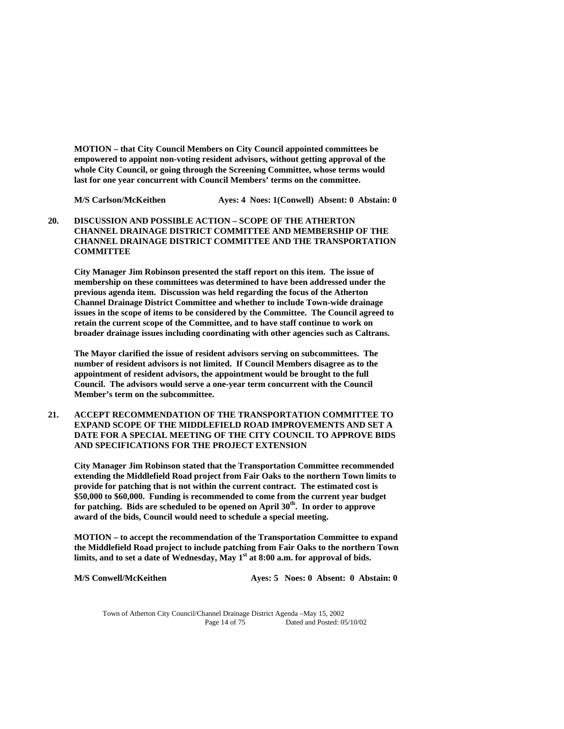**MOTION – that City Council Members on City Council appointed committees be empowered to appoint non-voting resident advisors, without getting approval of the whole City Council, or going through the Screening Committee, whose terms would last for one year concurrent with Council Members' terms on the committee.** 

**M/S Carlson/McKeithen Ayes: 4 Noes: 1(Conwell) Absent: 0 Abstain: 0** 

**20. DISCUSSION AND POSSIBLE ACTION – SCOPE OF THE ATHERTON CHANNEL DRAINAGE DISTRICT COMMITTEE AND MEMBERSHIP OF THE CHANNEL DRAINAGE DISTRICT COMMITTEE AND THE TRANSPORTATION COMMITTEE** 

 **City Manager Jim Robinson presented the staff report on this item. The issue of membership on these committees was determined to have been addressed under the previous agenda item. Discussion was held regarding the focus of the Atherton Channel Drainage District Committee and whether to include Town-wide drainage issues in the scope of items to be considered by the Committee. The Council agreed to retain the current scope of the Committee, and to have staff continue to work on broader drainage issues including coordinating with other agencies such as Caltrans.** 

 **The Mayor clarified the issue of resident advisors serving on subcommittees. The number of resident advisors is not limited. If Council Members disagree as to the appointment of resident advisors, the appointment would be brought to the full Council. The advisors would serve a one-year term concurrent with the Council Member's term on the subcommittee.** 

**21. ACCEPT RECOMMENDATION OF THE TRANSPORTATION COMMITTEE TO EXPAND SCOPE OF THE MIDDLEFIELD ROAD IMPROVEMENTS AND SET A DATE FOR A SPECIAL MEETING OF THE CITY COUNCIL TO APPROVE BIDS AND SPECIFICATIONS FOR THE PROJECT EXTENSION** 

 **City Manager Jim Robinson stated that the Transportation Committee recommended extending the Middlefield Road project from Fair Oaks to the northern Town limits to provide for patching that is not within the current contract. The estimated cost is \$50,000 to \$60,000. Funding is recommended to come from the current year budget for patching. Bids are scheduled to be opened on April 30th. In order to approve award of the bids, Council would need to schedule a special meeting.** 

 **MOTION – to accept the recommendation of the Transportation Committee to expand the Middlefield Road project to include patching from Fair Oaks to the northern Town limits, and to set a date of Wednesday, May 1st at 8:00 a.m. for approval of bids.** 

**M/S Conwell/McKeithen Ayes: 5 Noes: 0 Absent: 0 Abstain: 0**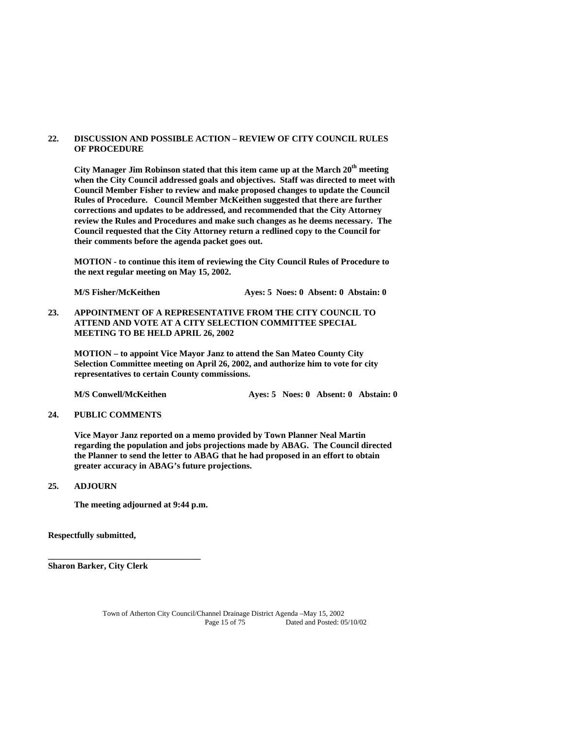#### **22. DISCUSSION AND POSSIBLE ACTION – REVIEW OF CITY COUNCIL RULES OF PROCEDURE**

City Manager Jim Robinson stated that this item came up at the March 20<sup>th</sup> meeting **when the City Council addressed goals and objectives. Staff was directed to meet with Council Member Fisher to review and make proposed changes to update the Council Rules of Procedure. Council Member McKeithen suggested that there are further corrections and updates to be addressed, and recommended that the City Attorney review the Rules and Procedures and make such changes as he deems necessary. The Council requested that the City Attorney return a redlined copy to the Council for their comments before the agenda packet goes out.** 

 **MOTION - to continue this item of reviewing the City Council Rules of Procedure to the next regular meeting on May 15, 2002.** 

**M/S Fisher/McKeithen Ayes: 5 Noes: 0 Absent: 0 Abstain: 0** 

**23. APPOINTMENT OF A REPRESENTATIVE FROM THE CITY COUNCIL TO ATTEND AND VOTE AT A CITY SELECTION COMMITTEE SPECIAL MEETING TO BE HELD APRIL 26, 2002** 

 **MOTION – to appoint Vice Mayor Janz to attend the San Mateo County City Selection Committee meeting on April 26, 2002, and authorize him to vote for city representatives to certain County commissions.** 

M/S Conwell/McKeithen **Ayes: 5 Noes: 0 Absent: 0 Abstain: 0** 

#### **24. PUBLIC COMMENTS**

 **Vice Mayor Janz reported on a memo provided by Town Planner Neal Martin regarding the population and jobs projections made by ABAG. The Council directed the Planner to send the letter to ABAG that he had proposed in an effort to obtain greater accuracy in ABAG's future projections.** 

#### **25. ADJOURN**

**The meeting adjourned at 9:44 p.m.** 

**\_\_\_\_\_\_\_\_\_\_\_\_\_\_\_\_\_\_\_\_\_\_\_\_\_\_\_\_\_\_\_\_\_\_\_** 

**Respectfully submitted,** 

**Sharon Barker, City Clerk**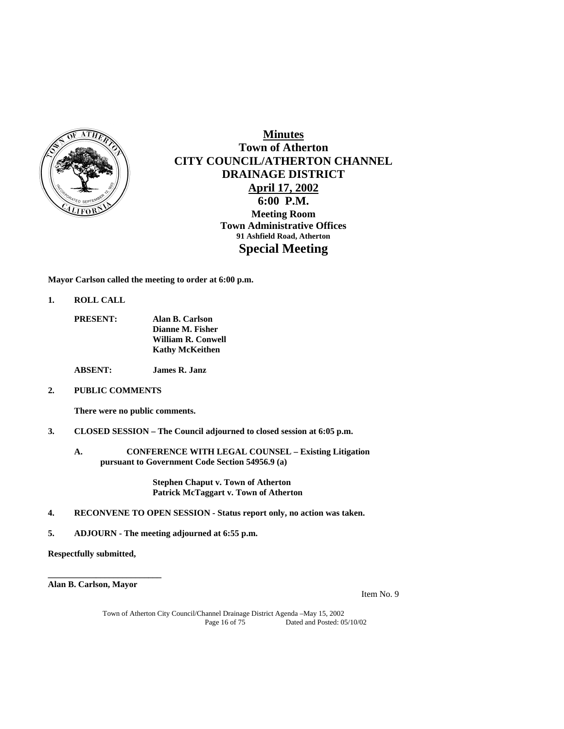

# **Minutes Town of Atherton CITY COUNCIL/ATHERTON CHANNEL DRAINAGE DISTRICT April 17, 2002 6:00 P.M. Meeting Room Town Administrative Offices 91 Ashfield Road, Atherton Special Meeting**

**Mayor Carlson called the meeting to order at 6:00 p.m.** 

**1. ROLL CALL** 

| <b>PRESENT:</b> | Alan B. Carlson        |
|-----------------|------------------------|
|                 | Dianne M. Fisher       |
|                 | William R. Conwell     |
|                 | <b>Kathy McKeithen</b> |

**ABSENT: James R. Janz** 

**2. PUBLIC COMMENTS** 

 **There were no public comments.** 

- **3. CLOSED SESSION The Council adjourned to closed session at 6:05 p.m.** 
	- **A. CONFERENCE WITH LEGAL COUNSEL Existing Litigation pursuant to Government Code Section 54956.9 (a)**

**Stephen Chaput v. Town of Atherton Patrick McTaggart v. Town of Atherton** 

- **4. RECONVENE TO OPEN SESSION Status report only, no action was taken.**
- **5. ADJOURN The meeting adjourned at 6:55 p.m.**

**Respectfully submitted,** 

**Alan B. Carlson, Mayor** 

**\_\_\_\_\_\_\_\_\_\_\_\_\_\_\_\_\_\_\_\_\_\_\_\_\_\_** 

Item No. 9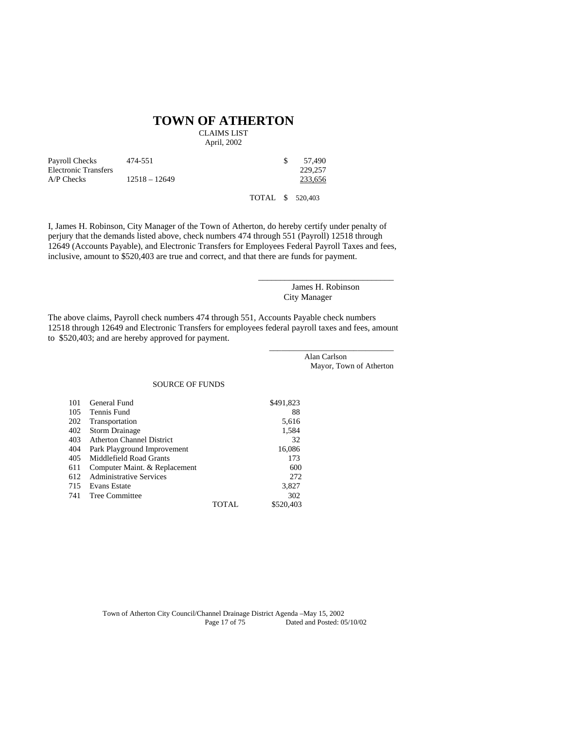# **TOWN OF ATHERTON**

CLAIMS LIST

April, 2002

| Payroll Checks       | 474-551         | 57.490  |
|----------------------|-----------------|---------|
| Electronic Transfers |                 | 229,257 |
| $AP$ Checks          | $12518 - 12649$ | 233.656 |
|                      |                 |         |

TOTAL \$ 520,403

I, James H. Robinson, City Manager of the Town of Atherton, do hereby certify under penalty of perjury that the demands listed above, check numbers 474 through 551 (Payroll) 12518 through 12649 (Accounts Payable), and Electronic Transfers for Employees Federal Payroll Taxes and fees, inclusive, amount to \$520,403 are true and correct, and that there are funds for payment.

> James H. Robinson City Manager

\_\_\_\_\_\_\_\_\_\_\_\_\_\_\_\_\_\_\_\_\_\_\_\_\_\_\_\_\_\_\_

The above claims, Payroll check numbers 474 through 551, Accounts Payable check numbers 12518 through 12649 and Electronic Transfers for employees federal payroll taxes and fees, amount to \$520,403; and are hereby approved for payment.

> \_\_\_\_\_\_\_\_\_\_\_\_\_\_\_\_\_\_\_\_\_\_\_\_\_\_\_\_\_\_\_ Alan Carlson Mayor, Town of Atherton

#### SOURCE OF FUNDS

| 101 | General Fund                     |              | \$491,823 |
|-----|----------------------------------|--------------|-----------|
| 105 | Tennis Fund                      |              | 88        |
| 202 | Transportation                   |              | 5,616     |
| 402 | <b>Storm Drainage</b>            |              | 1,584     |
| 403 | <b>Atherton Channel District</b> |              | 32        |
| 404 | Park Playground Improvement      |              | 16,086    |
| 405 | Middlefield Road Grants          |              | 173       |
| 611 | Computer Maint. & Replacement    |              | 600       |
| 612 | <b>Administrative Services</b>   |              | 272       |
| 715 | Evans Estate                     |              | 3,827     |
| 741 | Tree Committee                   |              | 302       |
|     |                                  | <b>TOTAL</b> | \$520,403 |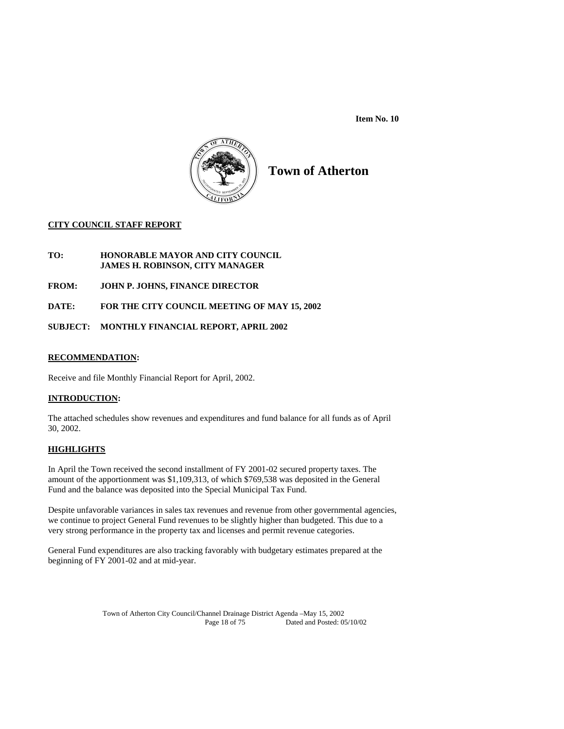**Item No. 10** 



**Town of Atherton** 

#### **CITY COUNCIL STAFF REPORT**

## **TO: HONORABLE MAYOR AND CITY COUNCIL JAMES H. ROBINSON, CITY MANAGER**

**FROM: JOHN P. JOHNS, FINANCE DIRECTOR** 

**DATE: FOR THE CITY COUNCIL MEETING OF MAY 15, 2002** 

**SUBJECT: MONTHLY FINANCIAL REPORT, APRIL 2002** 

#### **RECOMMENDATION:**

Receive and file Monthly Financial Report for April, 2002.

#### **INTRODUCTION:**

The attached schedules show revenues and expenditures and fund balance for all funds as of April 30, 2002.

#### **HIGHLIGHTS**

In April the Town received the second installment of FY 2001-02 secured property taxes. The amount of the apportionment was \$1,109,313, of which \$769,538 was deposited in the General Fund and the balance was deposited into the Special Municipal Tax Fund.

Despite unfavorable variances in sales tax revenues and revenue from other governmental agencies, we continue to project General Fund revenues to be slightly higher than budgeted. This due to a very strong performance in the property tax and licenses and permit revenue categories.

General Fund expenditures are also tracking favorably with budgetary estimates prepared at the beginning of FY 2001-02 and at mid-year.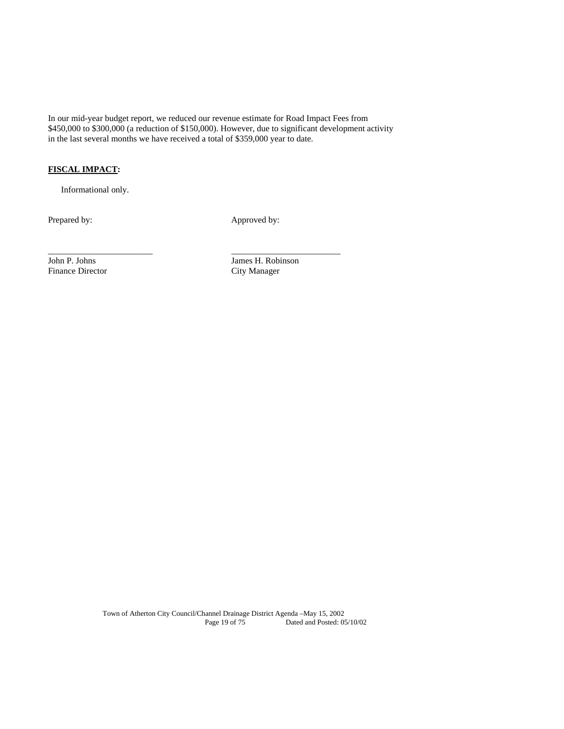In our mid-year budget report, we reduced our revenue estimate for Road Impact Fees from \$450,000 to \$300,000 (a reduction of \$150,000). However, due to significant development activity in the last several months we have received a total of \$359,000 year to date.

\_\_\_\_\_\_\_\_\_\_\_\_\_\_\_\_\_\_\_\_\_\_\_\_ \_\_\_\_\_\_\_\_\_\_\_\_\_\_\_\_\_\_\_\_\_\_\_\_\_

# **FISCAL IMPACT:**

Informational only.

Prepared by: Approved by:

Finance Director City Manager

John P. Johns James H. Robinson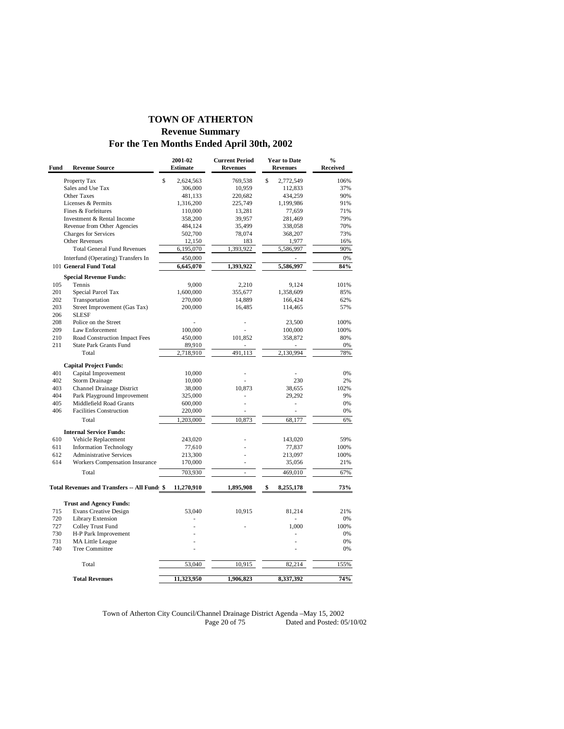# **TOWN OF ATHERTON Revenue Summary For the Ten Months Ended April 30th, 2002**

| Fund | <b>Revenue Source</b>                        | 2001-02<br><b>Estimate</b> | <b>Current Period</b><br><b>Revenues</b> | <b>Year to Date</b><br><b>Revenues</b> | $\frac{0}{0}$<br><b>Received</b> |
|------|----------------------------------------------|----------------------------|------------------------------------------|----------------------------------------|----------------------------------|
|      | Property Tax                                 | \$<br>2,624,563            | 769,538                                  | \$<br>2,772,549                        | 106%                             |
|      | Sales and Use Tax                            | 306,000                    | 10,959                                   | 112,833                                | 37%                              |
|      | <b>Other Taxes</b>                           | 481,133                    | 220,682                                  | 434,259                                | 90%                              |
|      | Licenses & Permits                           | 1,316,200                  | 225,749                                  | 1,199,986                              | 91%                              |
|      | Fines & Forfeitures                          | 110,000                    | 13,281                                   | 77,659                                 | 71%                              |
|      | Investment & Rental Income                   | 358,200                    | 39,957                                   | 281,469                                | 79%                              |
|      | Revenue from Other Agencies                  | 484,124                    | 35,499                                   | 338,058                                | 70%                              |
|      | <b>Charges for Services</b>                  | 502,700                    | 78,074                                   | 368,207                                | 73%                              |
|      | Other Revenues                               | 12,150                     | 183                                      | 1,977                                  | 16%                              |
|      | <b>Total General Fund Revenues</b>           | 6,195,070                  | 1,393,922                                | 5,586,997                              | 90%                              |
|      | Interfund (Operating) Transfers In           | 450,000                    |                                          |                                        | $0\%$                            |
|      | 101 General Fund Total                       | 6,645,070                  | 1,393,922                                | 5,586,997                              | 84%                              |
|      | <b>Special Revenue Funds:</b>                |                            |                                          |                                        |                                  |
| 105  | Tennis                                       | 9,000                      | 2,210                                    | 9,124                                  | 101%                             |
| 201  | Special Parcel Tax                           | 1,600,000                  | 355,677                                  | 1,358,609                              | 85%                              |
| 202  | Transportation                               | 270,000                    | 14,889                                   | 166,424                                | 62%                              |
| 203  | Street Improvement (Gas Tax)                 | 200,000                    | 16,485                                   | 114,465                                | 57%                              |
| 206  | <b>SLESF</b>                                 |                            |                                          |                                        |                                  |
| 208  | Police on the Street                         |                            |                                          | 23,500                                 | 100%                             |
| 209  | Law Enforcement                              | 100,000                    |                                          | 100,000                                | 100%                             |
| 210  | Road Construction Impact Fees                | 450,000                    | 101,852                                  | 358,872                                | 80%                              |
| 211  | <b>State Park Grants Fund</b>                | 89,910                     |                                          |                                        | 0%                               |
|      | Total                                        | 2,718,910                  | 491,113                                  | 2,130,994                              | 78%                              |
|      | <b>Capital Project Funds:</b>                |                            |                                          |                                        |                                  |
| 401  | Capital Improvement                          | 10,000                     |                                          |                                        | 0%                               |
| 402  | <b>Storm Drainage</b>                        | 10,000                     |                                          | 230                                    | 2%                               |
| 403  | Channel Drainage District                    | 38,000                     | 10,873                                   | 38,655                                 | 102%                             |
| 404  | Park Playground Improvement                  | 325,000                    |                                          | 29,292                                 | 9%                               |
| 405  | Middlefield Road Grants                      | 600,000                    | ä,                                       | ä,                                     | 0%                               |
| 406  | <b>Facilities Construction</b>               | 220,000                    | ä,                                       | ä,                                     | 0%                               |
|      | Total                                        | 1,203,000                  | 10,873                                   | 68,177                                 | 6%                               |
|      | <b>Internal Service Funds:</b>               |                            |                                          |                                        |                                  |
| 610  | Vehicle Replacement                          | 243,020                    |                                          | 143,020                                | 59%                              |
| 611  | <b>Information Technology</b>                | 77,610                     |                                          | 77,837                                 | 100%                             |
| 612  | <b>Administrative Services</b>               | 213,300                    |                                          | 213,097                                | 100%                             |
| 614  | Workers Compensation Insurance               | 170,000                    | ä,                                       | 35,056                                 | 21%                              |
|      | Total                                        | 703,930                    | ÷,                                       | 469,010                                | 67%                              |
|      |                                              |                            |                                          |                                        |                                  |
|      | Total Revenues and Transfers -- All Fund: \$ | 11,270,910                 | 1,895,908                                | \$<br>8,255,178                        | 73%                              |
|      | <b>Trust and Agency Funds:</b>               |                            |                                          |                                        |                                  |
| 715  | <b>Evans Creative Design</b>                 | 53,040                     | 10,915                                   | 81,214                                 | 21%                              |
| 720  | Library Extension                            |                            |                                          |                                        | 0%                               |
| 727  | Colley Trust Fund                            |                            |                                          | 1,000                                  | 100%                             |
| 730  | H-P Park Improvement                         |                            |                                          |                                        | 0%                               |
| 731  | MA Little League                             |                            |                                          |                                        | 0%                               |
| 740  | <b>Tree Committee</b>                        |                            |                                          |                                        | 0%                               |
|      |                                              |                            |                                          |                                        |                                  |
|      | Total                                        | 53,040                     | 10,915                                   | 82,214                                 | 155%                             |
|      | <b>Total Revenues</b>                        | 11,323,950                 | 1,906,823                                | 8,337,392                              | 74%                              |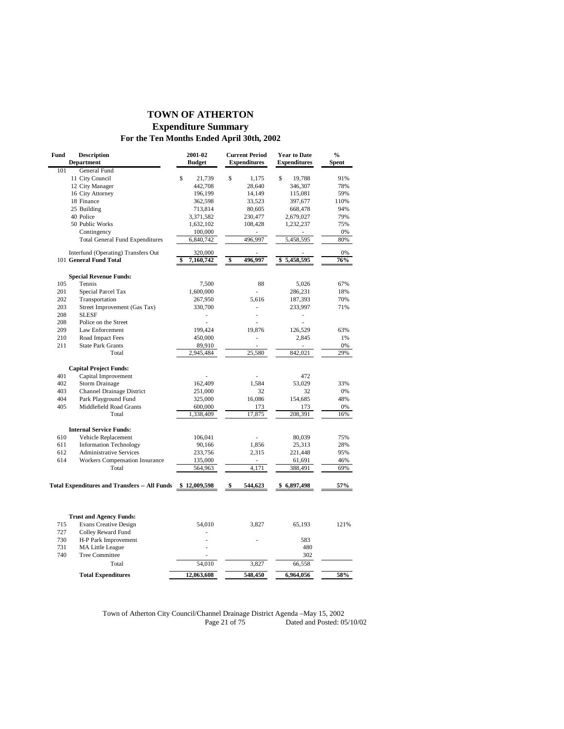# **TOWN OF ATHERTON Expenditure Summary**

# **For the Ten Months Ended April 30th, 2002**

| Fund | <b>Description</b><br><b>Department</b>                        | 2001-02<br><b>Budget</b> |              | <b>Current Period</b><br><b>Expenditures</b> |             | <b>Year to Date</b><br><b>Expenditures</b> | $\frac{0}{0}$<br>Spent |
|------|----------------------------------------------------------------|--------------------------|--------------|----------------------------------------------|-------------|--------------------------------------------|------------------------|
| 101  | General Fund                                                   |                          |              |                                              |             |                                            |                        |
|      | 11 City Council                                                | \$<br>21,739             | $\mathbb{S}$ | 1,175                                        | $\mathbf S$ | 19,788                                     | 91%                    |
|      | 12 City Manager                                                | 442,708                  |              | 28,640                                       |             | 346,307                                    | 78%                    |
|      | 16 City Attorney                                               | 196,199                  |              | 14,149                                       |             | 115,081                                    | 59%                    |
|      | 18 Finance                                                     | 362,598                  |              | 33,523                                       |             | 397,677                                    | 110%                   |
|      | 25 Building                                                    | 713,814                  |              | 80,605                                       |             | 668,478                                    | 94%                    |
|      | 40 Police                                                      | 3,371,582                |              | 230,477                                      |             | 2,679,027                                  | 79%                    |
|      | 50 Public Works                                                | 1,632,102                |              | 108,428                                      |             | 1,232,237                                  | 75%                    |
|      | Contingency                                                    | 100,000                  |              | L.                                           |             |                                            | 0%                     |
|      | <b>Total General Fund Expenditures</b>                         | 6,840,742                |              | 496,997                                      |             | 5,458,595                                  | 80%                    |
|      | Interfund (Operating) Transfers Out                            | 320,000                  |              |                                              |             |                                            | 0%                     |
|      | 101 General Fund Total                                         | \$<br>7,160,742          | \$           | 496,997                                      |             | \$5,458,595                                | 76%                    |
|      | <b>Special Revenue Funds:</b>                                  |                          |              |                                              |             |                                            |                        |
| 105  | Tennis                                                         | 7,500                    |              | 88                                           |             | 5,026                                      | 67%                    |
| 201  | Special Parcel Tax                                             | 1,600,000                |              |                                              |             | 286,231                                    | 18%                    |
| 202  | Transportation                                                 | 267,950                  |              | 5,616                                        |             | 187,393                                    | 70%                    |
| 203  | Street Improvement (Gas Tax)                                   | 330,700                  |              |                                              |             | 233,997                                    | 71%                    |
| 208  | <b>SLESF</b>                                                   |                          |              | L,                                           |             |                                            |                        |
| 208  | Police on the Street                                           |                          |              |                                              |             |                                            |                        |
| 209  | Law Enforcement                                                | 199,424                  |              | 19,876                                       |             | 126,529                                    | 63%                    |
| 210  | Road Impact Fees                                               | 450,000                  |              | L,                                           |             | 2,845                                      | 1%                     |
| 211  | <b>State Park Grants</b>                                       | 89,910                   |              | ä,                                           |             |                                            | 0%                     |
|      | Total                                                          | 2,945,484                |              | 25,580                                       |             | 842,021                                    | 29%                    |
|      | <b>Capital Project Funds:</b>                                  |                          |              |                                              |             |                                            |                        |
| 401  | Capital Improvement                                            |                          |              |                                              |             | 472                                        |                        |
| 402  | <b>Storm Drainage</b>                                          | 162,409                  |              | 1,584                                        |             | 53,029                                     | 33%                    |
| 403  | <b>Channel Drainage District</b>                               | 251,000                  |              | 32                                           |             | 32                                         | 0%                     |
| 404  | Park Playground Fund                                           | 325,000                  |              | 16,086                                       |             | 154,685                                    | 48%                    |
| 405  | Middlefield Road Grants                                        | 600,000                  |              | 173                                          |             | 173                                        | 0%                     |
|      | Total                                                          | 1,338,409                |              | 17,875                                       |             | 208,391                                    | 16%                    |
|      | <b>Internal Service Funds:</b>                                 |                          |              |                                              |             |                                            |                        |
| 610  | Vehicle Replacement                                            | 106,041                  |              | í.                                           |             | 80,039                                     | 75%                    |
| 611  | <b>Information Technology</b>                                  | 90,166                   |              | 1.856                                        |             | 25,313                                     | 28%                    |
| 612  | <b>Administrative Services</b>                                 | 233,756                  |              | 2,315                                        |             | 221,448                                    | 95%                    |
| 614  | Workers Compensation Insurance                                 | 135,000                  |              | $\overline{\phantom{m}}$                     |             | 61,691                                     | 46%                    |
|      | Total                                                          | 564,963                  |              | 4,171                                        |             | 388,491                                    | 69%                    |
|      | <b>Total Expenditures and Transfers -- All Funds</b>           | \$12,009,598             | \$           | 544,623                                      |             | \$6,897,498                                | 57%                    |
|      |                                                                |                          |              |                                              |             |                                            |                        |
|      |                                                                |                          |              |                                              |             |                                            |                        |
| 715  | <b>Trust and Agency Funds:</b><br><b>Evans Creative Design</b> | 54,010                   |              | 3,827                                        |             | 65,193                                     | 121%                   |
| 727  | Colley Reward Fund                                             |                          |              |                                              |             |                                            |                        |
| 730  |                                                                |                          |              |                                              |             | 583                                        |                        |
| 731  | H-P Park Improvement                                           |                          |              |                                              |             | 480                                        |                        |
|      | MA Little League                                               |                          |              |                                              |             |                                            |                        |
| 740  | <b>Tree Committee</b><br>Total                                 | 54,010                   |              | 3,827                                        |             | 302<br>66,558                              |                        |
|      | <b>Total Expenditures</b>                                      | 12,063,608               |              | 548,450                                      |             | 6,964,056                                  | 58%                    |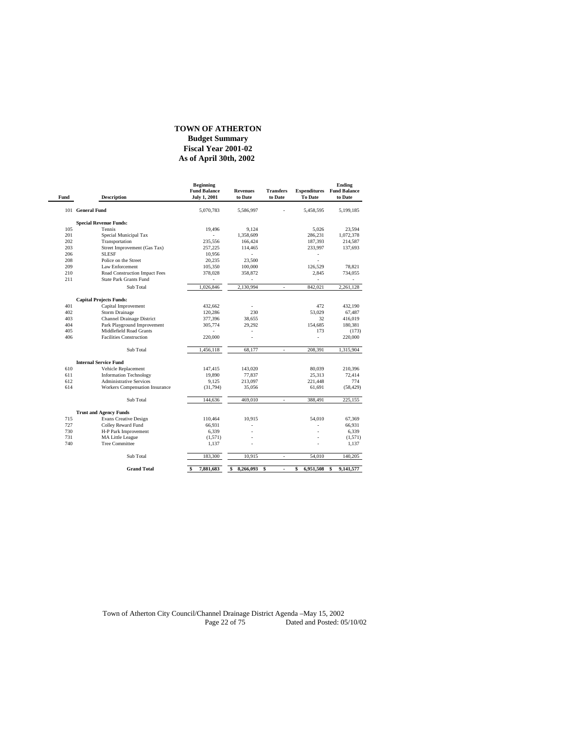#### **TOWN OF ATHERTON**

#### **As of April 30th, 2002 Budget Summary Fiscal Year 2001-02**

| Fund | <b>Description</b>             | <b>Beginning</b><br><b>Fund Balance</b><br><b>July 1, 2001</b> | <b>Revenues</b><br>to Date | <b>Transfers</b><br>to Date | <b>To Date</b>  | Ending<br><b>Expenditures</b> Fund Balance<br>to Date |
|------|--------------------------------|----------------------------------------------------------------|----------------------------|-----------------------------|-----------------|-------------------------------------------------------|
|      | 101 General Fund               | 5,070,783                                                      | 5,586,997                  |                             | 5,458,595       | 5,199,185                                             |
|      | <b>Special Revenue Funds:</b>  |                                                                |                            |                             |                 |                                                       |
| 105  | Tennis                         | 19,496                                                         | 9.124                      |                             | 5.026           | 23,594                                                |
| 201  | Special Municipal Tax          |                                                                | 1,358,609                  |                             | 286,231         | 1,072,378                                             |
| 202  | Transportation                 | 235,556                                                        | 166,424                    |                             | 187,393         | 214,587                                               |
| 203  | Street Improvement (Gas Tax)   | 257,225                                                        | 114,465                    |                             | 233,997         | 137,693                                               |
| 206  | <b>SLESF</b>                   | 10,956                                                         | ÷.                         |                             |                 |                                                       |
| 208  | Police on the Street           | 20,235                                                         | 23.500                     |                             | ä,              |                                                       |
| 209  | <b>Law Enforcement</b>         | 105,350                                                        | 100,000                    |                             | 126.529         | 78,821                                                |
| 210  | Road Construction Impact Fees  | 378,028                                                        | 358,872                    |                             | 2,845           | 734,055                                               |
| 211  | <b>State Park Grants Fund</b>  |                                                                |                            |                             |                 |                                                       |
|      | Sub Total                      | 1,026,846                                                      | 2,130,994                  | $\sim$                      | 842,021         | 2,261,128                                             |
|      | <b>Capital Projects Funds:</b> |                                                                |                            |                             |                 |                                                       |
| 401  | Capital Improvement            | 432.662                                                        |                            |                             | 472             | 432.190                                               |
| 402  | <b>Storm Drainage</b>          | 120,286                                                        | 230                        |                             | 53,029          | 67,487                                                |
| 403  | Channel Drainage District      | 377,396                                                        | 38.655                     |                             | 32              | 416,019                                               |
| 404  | Park Playground Improvement    | 305,774                                                        | 29,292                     |                             | 154,685         | 180,381                                               |
| 405  | Middlefield Road Grants        |                                                                |                            |                             | 173             | (173)                                                 |
| 406  | <b>Facilities Construction</b> | 220,000                                                        |                            |                             | ÷,              | 220,000                                               |
|      | Sub Total                      | 1,456,118                                                      | 68.177                     | ÷.                          | 208.391         | 1,315,904                                             |
|      | <b>Internal Service Fund</b>   |                                                                |                            |                             |                 |                                                       |
| 610  | Vehicle Replacement            | 147,415                                                        | 143,020                    |                             | 80,039          | 210,396                                               |
| 611  | <b>Information Technology</b>  | 19.890                                                         | 77,837                     |                             | 25.313          | 72.414                                                |
| 612  | <b>Administrative Services</b> | 9,125                                                          | 213,097                    |                             | 221,448         | 774                                                   |
| 614  | Workers Compensation Insurance | (31,794)                                                       | 35,056                     |                             | 61,691          | (58, 429)                                             |
|      | Sub Total                      | 144,636                                                        | 469,010                    | ä,                          | 388,491         | 225,155                                               |
|      | <b>Trust and Agency Funds</b>  |                                                                |                            |                             |                 |                                                       |
| 715  | <b>Evans Creative Design</b>   | 110,464                                                        | 10.915                     |                             | 54,010          | 67.369                                                |
| 727  | Colley Reward Fund             | 66,931                                                         | ۳                          |                             |                 | 66,931                                                |
| 730  | H-P Park Improvement           | 6,339                                                          |                            |                             |                 | 6,339                                                 |
| 731  | <b>MA Little League</b>        | (1,571)                                                        | ä,                         |                             |                 | (1,571)                                               |
| 740  | Tree Committee                 | 1,137                                                          |                            |                             |                 | 1,137                                                 |
|      | Sub Total                      | 183,300                                                        | 10,915                     | $\bar{a}$                   | 54,010          | 140,205                                               |
|      | <b>Grand Total</b>             | 7,881,683<br>\$                                                | 8,266,093<br>\$            | \$<br>÷                     | \$<br>6,951,508 | \$<br>9,141,577                                       |
|      |                                |                                                                |                            |                             |                 |                                                       |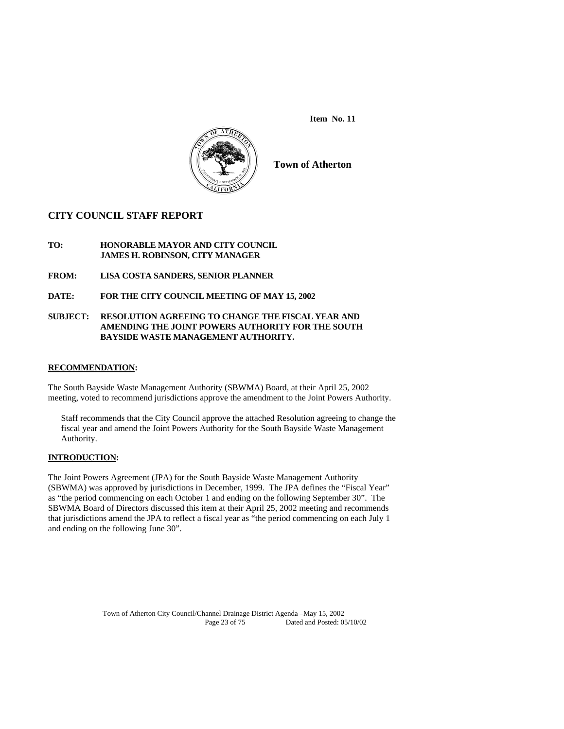**Item No. 11** 



**Town of Atherton** 

## **CITY COUNCIL STAFF REPORT**

#### **TO: HONORABLE MAYOR AND CITY COUNCIL JAMES H. ROBINSON, CITY MANAGER**

- **FROM: LISA COSTA SANDERS, SENIOR PLANNER**
- **DATE: FOR THE CITY COUNCIL MEETING OF MAY 15, 2002**

#### **SUBJECT: RESOLUTION AGREEING TO CHANGE THE FISCAL YEAR AND AMENDING THE JOINT POWERS AUTHORITY FOR THE SOUTH BAYSIDE WASTE MANAGEMENT AUTHORITY.**

### **RECOMMENDATION:**

The South Bayside Waste Management Authority (SBWMA) Board, at their April 25, 2002 meeting, voted to recommend jurisdictions approve the amendment to the Joint Powers Authority.

Staff recommends that the City Council approve the attached Resolution agreeing to change the fiscal year and amend the Joint Powers Authority for the South Bayside Waste Management Authority.

### **INTRODUCTION:**

The Joint Powers Agreement (JPA) for the South Bayside Waste Management Authority (SBWMA) was approved by jurisdictions in December, 1999. The JPA defines the "Fiscal Year" as "the period commencing on each October 1 and ending on the following September 30". The SBWMA Board of Directors discussed this item at their April 25, 2002 meeting and recommends that jurisdictions amend the JPA to reflect a fiscal year as "the period commencing on each July 1 and ending on the following June 30".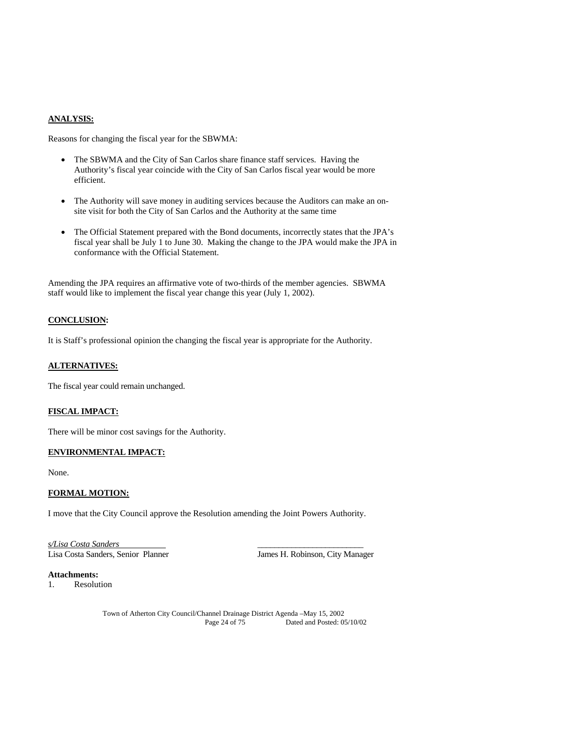#### **ANALYSIS:**

Reasons for changing the fiscal year for the SBWMA:

- The SBWMA and the City of San Carlos share finance staff services. Having the Authority's fiscal year coincide with the City of San Carlos fiscal year would be more efficient.
- The Authority will save money in auditing services because the Auditors can make an onsite visit for both the City of San Carlos and the Authority at the same time
- The Official Statement prepared with the Bond documents, incorrectly states that the JPA's fiscal year shall be July 1 to June 30. Making the change to the JPA would make the JPA in conformance with the Official Statement.

Amending the JPA requires an affirmative vote of two-thirds of the member agencies. SBWMA staff would like to implement the fiscal year change this year (July 1, 2002).

#### **CONCLUSION:**

It is Staff's professional opinion the changing the fiscal year is appropriate for the Authority.

#### **ALTERNATIVES:**

The fiscal year could remain unchanged.

#### **FISCAL IMPACT:**

There will be minor cost savings for the Authority.

#### **ENVIRONMENTAL IMPACT:**

None.

#### **FORMAL MOTION:**

I move that the City Council approve the Resolution amending the Joint Powers Authority.

*s/Lisa Costa Sanders* \_\_\_\_\_\_\_\_\_\_\_\_\_\_\_\_\_\_\_\_\_\_\_\_\_ Lisa Costa Sanders, Senior Planner James H. Robinson, City Manager

**Attachments:**  1. Resolution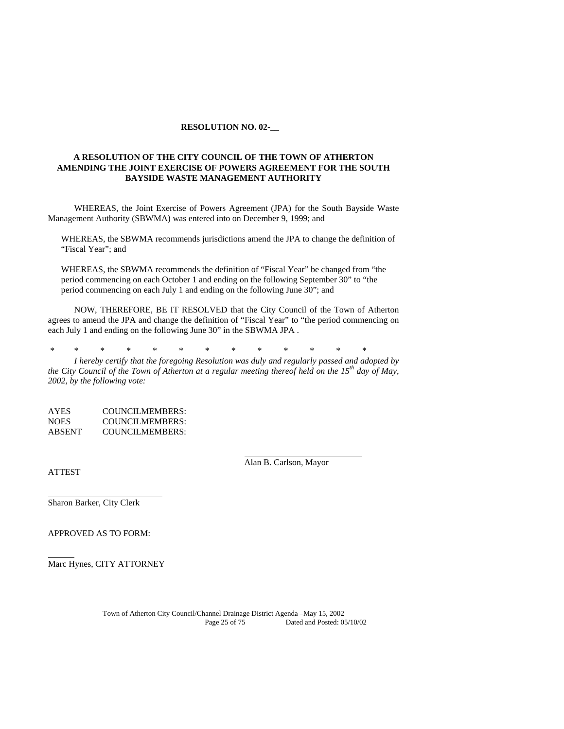#### **RESOLUTION NO. 02-\_\_**

#### **A RESOLUTION OF THE CITY COUNCIL OF THE TOWN OF ATHERTON AMENDING THE JOINT EXERCISE OF POWERS AGREEMENT FOR THE SOUTH BAYSIDE WASTE MANAGEMENT AUTHORITY**

WHEREAS, the Joint Exercise of Powers Agreement (JPA) for the South Bayside Waste Management Authority (SBWMA) was entered into on December 9, 1999; and

WHEREAS, the SBWMA recommends jurisdictions amend the JPA to change the definition of "Fiscal Year"; and

WHEREAS, the SBWMA recommends the definition of "Fiscal Year" be changed from "the period commencing on each October 1 and ending on the following September 30" to "the period commencing on each July 1 and ending on the following June 30"; and

NOW, THEREFORE, BE IT RESOLVED that the City Council of the Town of Atherton agrees to amend the JPA and change the definition of "Fiscal Year" to "the period commencing on each July 1 and ending on the following June 30" in the SBWMA JPA .

\* \* \* \* \* \* \* \* \* \* \* \* \*

 *I hereby certify that the foregoing Resolution was duly and regularly passed and adopted by the City Council of the Town of Atherton at a regular meeting thereof held on the 15th day of May, 2002, by the following vote:* 

AYES COUNCILMEMBERS: NOES COUNCILMEMBERS: ABSENT COUNCILMEMBERS:

ATTEST

Alan B. Carlson, Mayor

Sharon Barker, City Clerk

APPROVED AS TO FORM:

Marc Hynes, CITY ATTORNEY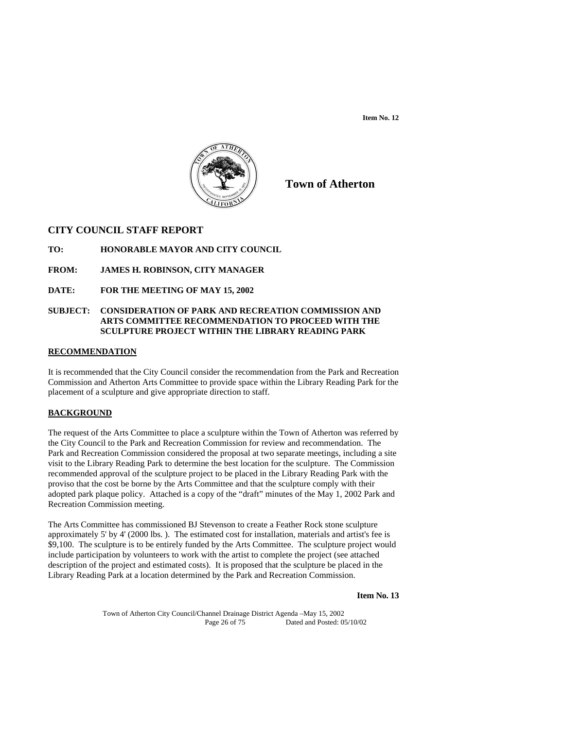**Item No. 12** 



**Town of Atherton**

## **CITY COUNCIL STAFF REPORT**

#### **TO: HONORABLE MAYOR AND CITY COUNCIL**

**FROM: JAMES H. ROBINSON, CITY MANAGER** 

**DATE: FOR THE MEETING OF MAY 15, 2002** 

#### **SUBJECT: CONSIDERATION OF PARK AND RECREATION COMMISSION AND ARTS COMMITTEE RECOMMENDATION TO PROCEED WITH THE SCULPTURE PROJECT WITHIN THE LIBRARY READING PARK**

#### **RECOMMENDATION**

It is recommended that the City Council consider the recommendation from the Park and Recreation Commission and Atherton Arts Committee to provide space within the Library Reading Park for the placement of a sculpture and give appropriate direction to staff.

#### **BACKGROUND**

The request of the Arts Committee to place a sculpture within the Town of Atherton was referred by the City Council to the Park and Recreation Commission for review and recommendation. The Park and Recreation Commission considered the proposal at two separate meetings, including a site visit to the Library Reading Park to determine the best location for the sculpture. The Commission recommended approval of the sculpture project to be placed in the Library Reading Park with the proviso that the cost be borne by the Arts Committee and that the sculpture comply with their adopted park plaque policy. Attached is a copy of the "draft" minutes of the May 1, 2002 Park and Recreation Commission meeting.

The Arts Committee has commissioned BJ Stevenson to create a Feather Rock stone sculpture approximately 5' by 4' (2000 lbs. ). The estimated cost for installation, materials and artist's fee is \$9,100. The sculpture is to be entirely funded by the Arts Committee. The sculpture project would include participation by volunteers to work with the artist to complete the project (see attached description of the project and estimated costs). It is proposed that the sculpture be placed in the Library Reading Park at a location determined by the Park and Recreation Commission.

**Item No. 13**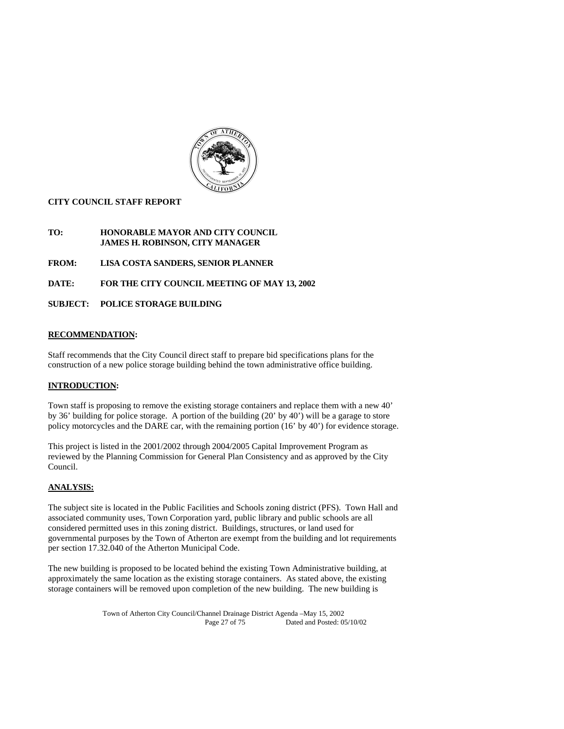

#### **CITY COUNCIL STAFF REPORT**

### **TO: HONORABLE MAYOR AND CITY COUNCIL JAMES H. ROBINSON, CITY MANAGER**

**FROM: LISA COSTA SANDERS, SENIOR PLANNER** 

**DATE: FOR THE CITY COUNCIL MEETING OF MAY 13, 2002** 

#### **SUBJECT: POLICE STORAGE BUILDING**

## **RECOMMENDATION:**

Staff recommends that the City Council direct staff to prepare bid specifications plans for the construction of a new police storage building behind the town administrative office building.

## **INTRODUCTION:**

Town staff is proposing to remove the existing storage containers and replace them with a new 40' by 36' building for police storage. A portion of the building (20' by 40') will be a garage to store policy motorcycles and the DARE car, with the remaining portion (16' by 40') for evidence storage.

This project is listed in the 2001/2002 through 2004/2005 Capital Improvement Program as reviewed by the Planning Commission for General Plan Consistency and as approved by the City Council.

### **ANALYSIS:**

The subject site is located in the Public Facilities and Schools zoning district (PFS). Town Hall and associated community uses, Town Corporation yard, public library and public schools are all considered permitted uses in this zoning district. Buildings, structures, or land used for governmental purposes by the Town of Atherton are exempt from the building and lot requirements per section 17.32.040 of the Atherton Municipal Code.

The new building is proposed to be located behind the existing Town Administrative building, at approximately the same location as the existing storage containers. As stated above, the existing storage containers will be removed upon completion of the new building. The new building is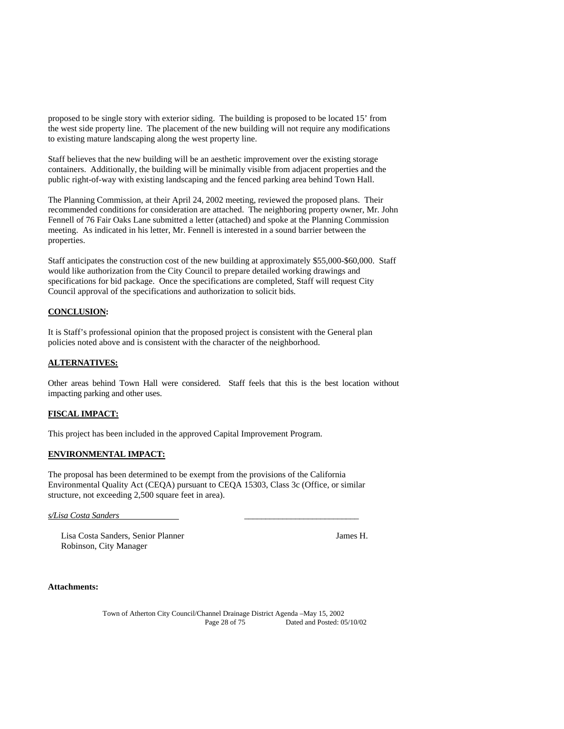proposed to be single story with exterior siding. The building is proposed to be located 15' from the west side property line. The placement of the new building will not require any modifications to existing mature landscaping along the west property line.

Staff believes that the new building will be an aesthetic improvement over the existing storage containers. Additionally, the building will be minimally visible from adjacent properties and the public right-of-way with existing landscaping and the fenced parking area behind Town Hall.

The Planning Commission, at their April 24, 2002 meeting, reviewed the proposed plans. Their recommended conditions for consideration are attached. The neighboring property owner, Mr. John Fennell of 76 Fair Oaks Lane submitted a letter (attached) and spoke at the Planning Commission meeting. As indicated in his letter, Mr. Fennell is interested in a sound barrier between the properties.

Staff anticipates the construction cost of the new building at approximately \$55,000-\$60,000. Staff would like authorization from the City Council to prepare detailed working drawings and specifications for bid package. Once the specifications are completed, Staff will request City Council approval of the specifications and authorization to solicit bids.

#### **CONCLUSION:**

It is Staff's professional opinion that the proposed project is consistent with the General plan policies noted above and is consistent with the character of the neighborhood.

#### **ALTERNATIVES:**

Other areas behind Town Hall were considered. Staff feels that this is the best location without impacting parking and other uses.

#### **FISCAL IMPACT:**

This project has been included in the approved Capital Improvement Program.

#### **ENVIRONMENTAL IMPACT:**

The proposal has been determined to be exempt from the provisions of the California Environmental Quality Act (CEQA) pursuant to CEQA 15303, Class 3c (Office, or similar structure, not exceeding 2,500 square feet in area).

*s/Lisa Costa Sanders* \_\_\_\_\_\_\_\_\_\_\_\_\_\_\_\_\_\_\_\_\_\_\_\_\_\_\_

Lisa Costa Sanders, Senior Planner James H. Robinson, City Manager

**Attachments:**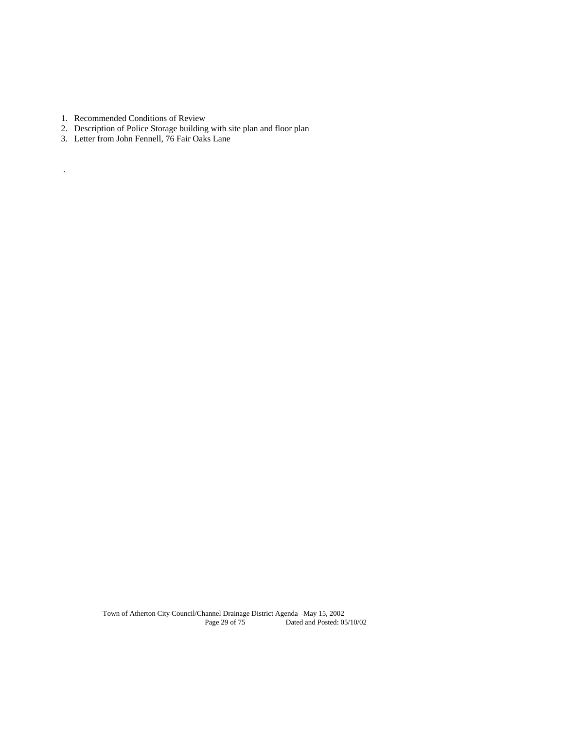1. Recommended Conditions of Review

.

- 2. Description of Police Storage building with site plan and floor plan
- 3. Letter from John Fennell, 76 Fair Oaks Lane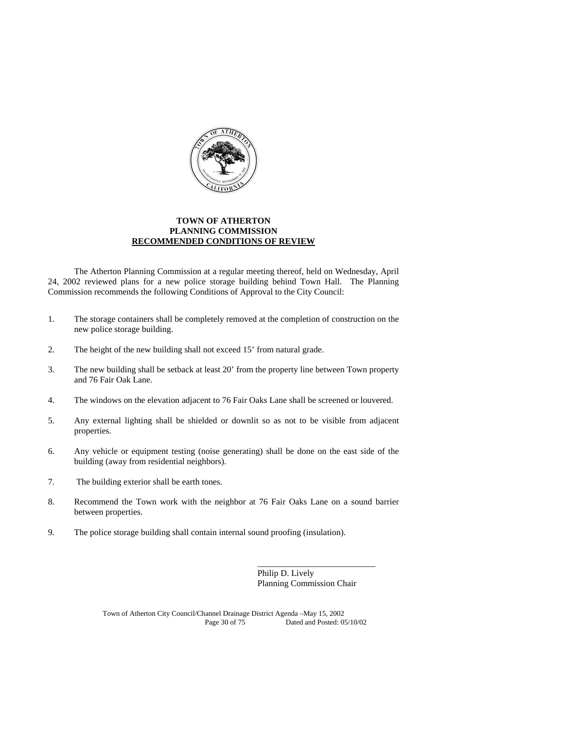

#### **TOWN OF ATHERTON PLANNING COMMISSION RECOMMENDED CONDITIONS OF REVIEW**

 The Atherton Planning Commission at a regular meeting thereof, held on Wednesday, April 24, 2002 reviewed plans for a new police storage building behind Town Hall. The Planning Commission recommends the following Conditions of Approval to the City Council:

- 1. The storage containers shall be completely removed at the completion of construction on the new police storage building.
- 2. The height of the new building shall not exceed 15' from natural grade.
- 3. The new building shall be setback at least 20' from the property line between Town property and 76 Fair Oak Lane.
- 4. The windows on the elevation adjacent to 76 Fair Oaks Lane shall be screened or louvered.
- 5. Any external lighting shall be shielded or downlit so as not to be visible from adjacent properties.
- 6. Any vehicle or equipment testing (noise generating) shall be done on the east side of the building (away from residential neighbors).
- 7. The building exterior shall be earth tones.
- 8. Recommend the Town work with the neighbor at 76 Fair Oaks Lane on a sound barrier between properties.
- 9. The police storage building shall contain internal sound proofing (insulation).

Philip D. Lively Planning Commission Chair

\_\_\_\_\_\_\_\_\_\_\_\_\_\_\_\_\_\_\_\_\_\_\_\_\_\_\_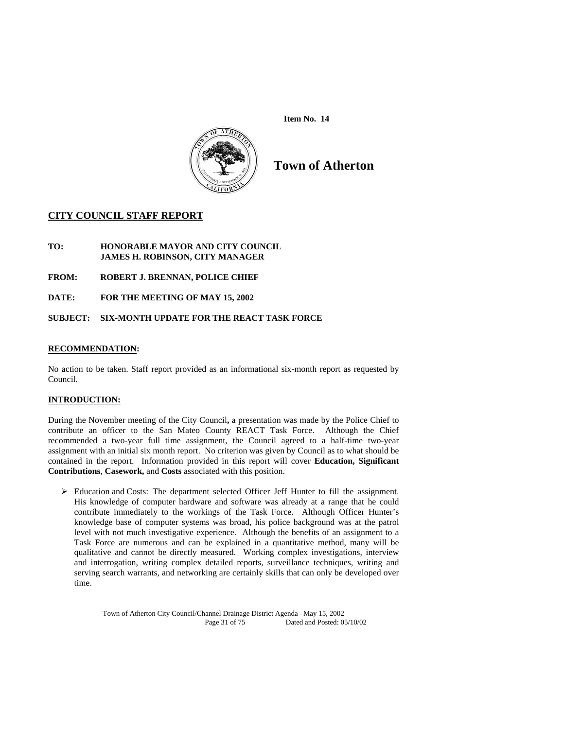**Item No. 14** 



**Town of Atherton** 

## **CITY COUNCIL STAFF REPORT**

#### **TO: HONORABLE MAYOR AND CITY COUNCIL JAMES H. ROBINSON, CITY MANAGER**

- **FROM: ROBERT J. BRENNAN, POLICE CHIEF**
- **DATE: FOR THE MEETING OF MAY 15, 2002**

### **SUBJECT: SIX-MONTH UPDATE FOR THE REACT TASK FORCE**

#### **RECOMMENDATION:**

No action to be taken. Staff report provided as an informational six-month report as requested by Council.

### **INTRODUCTION:**

During the November meeting of the City Council**,** a presentation was made by the Police Chief to contribute an officer to the San Mateo County REACT Task Force. Although the Chief recommended a two-year full time assignment, the Council agreed to a half-time two-year assignment with an initial six month report. No criterion was given by Council as to what should be contained in the report. Information provided in this report will cover **Education, Significant Contributions**, **Casework,** and **Costs** associated with this position.

 Education and Costs: The department selected Officer Jeff Hunter to fill the assignment. His knowledge of computer hardware and software was already at a range that he could contribute immediately to the workings of the Task Force. Although Officer Hunter's knowledge base of computer systems was broad, his police background was at the patrol level with not much investigative experience. Although the benefits of an assignment to a Task Force are numerous and can be explained in a quantitative method, many will be qualitative and cannot be directly measured. Working complex investigations, interview and interrogation, writing complex detailed reports, surveillance techniques, writing and serving search warrants, and networking are certainly skills that can only be developed over time.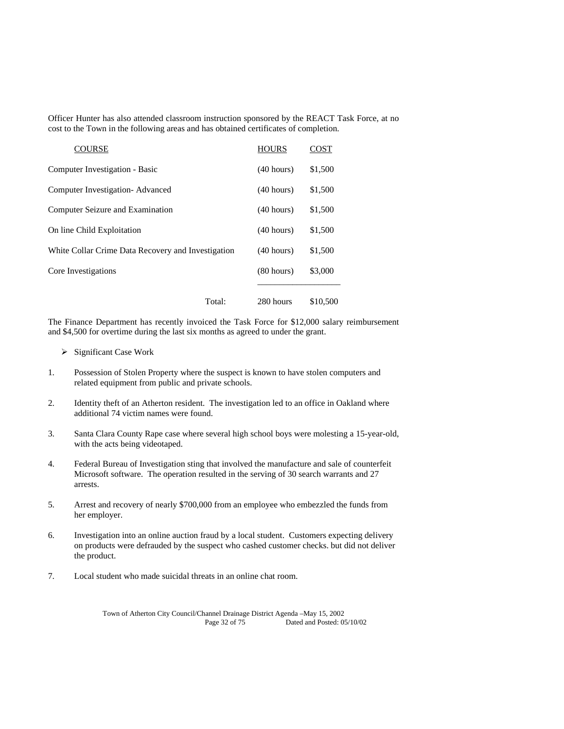Officer Hunter has also attended classroom instruction sponsored by the REACT Task Force, at no cost to the Town in the following areas and has obtained certificates of completion.

| <b>COURSE</b>                                      | <b>HOURS</b>         | COST     |
|----------------------------------------------------|----------------------|----------|
| Computer Investigation - Basic                     | (40 hours)           | \$1,500  |
| Computer Investigation-Advanced                    | (40 hours)           | \$1,500  |
| Computer Seizure and Examination                   | (40 hours)           | \$1,500  |
| On line Child Exploitation                         | (40 hours)           | \$1,500  |
| White Collar Crime Data Recovery and Investigation | (40 hours)           | \$1,500  |
| Core Investigations                                | $(80 \text{ hours})$ | \$3,000  |
| Total:                                             | 280 hours            | \$10,500 |

The Finance Department has recently invoiced the Task Force for \$12,000 salary reimbursement and \$4,500 for overtime during the last six months as agreed to under the grant.

- $\triangleright$  Significant Case Work
- 1. Possession of Stolen Property where the suspect is known to have stolen computers and related equipment from public and private schools.
- 2. Identity theft of an Atherton resident. The investigation led to an office in Oakland where additional 74 victim names were found.
- 3. Santa Clara County Rape case where several high school boys were molesting a 15-year-old, with the acts being videotaped.
- 4. Federal Bureau of Investigation sting that involved the manufacture and sale of counterfeit Microsoft software. The operation resulted in the serving of 30 search warrants and 27 arrests.
- 5. Arrest and recovery of nearly \$700,000 from an employee who embezzled the funds from her employer.
- 6. Investigation into an online auction fraud by a local student. Customers expecting delivery on products were defrauded by the suspect who cashed customer checks. but did not deliver the product.
- 7. Local student who made suicidal threats in an online chat room.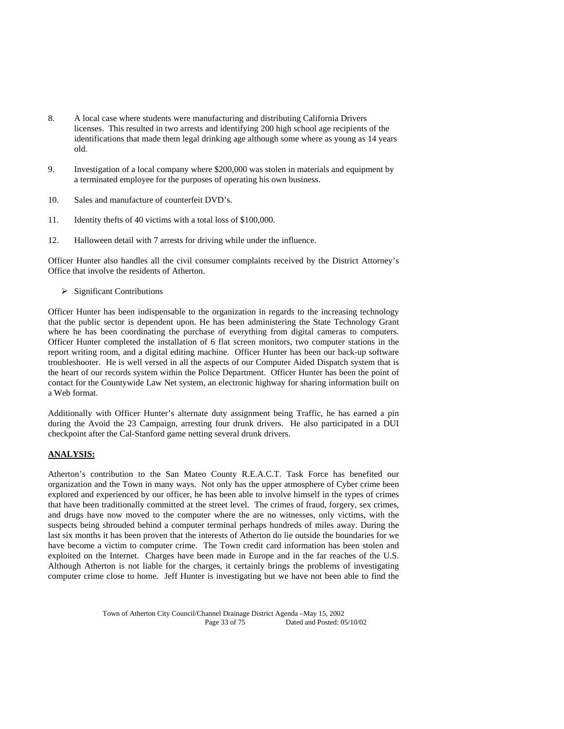- 8. A local case where students were manufacturing and distributing California Drivers licenses. This resulted in two arrests and identifying 200 high school age recipients of the identifications that made them legal drinking age although some where as young as 14 years old.
- 9. Investigation of a local company where \$200,000 was stolen in materials and equipment by a terminated employee for the purposes of operating his own business.
- 10. Sales and manufacture of counterfeit DVD's.
- 11. Identity thefts of 40 victims with a total loss of \$100,000.
- 12. Halloween detail with 7 arrests for driving while under the influence.

Officer Hunter also handles all the civil consumer complaints received by the District Attorney's Office that involve the residents of Atherton.

 $\triangleright$  Significant Contributions

Officer Hunter has been indispensable to the organization in regards to the increasing technology that the public sector is dependent upon. He has been administering the State Technology Grant where he has been coordinating the purchase of everything from digital cameras to computers. Officer Hunter completed the installation of 6 flat screen monitors, two computer stations in the report writing room, and a digital editing machine. Officer Hunter has been our back-up software troubleshooter. He is well versed in all the aspects of our Computer Aided Dispatch system that is the heart of our records system within the Police Department. Officer Hunter has been the point of contact for the Countywide Law Net system, an electronic highway for sharing information built on a Web format.

Additionally with Officer Hunter's alternate duty assignment being Traffic, he has earned a pin during the Avoid the 23 Campaign, arresting four drunk drivers. He also participated in a DUI checkpoint after the Cal-Stanford game netting several drunk drivers.

#### **ANALYSIS:**

Atherton's contribution to the San Mateo County R.E.A.C.T. Task Force has benefited our organization and the Town in many ways. Not only has the upper atmosphere of Cyber crime been explored and experienced by our officer, he has been able to involve himself in the types of crimes that have been traditionally committed at the street level. The crimes of fraud, forgery, sex crimes, and drugs have now moved to the computer where the are no witnesses, only victims, with the suspects being shrouded behind a computer terminal perhaps hundreds of miles away. During the last six months it has been proven that the interests of Atherton do lie outside the boundaries for we have become a victim to computer crime. The Town credit card information has been stolen and exploited on the Internet. Charges have been made in Europe and in the far reaches of the U.S. Although Atherton is not liable for the charges, it certainly brings the problems of investigating computer crime close to home. Jeff Hunter is investigating but we have not been able to find the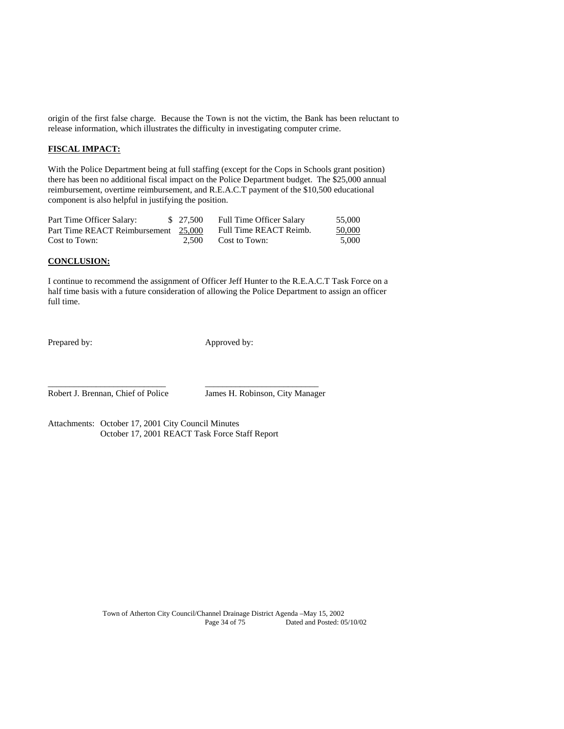origin of the first false charge. Because the Town is not the victim, the Bank has been reluctant to release information, which illustrates the difficulty in investigating computer crime.

### **FISCAL IMPACT:**

With the Police Department being at full staffing (except for the Cops in Schools grant position) there has been no additional fiscal impact on the Police Department budget. The \$25,000 annual reimbursement, overtime reimbursement, and R.E.A.C.T payment of the \$10,500 educational component is also helpful in justifying the position.

| Part Time Officer Salary:            | \$ 27,500 | <b>Full Time Officer Salary</b> | 55,000 |
|--------------------------------------|-----------|---------------------------------|--------|
| Part Time REACT Reimbursement 25,000 |           | Full Time REACT Reimb.          | 50,000 |
| Cost to Town:                        | 2.500     | Cost to Town:                   | 5.000  |

#### **CONCLUSION:**

I continue to recommend the assignment of Officer Jeff Hunter to the R.E.A.C.T Task Force on a half time basis with a future consideration of allowing the Police Department to assign an officer full time.

Prepared by: Approved by:

Robert J. Brennan, Chief of Police James H. Robinson, City Manager

Attachments: October 17, 2001 City Council Minutes October 17, 2001 REACT Task Force Staff Report

\_\_\_\_\_\_\_\_\_\_\_\_\_\_\_\_\_\_\_\_\_\_\_\_\_\_\_ \_\_\_\_\_\_\_\_\_\_\_\_\_\_\_\_\_\_\_\_\_\_\_\_\_\_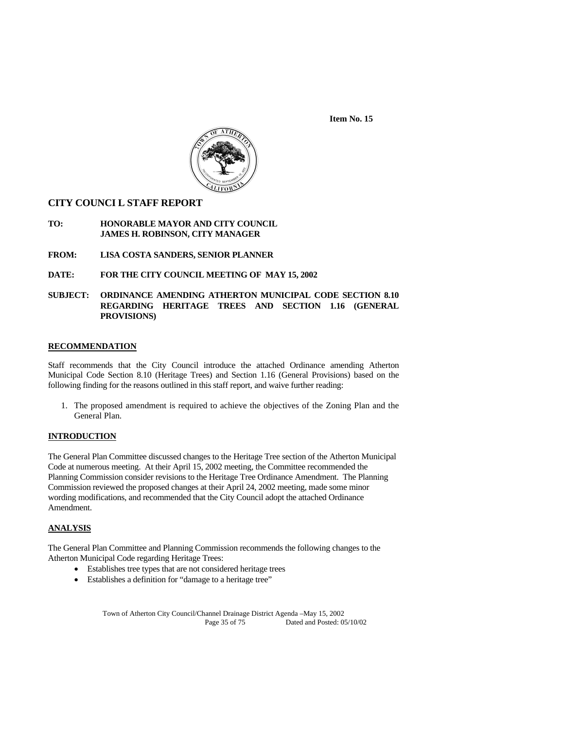**Item No. 15** 



## **CITY COUNCI L STAFF REPORT**

#### **TO: HONORABLE MAYOR AND CITY COUNCIL JAMES H. ROBINSON, CITY MANAGER**

- **FROM: LISA COSTA SANDERS, SENIOR PLANNER**
- **DATE: FOR THE CITY COUNCIL MEETING OF MAY 15, 2002**
- **SUBJECT: ORDINANCE AMENDING ATHERTON MUNICIPAL CODE SECTION 8.10 REGARDING HERITAGE TREES AND SECTION 1.16 (GENERAL PROVISIONS)**

#### **RECOMMENDATION**

Staff recommends that the City Council introduce the attached Ordinance amending Atherton Municipal Code Section 8.10 (Heritage Trees) and Section 1.16 (General Provisions) based on the following finding for the reasons outlined in this staff report, and waive further reading:

1. The proposed amendment is required to achieve the objectives of the Zoning Plan and the General Plan.

#### **INTRODUCTION**

The General Plan Committee discussed changes to the Heritage Tree section of the Atherton Municipal Code at numerous meeting. At their April 15, 2002 meeting, the Committee recommended the Planning Commission consider revisions to the Heritage Tree Ordinance Amendment. The Planning Commission reviewed the proposed changes at their April 24, 2002 meeting, made some minor wording modifications, and recommended that the City Council adopt the attached Ordinance Amendment.

#### **ANALYSIS**

The General Plan Committee and Planning Commission recommends the following changes to the Atherton Municipal Code regarding Heritage Trees:

- Establishes tree types that are not considered heritage trees
- Establishes a definition for "damage to a heritage tree"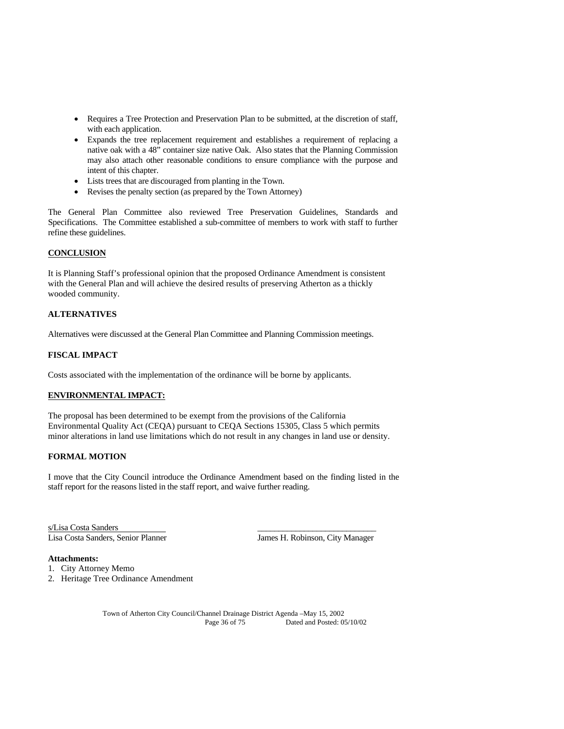- Requires a Tree Protection and Preservation Plan to be submitted, at the discretion of staff, with each application.
- Expands the tree replacement requirement and establishes a requirement of replacing a native oak with a 48" container size native Oak. Also states that the Planning Commission may also attach other reasonable conditions to ensure compliance with the purpose and intent of this chapter.
- Lists trees that are discouraged from planting in the Town.
- Revises the penalty section (as prepared by the Town Attorney)

The General Plan Committee also reviewed Tree Preservation Guidelines, Standards and Specifications. The Committee established a sub-committee of members to work with staff to further refine these guidelines.

#### **CONCLUSION**

It is Planning Staff's professional opinion that the proposed Ordinance Amendment is consistent with the General Plan and will achieve the desired results of preserving Atherton as a thickly wooded community.

#### **ALTERNATIVES**

Alternatives were discussed at the General Plan Committee and Planning Commission meetings.

#### **FISCAL IMPACT**

Costs associated with the implementation of the ordinance will be borne by applicants.

#### **ENVIRONMENTAL IMPACT:**

The proposal has been determined to be exempt from the provisions of the California Environmental Quality Act (CEQA) pursuant to CEQA Sections 15305, Class 5 which permits minor alterations in land use limitations which do not result in any changes in land use or density.

#### **FORMAL MOTION**

I move that the City Council introduce the Ordinance Amendment based on the finding listed in the staff report for the reasons listed in the staff report, and waive further reading.

s/Lisa Costa Sanders<br>Lisa Costa Sanders, Senior Planner

James H. Robinson, City Manager

#### **Attachments:**

- 1. City Attorney Memo
- 2. Heritage Tree Ordinance Amendment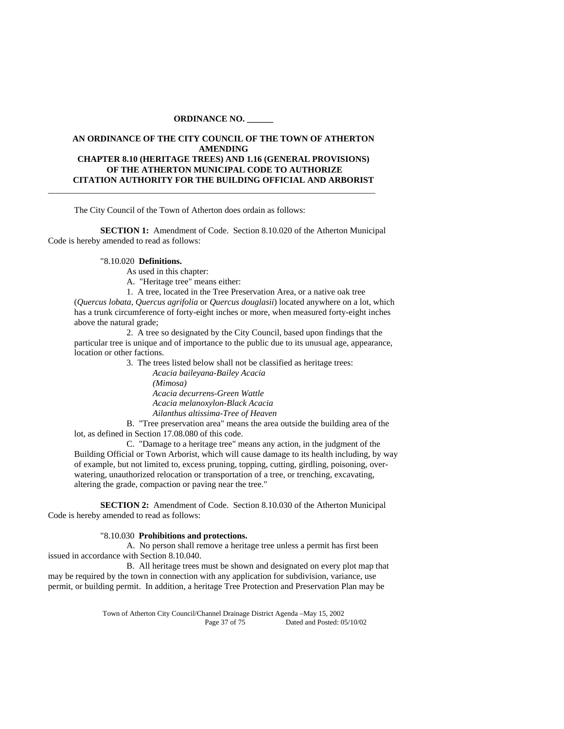#### **ORDINANCE NO. \_\_\_\_\_\_**

## **AN ORDINANCE OF THE CITY COUNCIL OF THE TOWN OF ATHERTON AMENDING CHAPTER 8.10 (HERITAGE TREES) AND 1.16 (GENERAL PROVISIONS) OF THE ATHERTON MUNICIPAL CODE TO AUTHORIZE CITATION AUTHORITY FOR THE BUILDING OFFICIAL AND ARBORIST**  \_\_\_\_\_\_\_\_\_\_\_\_\_\_\_\_\_\_\_\_\_\_\_\_\_\_\_\_\_\_\_\_\_\_\_\_\_\_\_\_\_\_\_\_\_\_\_\_\_\_\_\_\_\_\_\_\_\_\_\_\_\_\_\_\_\_\_\_\_\_\_\_\_\_\_

The City Council of the Town of Atherton does ordain as follows:

**SECTION 1:** Amendment of Code. Section 8.10.020 of the Atherton Municipal Code is hereby amended to read as follows:

## "8.10.020 **Definitions.**

As used in this chapter:

A. "Heritage tree" means either:

1. A tree, located in the Tree Preservation Area, or a native oak tree

(*Quercus lobata, Quercus agrifolia* or *Quercus douglasii*) located anywhere on a lot, which has a trunk circumference of forty-eight inches or more, when measured forty-eight inches above the natural grade;

 2. A tree so designated by the City Council, based upon findings that the particular tree is unique and of importance to the public due to its unusual age, appearance, location or other factions.

> 3. The trees listed below shall not be classified as heritage trees: *Acacia baileyana-Bailey Acacia (Mimosa) Acacia decurrens-Green Wattle Acacia melanoxylon-Black Acacia Ailanthus altissima-Tree of Heaven*

 B. "Tree preservation area" means the area outside the building area of the lot, as defined in Section 17.08.080 of this code.

 C. "Damage to a heritage tree" means any action, in the judgment of the Building Official or Town Arborist, which will cause damage to its health including, by way of example, but not limited to, excess pruning, topping, cutting, girdling, poisoning, overwatering, unauthorized relocation or transportation of a tree, or trenching, excavating, altering the grade, compaction or paving near the tree."

 **SECTION 2:** Amendment of Code. Section 8.10.030 of the Atherton Municipal Code is hereby amended to read as follows:

## "8.10.030 **Prohibitions and protections.**

 A. No person shall remove a heritage tree unless a permit has first been issued in accordance with Section 8.10.040.

 B. All heritage trees must be shown and designated on every plot map that may be required by the town in connection with any application for subdivision, variance, use permit, or building permit. In addition, a heritage Tree Protection and Preservation Plan may be

> Town of Atherton City Council/Channel Drainage District Agenda –May 15, 2002 Page 37 of 75 Dated and Posted: 05/10/02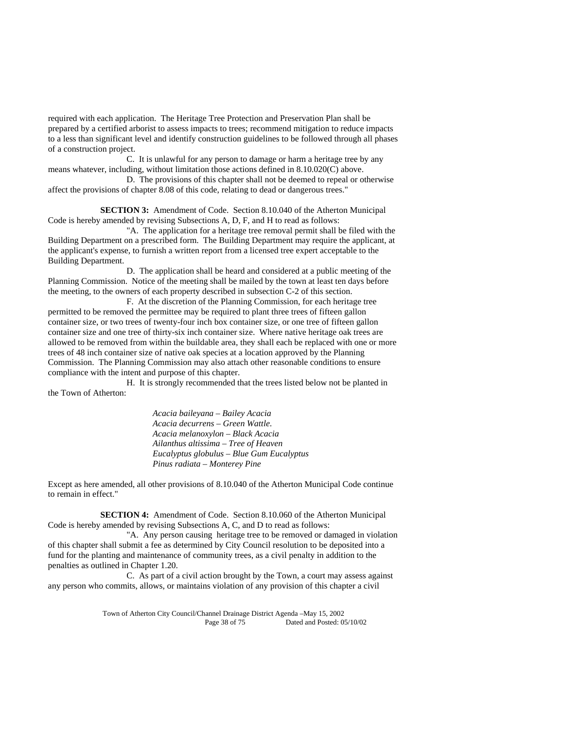required with each application. The Heritage Tree Protection and Preservation Plan shall be prepared by a certified arborist to assess impacts to trees; recommend mitigation to reduce impacts to a less than significant level and identify construction guidelines to be followed through all phases of a construction project.

 C. It is unlawful for any person to damage or harm a heritage tree by any means whatever, including, without limitation those actions defined in 8.10.020(C) above.

 D. The provisions of this chapter shall not be deemed to repeal or otherwise affect the provisions of chapter 8.08 of this code, relating to dead or dangerous trees."

**SECTION 3:** Amendment of Code. Section 8.10.040 of the Atherton Municipal Code is hereby amended by revising Subsections A, D, F, and H to read as follows:

 "A. The application for a heritage tree removal permit shall be filed with the Building Department on a prescribed form. The Building Department may require the applicant, at the applicant's expense, to furnish a written report from a licensed tree expert acceptable to the Building Department.

 D. The application shall be heard and considered at a public meeting of the Planning Commission. Notice of the meeting shall be mailed by the town at least ten days before the meeting, to the owners of each property described in subsection C-2 of this section.

 F. At the discretion of the Planning Commission, for each heritage tree permitted to be removed the permittee may be required to plant three trees of fifteen gallon container size, or two trees of twenty-four inch box container size, or one tree of fifteen gallon container size and one tree of thirty-six inch container size. Where native heritage oak trees are allowed to be removed from within the buildable area, they shall each be replaced with one or more trees of 48 inch container size of native oak species at a location approved by the Planning Commission. The Planning Commission may also attach other reasonable conditions to ensure compliance with the intent and purpose of this chapter.

 H. It is strongly recommended that the trees listed below not be planted in the Town of Atherton:

> *Acacia baileyana – Bailey Acacia Acacia decurrens – Green Wattle*.  *Acacia melanoxylon – Black Acacia Ailanthus altissima – Tree of Heaven Eucalyptus globulus – Blue Gum Eucalyptus Pinus radiata – Monterey Pine*

Except as here amended, all other provisions of 8.10.040 of the Atherton Municipal Code continue to remain in effect."

 **SECTION 4:** Amendment of Code. Section 8.10.060 of the Atherton Municipal Code is hereby amended by revising Subsections A, C, and D to read as follows:

 "A. Any person causing heritage tree to be removed or damaged in violation of this chapter shall submit a fee as determined by City Council resolution to be deposited into a fund for the planting and maintenance of community trees, as a civil penalty in addition to the penalties as outlined in Chapter 1.20.

 C. As part of a civil action brought by the Town, a court may assess against any person who commits, allows, or maintains violation of any provision of this chapter a civil

> Town of Atherton City Council/Channel Drainage District Agenda –May 15, 2002 Dated and Posted: 05/10/02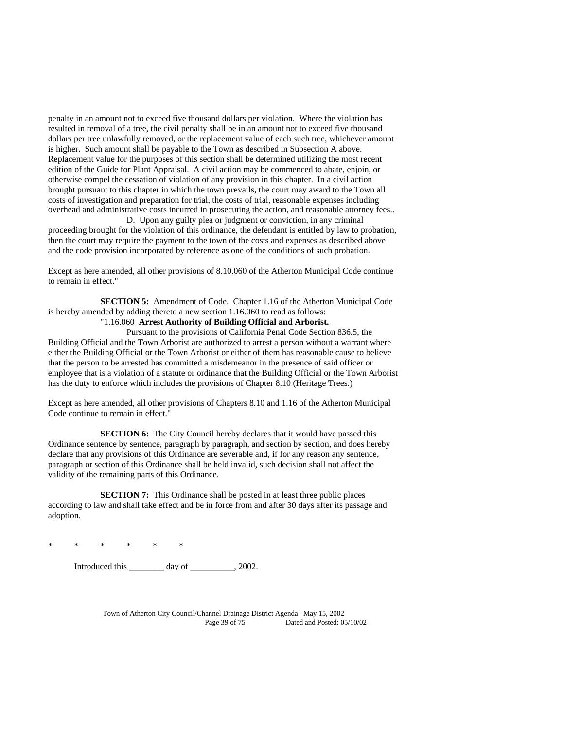penalty in an amount not to exceed five thousand dollars per violation. Where the violation has resulted in removal of a tree, the civil penalty shall be in an amount not to exceed five thousand dollars per tree unlawfully removed, or the replacement value of each such tree, whichever amount is higher. Such amount shall be payable to the Town as described in Subsection A above. Replacement value for the purposes of this section shall be determined utilizing the most recent edition of the Guide for Plant Appraisal. A civil action may be commenced to abate, enjoin, or otherwise compel the cessation of violation of any provision in this chapter. In a civil action brought pursuant to this chapter in which the town prevails, the court may award to the Town all costs of investigation and preparation for trial, the costs of trial, reasonable expenses including overhead and administrative costs incurred in prosecuting the action, and reasonable attorney fees.. D. Upon any guilty plea or judgment or conviction, in any criminal

proceeding brought for the violation of this ordinance, the defendant is entitled by law to probation, then the court may require the payment to the town of the costs and expenses as described above and the code provision incorporated by reference as one of the conditions of such probation.

Except as here amended, all other provisions of 8.10.060 of the Atherton Municipal Code continue to remain in effect."

 **SECTION 5:** Amendment of Code. Chapter 1.16 of the Atherton Municipal Code is hereby amended by adding thereto a new section 1.16.060 to read as follows:

#### "1.16.060 **Arrest Authority of Building Official and Arborist.**

 Pursuant to the provisions of California Penal Code Section 836.5, the Building Official and the Town Arborist are authorized to arrest a person without a warrant where either the Building Official or the Town Arborist or either of them has reasonable cause to believe that the person to be arrested has committed a misdemeanor in the presence of said officer or employee that is a violation of a statute or ordinance that the Building Official or the Town Arborist has the duty to enforce which includes the provisions of Chapter 8.10 (Heritage Trees.)

Except as here amended, all other provisions of Chapters 8.10 and 1.16 of the Atherton Municipal Code continue to remain in effect."

**SECTION 6:** The City Council hereby declares that it would have passed this Ordinance sentence by sentence, paragraph by paragraph, and section by section, and does hereby declare that any provisions of this Ordinance are severable and, if for any reason any sentence, paragraph or section of this Ordinance shall be held invalid, such decision shall not affect the validity of the remaining parts of this Ordinance.

**SECTION 7:** This Ordinance shall be posted in at least three public places according to law and shall take effect and be in force from and after 30 days after its passage and adoption.

\* \* \* \* \* \*

Introduced this \_\_\_\_\_\_\_\_ day of \_\_\_\_\_\_\_\_\_\_, 2002.

Town of Atherton City Council/Channel Drainage District Agenda –May 15, 2002 Page 39 of 75 Dated and Posted: 05/10/02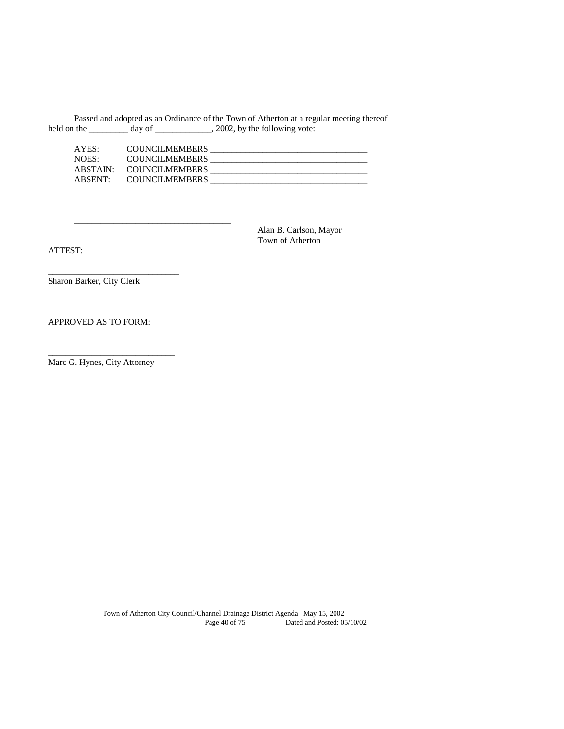Passed and adopted as an Ordinance of the Town of Atherton at a regular meeting thereof held on the \_\_\_\_\_\_\_\_\_ day of \_\_\_\_\_\_\_\_\_\_\_\_, 2002, by the following vote:

| AYES:    | <b>COUNCILMEMBERS</b> |  |
|----------|-----------------------|--|
| NOES:    | <b>COUNCILMEMBERS</b> |  |
| ABSTAIN: | <b>COUNCILMEMBERS</b> |  |
| ABSENT:  | <b>COUNCILMEMBERS</b> |  |

 Alan B. Carlson, Mayor Town of Atherton

ATTEST:

Sharon Barker, City Clerk

\_\_\_\_\_\_\_\_\_\_\_\_\_\_\_\_\_\_\_\_\_\_\_\_\_\_\_\_\_\_

 $\frac{1}{\sqrt{2}}$  ,  $\frac{1}{\sqrt{2}}$  ,  $\frac{1}{\sqrt{2}}$  ,  $\frac{1}{\sqrt{2}}$  ,  $\frac{1}{\sqrt{2}}$  ,  $\frac{1}{\sqrt{2}}$  ,  $\frac{1}{\sqrt{2}}$  ,  $\frac{1}{\sqrt{2}}$  ,  $\frac{1}{\sqrt{2}}$  ,  $\frac{1}{\sqrt{2}}$  ,  $\frac{1}{\sqrt{2}}$  ,  $\frac{1}{\sqrt{2}}$  ,  $\frac{1}{\sqrt{2}}$  ,  $\frac{1}{\sqrt{2}}$  ,  $\frac{1}{\sqrt{2}}$ 

# APPROVED AS TO FORM:

Marc G. Hynes, City Attorney

\_\_\_\_\_\_\_\_\_\_\_\_\_\_\_\_\_\_\_\_\_\_\_\_\_\_\_\_\_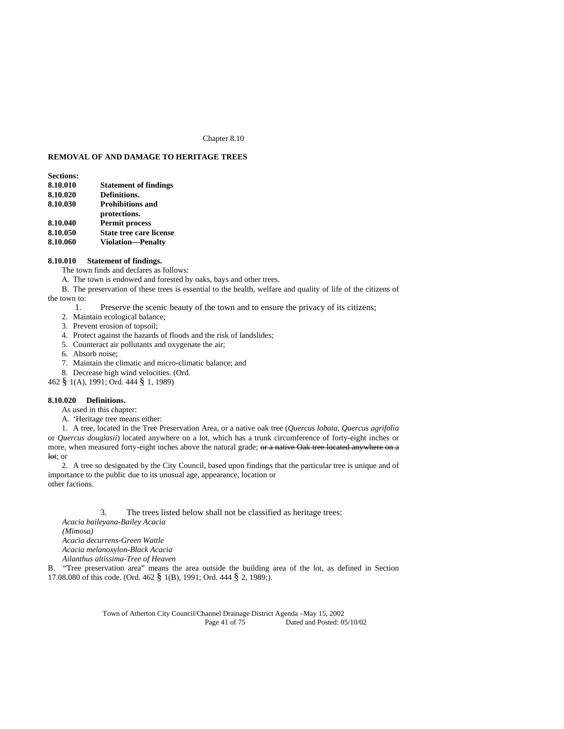#### Chapter 8.10

## **REMOVAL OF AND DAMAGE TO HERITAGE TREES**

| <b>Sections:</b> |                                |
|------------------|--------------------------------|
| 8.10.010         | <b>Statement of findings</b>   |
| 8.10.020         | Definitions.                   |
| 8.10.030         | <b>Prohibitions and</b>        |
|                  | protections.                   |
| 8.10.040         | <b>Permit process</b>          |
| 8.10.050         | <b>State tree care license</b> |
| 8.10.060         | <b>Violation-Penalty</b>       |
|                  |                                |

## **8.10.010 Statement of findings.**

- The town finds and declares as follows:
- A. The town is endowed and forested by oaks, bays and other trees.
- B. The preservation of these trees is essential to the health, welfare and quality of life of the citizens of the town to:
	- 1. Preserve the scenic beauty of the town and to ensure the privacy of its citizens;
	- 2. Maintain ecological balance;
	- 3. Prevent erosion of topsoil;
	- 4. Protect against the hazards of floods and the risk of landslides;
	- 5. Counteract air pollutants and oxygenate the air;
	- 6. Absorb noise;
	- 7. Maintain the climatic and micro-climatic balance; and
- 8. Decrease high wind velocities. (Ord.
- 462 § 1(A), 1991; Ord. 444 § 1, 1989)

#### **8.10.020 Definitions.**

As used in this chapter:

A. 'Heritage tree means either:

1. A tree, located in the Tree Preservation Area, or a native oak tree (*Quercus lobata*, *Quercus agrifolia* or *Quercus douglasii*) located anywhere on a lot, which has a trunk circumference of forty-eight inches or more, when measured forty-eight inches above the natural grade; or a native Oak tree located anywhere on a lot; or

2. A tree so designated by the City Council, based upon findings that the particular tree is unique and of importance to the public due to its unusual age, appearance, location or other factions.

3. The trees listed below shall not be classified as heritage trees:

*Acacia baileyana-Bailey Acacia (Mimosa) Acacia decurrens-Green Wattle Acacia melanoxylon-Black Acacia Ailanthus altissima-Tree of Heaven* 

B. "Tree preservation area" means the area outside the building area of the lot, as defined in Section 17.08.080 of this code. (Ord. 462 § 1(B), 1991; Ord. 444 § 2, 1989;).

> Town of Atherton City Council/Channel Drainage District Agenda –May 15, 2002 Page 41 of 75 Dated and Posted: 05/10/02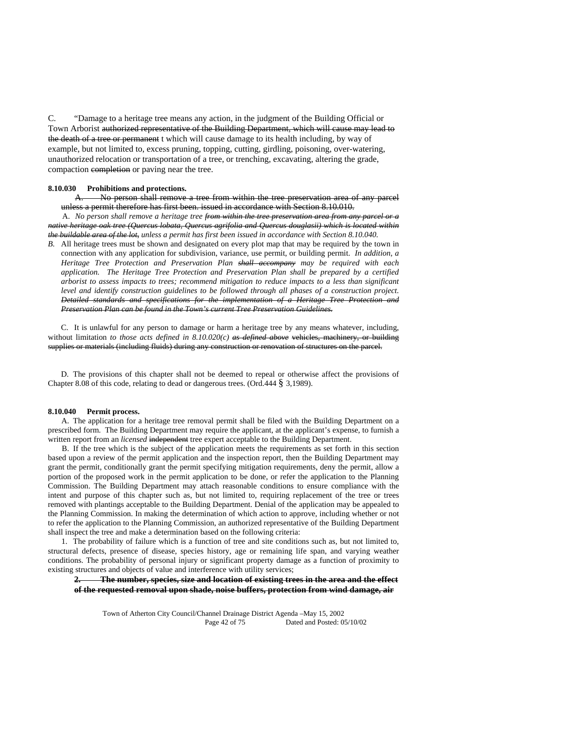C. "Damage to a heritage tree means any action, in the judgment of the Building Official or Town Arborist authorized representative of the Building Department, which will cause may lead to the death of a tree or permanent t which will cause damage to its health including, by way of example, but not limited to, excess pruning, topping, cutting, girdling, poisoning, over-watering, unauthorized relocation or transportation of a tree, or trenching, excavating, altering the grade, compaction completion or paving near the tree.

#### **8.10.030 Prohibitions and protections.**

A. No person shall remove a tree from within the tree preservation area of any parcel unless a permit therefore has first been. issued in accordance with Section 8.10.010.

A. *No person shall remove a heritage tree from within the tree preservation area from any parcel or a native heritage oak tree (Quercus lobata, Quercus agrifolia and Quercus douglasii) which is located within the buildable area of the lot, unless a permit has first been issued in accordance with Section 8.10.040.* 

*B.* All heritage trees must be shown and designated on every plot map that may be required by the town in connection with any application for subdivision, variance, use permit, or building permit. *In addition, a Heritage Tree Protection and Preservation Plan shall accompany may be required with each application. The Heritage Tree Protection and Preservation Plan shall be prepared by a certified arborist to assess impacts to trees; recommend mitigation to reduce impacts to a less than significant level and identify construction guidelines to be followed through all phases of a construction project. Detailed standards and specifications for the implementation of a Heritage Tree Protection and Preservation Plan can be found in the Town's current Tree Preservation Guidelines.*

C. It is unlawful for any person to damage or harm a heritage tree by any means whatever, including, without limitation *to those acts defined in 8.10.020(c) as defined above* vehicles, machinery, or building supplies or materials (including fluids) during any construction or renovation of structures on the parcel.

D. The provisions of this chapter shall not be deemed to repeal or otherwise affect the provisions of Chapter 8.08 of this code, relating to dead or dangerous trees. (Ord.444 § 3,1989).

#### **8.10.040 Permit process.**

A. The application for a heritage tree removal permit shall be filed with the Building Department on a prescribed form. The Building Department may require the applicant, at the applicant's expense, to furnish a written report from an *licensed* independent tree expert acceptable to the Building Department.

B. If the tree which is the subject of the application meets the requirements as set forth in this section based upon a review of the permit application and the inspection report, then the Building Department may grant the permit, conditionally grant the permit specifying mitigation requirements, deny the permit, allow a portion of the proposed work in the permit application to be done, or refer the application to the Planning Commission. The Building Department may attach reasonable conditions to ensure compliance with the intent and purpose of this chapter such as, but not limited to, requiring replacement of the tree or trees removed with plantings acceptable to the Building Department. Denial of the application may be appealed to the Planning Commission. In making the determination of which action to approve, including whether or not to refer the application to the Planning Commission, an authorized representative of the Building Department shall inspect the tree and make a determination based on the following criteria:

1. The probability of failure which is a function of tree and site conditions such as, but not limited to, structural defects, presence of disease, species history, age or remaining life span, and varying weather conditions. The probability of personal injury or significant property damage as a function of proximity to existing structures and objects of value and interference with utility services;

#### **2. The number, species, size and location of existing trees in the area and the effect of the requested removal upon shade, noise buffers, protection from wind damage, air**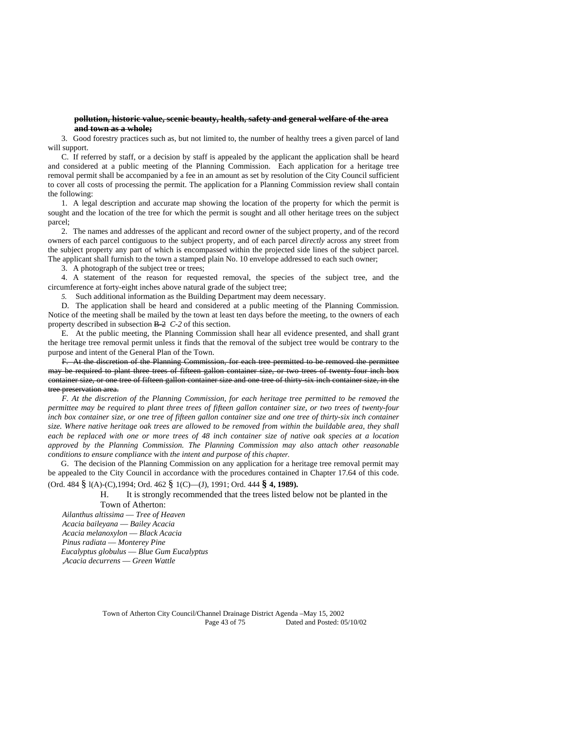#### **pollution, historic value, scenic beauty, health, safety and general welfare of the area and town as a whole;**

3. Good forestry practices such as, but not limited to, the number of healthy trees a given parcel of land will support.

C. If referred by staff, or a decision by staff is appealed by the applicant the application shall be heard and considered at a public meeting of the Planning Commission. Each application for a heritage tree removal permit shall be accompanied by a fee in an amount as set by resolution of the City Council sufficient to cover all costs of processing the permit. The application for a Planning Commission review shall contain the following:

1. A legal description and accurate map showing the location of the property for which the permit is sought and the location of the tree for which the permit is sought and all other heritage trees on the subject parcel;

2. The names and addresses of the applicant and record owner of the subject property, and of the record owners of each parcel contiguous to the subject property, and of each parcel *directly* across any street from the subject property any part of which is encompassed within the projected side lines of the subject parcel. The applicant shall furnish to the town a stamped plain No. 10 envelope addressed to each such owner;

3. A photograph of the subject tree or trees;

4. A statement of the reason for requested removal, the species of the subject tree, and the circumference at forty-eight inches above natural grade of the subject tree;

*5.* Such additional information as the Building Department may deem necessary.

D. The application shall be heard and considered at a public meeting of the Planning Commission. Notice of the meeting shall be mailed by the town at least ten days before the meeting, to the owners of each property described in subsection B-2 *C-2* of this section.

E. At the public meeting, the Planning Commission shall hear all evidence presented, and shall grant the heritage tree removal permit unless it finds that the removal of the subject tree would be contrary to the purpose and intent of the General Plan of the Town.

F. At the discretion of the Planning Commission, for each tree permitted to be removed the permittee may be required to plant three trees of fifteen gallon container size, or two trees of twenty-four inch box container size, or one tree of fifteen gallon container size and one tree of thirty-six inch container size, in the tree preservation area.

*F. At the discretion of the Planning Commission, for each heritage tree permitted to be removed the permittee may be required to plant three trees of fifteen gallon container size, or two trees of twenty-four inch box container size, or one tree of fifteen gallon container size and one tree of thirty-six inch container size. Where native heritage oak trees are allowed to be removed from within the buildable area, they shall each be replaced with one or more trees of 48 inch container size of native oak species at a location approved by the Planning Commission. The Planning Commission may also attach other reasonable conditions to ensure compliance* with *the intent and purpose of this chapter.* 

G. The decision of the Planning Commission on any application for a heritage tree removal permit may be appealed to the City Council in accordance with the procedures contained in Chapter 17.64 of this code.

# (Ord. 484 § l(A)-(C),1994; Ord. 462 § 1(C)—(J), 1991; Ord. 444 **§ 4, 1989).**

H. It is strongly recommended that the trees listed below not be planted in the Town of Atherton:

*Ailanthus altissima* — *Tree of Heaven Acacia baileyana* — *Bailey Acacia Acacia melanoxylon* — *Black Acacia Pinus radiata* — *Monterey Pine Eucalyptus globulus* — *Blue Gum Eucalyptus ,Acacia decurrens* — *Green Wattle* 

> Town of Atherton City Council/Channel Drainage District Agenda –May 15, 2002 Page 43 of 75 Dated and Posted: 05/10/02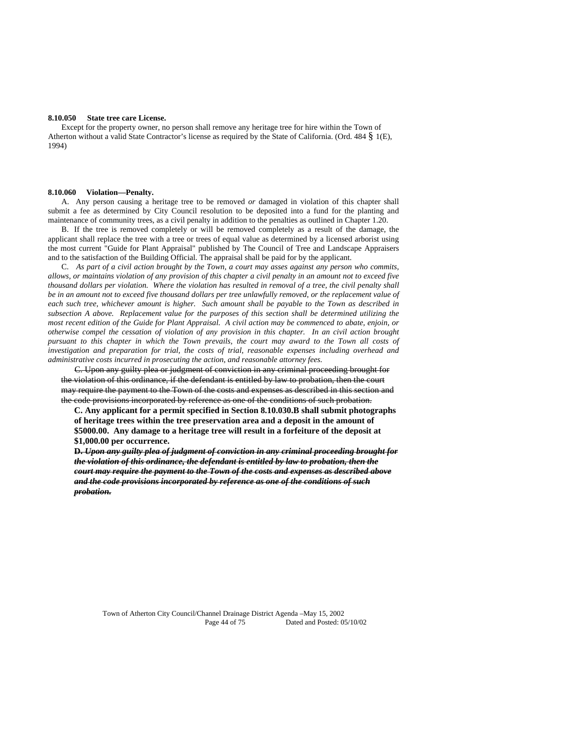#### **8.10.050 State tree care License.**

Except for the property owner, no person shall remove any heritage tree for hire within the Town of Atherton without a valid State Contractor's license as required by the State of California. (Ord. 484 § 1(E), 1994)

#### **8.10.060 Violation—Penalty.**

A. Any person causing a heritage tree to be removed *or* damaged in violation of this chapter shall submit a fee as determined by City Council resolution to be deposited into a fund for the planting and maintenance of community trees, as a civil penalty in addition to the penalties as outlined in Chapter 1.20.

B. If the tree is removed completely or will be removed completely as a result of the damage, the applicant shall replace the tree with a tree or trees of equal value as determined by a licensed arborist using the most current "Guide for Plant Appraisal" published by The Council of Tree and Landscape Appraisers and to the satisfaction of the Building Official. The appraisal shall be paid for by the applicant.

C. *As part of a civil action brought by the Town, a court may asses against any person who commits, allows, or maintains violation of any provision of this chapter a civil penalty in an amount not to exceed five thousand dollars per violation. Where the violation has resulted in removal of a tree, the civil penalty shall be in an amount not to exceed five thousand dollars per tree unlawfully removed, or the replacement value of each such tree, whichever amount is higher. Such amount shall be payable to the Town as described in subsection A above. Replacement value for the purposes of this section shall be determined utilizing the most recent edition of the Guide for Plant Appraisal. A civil action may be commenced to abate, enjoin, or otherwise compel the cessation of violation of any provision in this chapter. In an civil action brought pursuant to this chapter in which the Town prevails, the court may award to the Town all costs of investigation and preparation for trial, the costs of trial, reasonable expenses including overhead and administrative costs incurred in prosecuting the action, and reasonable attorney fees.* 

C. Upon any guilty plea or judgment of conviction in any criminal proceeding brought for the violation of this ordinance, if the defendant is entitled by law to probation, then the court may require the payment to the Town of the costs and expenses as described in this section and the code provisions incorporated by reference as one of the conditions of such probation.

**C. Any applicant for a permit specified in Section 8.10.030.B shall submit photographs of heritage trees within the tree preservation area and a deposit in the amount of \$5000.00. Any damage to a heritage tree will result in a forfeiture of the deposit at \$1,000.00 per occurrence.** 

**D.** *Upon any guilty plea of judgment of conviction in any criminal proceeding brought for the violation of this ordinance, the defendant is entitled by law to probation, then the court may require the payment to the Town of the costs and expenses as described above and the code provisions incorporated by reference as one of the conditions of such probation.* 

Town of Atherton City Council/Channel Drainage District Agenda –May 15, 2002 Page 44 of 75 Dated and Posted: 05/10/02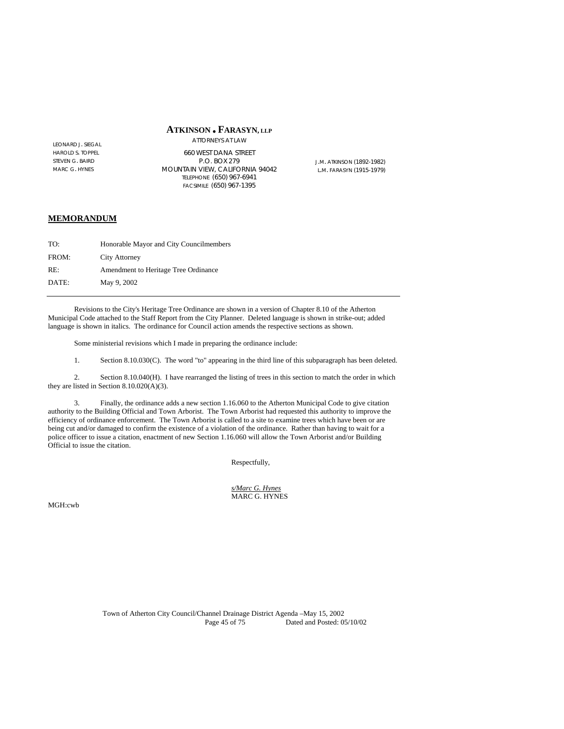## **ATKINSON FARASYN, LLP**

LEONARD J. SIEGAL HAROLD S. TOPPEL STEVEN G. BAIRD MARC G. HYNES

ATTORNEYS AT LAW 660 WEST DANA STREET P.O. BOX 279 MOUNTAIN VIEW, CALIFORNIA 94042 TELEPHONE (650) 967-6941 FACSIMILE (650) 967-1395

J.M. ATKINSON (1892-1982) L.M. FARASYN (1915-1979)

## **MEMORANDUM**

| TO:   | Honorable Mayor and City Councilmembers |
|-------|-----------------------------------------|
| FROM: | <b>City Attorney</b>                    |
| RE:   | Amendment to Heritage Tree Ordinance    |
| DATE: | May 9, 2002                             |

 Revisions to the City's Heritage Tree Ordinance are shown in a version of Chapter 8.10 of the Atherton Municipal Code attached to the Staff Report from the City Planner. Deleted language is shown in strike-out; added language is shown in italics. The ordinance for Council action amends the respective sections as shown.

Some ministerial revisions which I made in preparing the ordinance include:

1. Section 8.10.030(C). The word "to" appearing in the third line of this subparagraph has been deleted.

 2. Section 8.10.040(H). I have rearranged the listing of trees in this section to match the order in which they are listed in Section 8.10.020(A)(3).

 3. Finally, the ordinance adds a new section 1.16.060 to the Atherton Municipal Code to give citation authority to the Building Official and Town Arborist. The Town Arborist had requested this authority to improve the efficiency of ordinance enforcement. The Town Arborist is called to a site to examine trees which have been or are being cut and/or damaged to confirm the existence of a violation of the ordinance. Rather than having to wait for a police officer to issue a citation, enactment of new Section 1.16.060 will allow the Town Arborist and/or Building Official to issue the citation.

Respectfully,

 *s/Marc G. Hynes* MARC G. HYNES

MGH:cwb

Town of Atherton City Council/Channel Drainage District Agenda –May 15, 2002 Dated and Posted: 05/10/02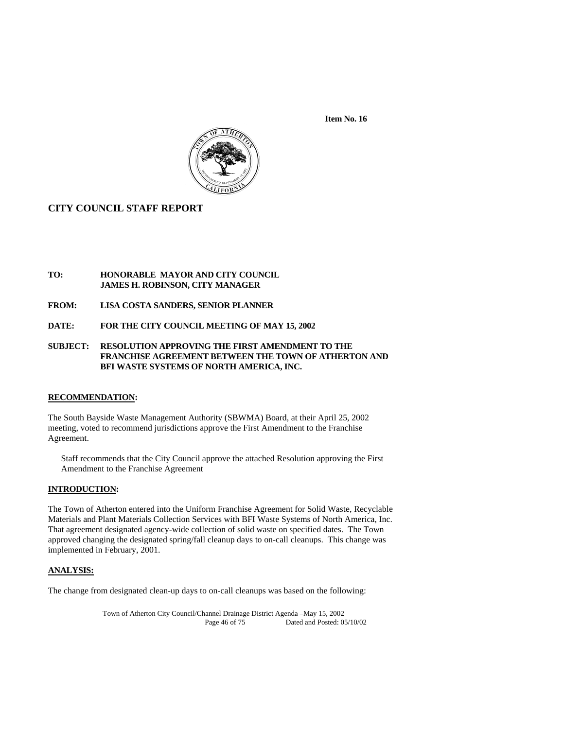**Item No. 16** 



## **CITY COUNCIL STAFF REPORT**

## **TO: HONORABLE MAYOR AND CITY COUNCIL JAMES H. ROBINSON, CITY MANAGER**

- **FROM: LISA COSTA SANDERS, SENIOR PLANNER**
- **DATE: FOR THE CITY COUNCIL MEETING OF MAY 15, 2002**

## **SUBJECT: RESOLUTION APPROVING THE FIRST AMENDMENT TO THE FRANCHISE AGREEMENT BETWEEN THE TOWN OF ATHERTON AND BFI WASTE SYSTEMS OF NORTH AMERICA, INC.**

#### **RECOMMENDATION:**

The South Bayside Waste Management Authority (SBWMA) Board, at their April 25, 2002 meeting, voted to recommend jurisdictions approve the First Amendment to the Franchise Agreement.

Staff recommends that the City Council approve the attached Resolution approving the First Amendment to the Franchise Agreement

## **INTRODUCTION:**

The Town of Atherton entered into the Uniform Franchise Agreement for Solid Waste, Recyclable Materials and Plant Materials Collection Services with BFI Waste Systems of North America, Inc. That agreement designated agency-wide collection of solid waste on specified dates. The Town approved changing the designated spring/fall cleanup days to on-call cleanups. This change was implemented in February, 2001.

#### **ANALYSIS:**

The change from designated clean-up days to on-call cleanups was based on the following:

Town of Atherton City Council/Channel Drainage District Agenda –May 15, 2002 Dated and Posted: 05/10/02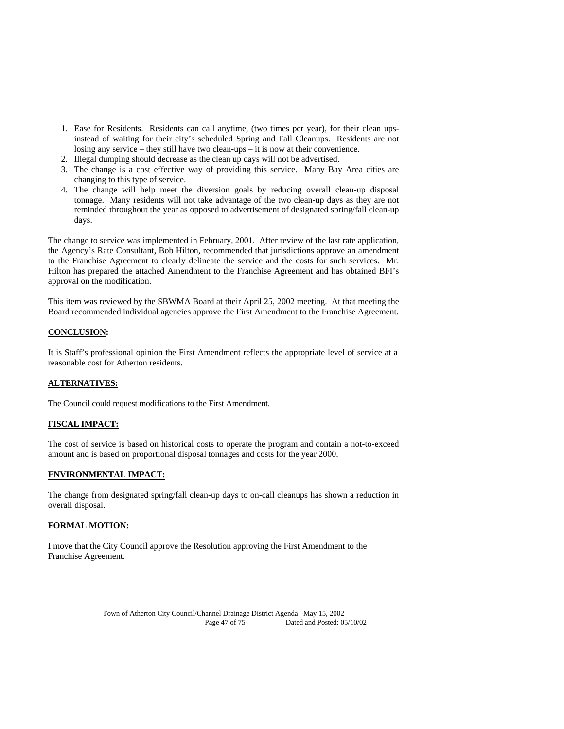- 1. Ease for Residents. Residents can call anytime, (two times per year), for their clean upsinstead of waiting for their city's scheduled Spring and Fall Cleanups. Residents are not losing any service – they still have two clean-ups – it is now at their convenience.
- 2. Illegal dumping should decrease as the clean up days will not be advertised.
- 3. The change is a cost effective way of providing this service. Many Bay Area cities are changing to this type of service.
- 4. The change will help meet the diversion goals by reducing overall clean-up disposal tonnage. Many residents will not take advantage of the two clean-up days as they are not reminded throughout the year as opposed to advertisement of designated spring/fall clean-up days.

The change to service was implemented in February, 2001. After review of the last rate application, the Agency's Rate Consultant, Bob Hilton, recommended that jurisdictions approve an amendment to the Franchise Agreement to clearly delineate the service and the costs for such services. Mr. Hilton has prepared the attached Amendment to the Franchise Agreement and has obtained BFI's approval on the modification.

This item was reviewed by the SBWMA Board at their April 25, 2002 meeting. At that meeting the Board recommended individual agencies approve the First Amendment to the Franchise Agreement.

## **CONCLUSION:**

It is Staff's professional opinion the First Amendment reflects the appropriate level of service at a reasonable cost for Atherton residents.

## **ALTERNATIVES:**

The Council could request modifications to the First Amendment.

#### **FISCAL IMPACT:**

The cost of service is based on historical costs to operate the program and contain a not-to-exceed amount and is based on proportional disposal tonnages and costs for the year 2000.

#### **ENVIRONMENTAL IMPACT:**

The change from designated spring/fall clean-up days to on-call cleanups has shown a reduction in overall disposal.

## **FORMAL MOTION:**

I move that the City Council approve the Resolution approving the First Amendment to the Franchise Agreement.

> Town of Atherton City Council/Channel Drainage District Agenda –May 15, 2002 Page 47 of 75 Dated and Posted: 05/10/02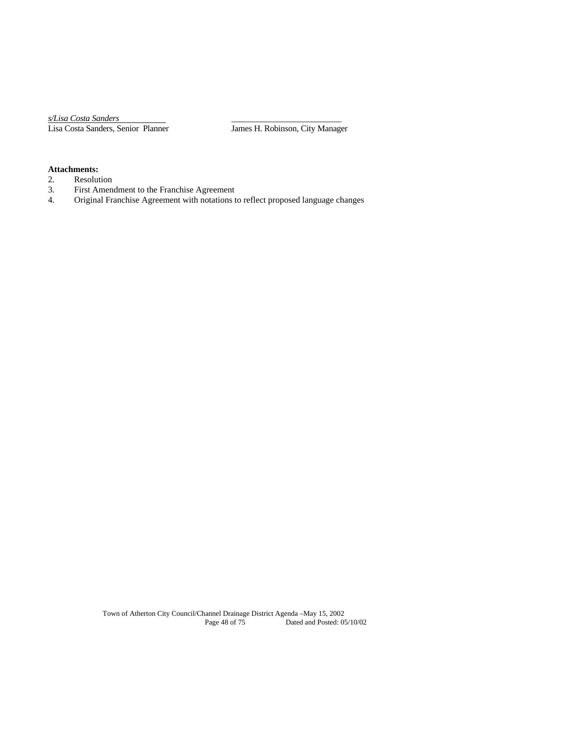*s/Lisa Costa Sanders* \_\_\_\_\_\_\_\_\_\_\_\_\_\_\_\_\_\_\_\_\_\_\_\_\_\_ Lisa Costa Sanders, Senior Planner James H. Robinson, City Manager

# **Attachments:**

- 2. Resolution<br>3. First Amen
- 3. First Amendment to the Franchise Agreement
- 4. Original Franchise Agreement with notations to reflect proposed language changes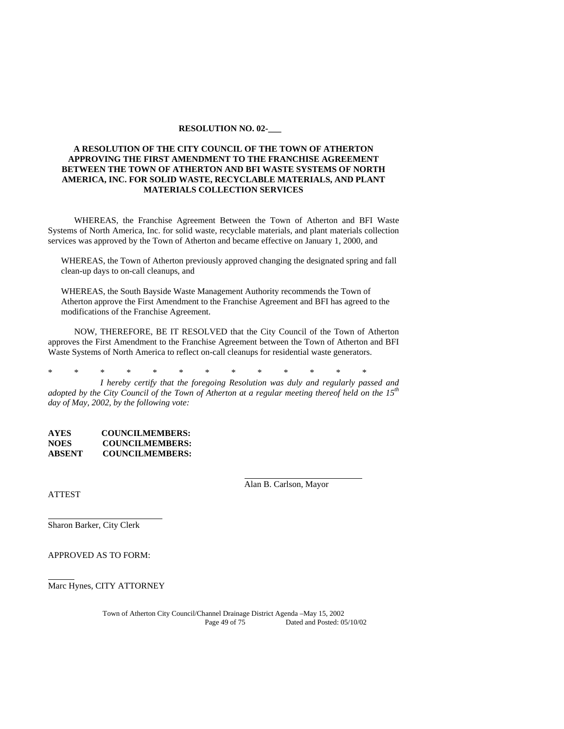#### **RESOLUTION NO. 02-\_\_\_**

## **A RESOLUTION OF THE CITY COUNCIL OF THE TOWN OF ATHERTON APPROVING THE FIRST AMENDMENT TO THE FRANCHISE AGREEMENT BETWEEN THE TOWN OF ATHERTON AND BFI WASTE SYSTEMS OF NORTH AMERICA, INC. FOR SOLID WASTE, RECYCLABLE MATERIALS, AND PLANT MATERIALS COLLECTION SERVICES**

WHEREAS, the Franchise Agreement Between the Town of Atherton and BFI Waste Systems of North America, Inc. for solid waste, recyclable materials, and plant materials collection services was approved by the Town of Atherton and became effective on January 1, 2000, and

WHEREAS, the Town of Atherton previously approved changing the designated spring and fall clean-up days to on-call cleanups, and

WHEREAS, the South Bayside Waste Management Authority recommends the Town of Atherton approve the First Amendment to the Franchise Agreement and BFI has agreed to the modifications of the Franchise Agreement.

NOW, THEREFORE, BE IT RESOLVED that the City Council of the Town of Atherton approves the First Amendment to the Franchise Agreement between the Town of Atherton and BFI Waste Systems of North America to reflect on-call cleanups for residential waste generators.

\* \* \* \* \* \* \* \* \* \* \* \* \*

 *I hereby certify that the foregoing Resolution was duly and regularly passed and adopted by the City Council of the Town of Atherton at a regular meeting thereof held on the 15th day of May, 2002, by the following vote:* 

**AYES COUNCILMEMBERS: NOES COUNCILMEMBERS: ABSENT COUNCILMEMBERS:** 

**ATTEST** 

Alan B. Carlson, Mayor

Sharon Barker, City Clerk

APPROVED AS TO FORM:

Marc Hynes, CITY ATTORNEY

Town of Atherton City Council/Channel Drainage District Agenda –May 15, 2002 Dated and Posted: 05/10/02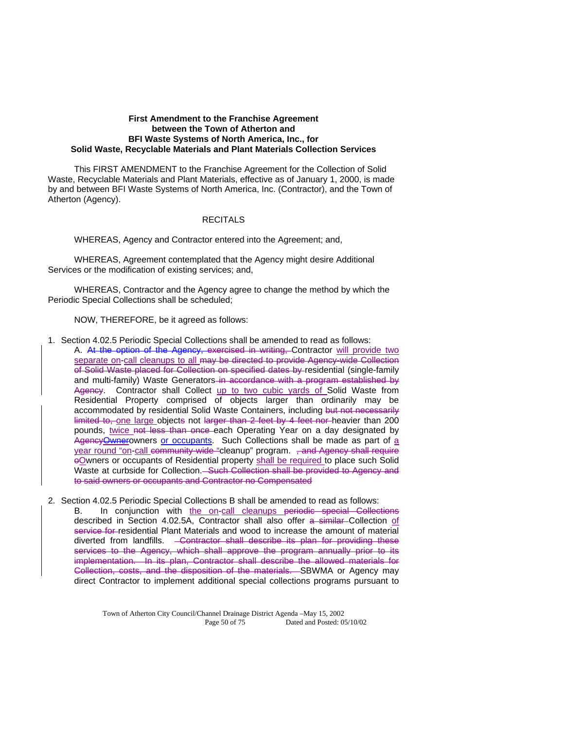## **First Amendment to the Franchise Agreement between the Town of Atherton and BFI Waste Systems of North America, Inc., for Solid Waste, Recyclable Materials and Plant Materials Collection Services**

This FIRST AMENDMENT to the Franchise Agreement for the Collection of Solid Waste, Recyclable Materials and Plant Materials, effective as of January 1, 2000, is made by and between BFI Waste Systems of North America, Inc. (Contractor), and the Town of Atherton (Agency).

## **RECITALS**

WHEREAS, Agency and Contractor entered into the Agreement; and,

WHEREAS, Agreement contemplated that the Agency might desire Additional Services or the modification of existing services; and,

WHEREAS, Contractor and the Agency agree to change the method by which the Periodic Special Collections shall be scheduled;

## NOW, THEREFORE, be it agreed as follows:

- 1. Section 4.02.5 Periodic Special Collections shall be amended to read as follows: A. At the option of the Agency, exercised in writing, Contractor will provide two separate on-call cleanups to all may be directed to provide Agency-wide Collection of Solid Waste placed for Collection on specified dates by residential (single-family and multi-family) Waste Generators-in accordance with a program established by Agency. Contractor shall Collect up to two cubic yards of Solid Waste from Residential Property comprised of objects larger than ordinarily may be accommodated by residential Solid Waste Containers, including but not necessarily limited to, one large objects not larger than 2 feet by 4 feet nor heavier than 200 pounds, twice not less than once each Operating Year on a day designated by Agency Ownerowners or occupants. Such Collections shall be made as part of a year round "on-call community-wide "cleanup" program. , and Agency shall require oOwners or occupants of Residential property shall be required to place such Solid Waste at curbside for Collection. Such Collection shall be provided to Agency and to said owners or occupants and Contractor no Compensated
- 2. Section 4.02.5 Periodic Special Collections B shall be amended to read as follows:

B. In conjunction with the on-call cleanups periodic special Collections described in Section 4.02.5A, Contractor shall also offer a similar Collection of service for residential Plant Materials and wood to increase the amount of material diverted from landfills. <del>Contractor shall describe its plan for providing these</del> services to the Agency, which shall approve the program annually prior to its implementation. In its plan, Contractor shall describe the allowed materials for Collection, costs, and the disposition of the materials. SBWMA or Agency may direct Contractor to implement additional special collections programs pursuant to

> Town of Atherton City Council/Channel Drainage District Agenda –May 15, 2002 Page 50 of 75 Dated and Posted: 05/10/02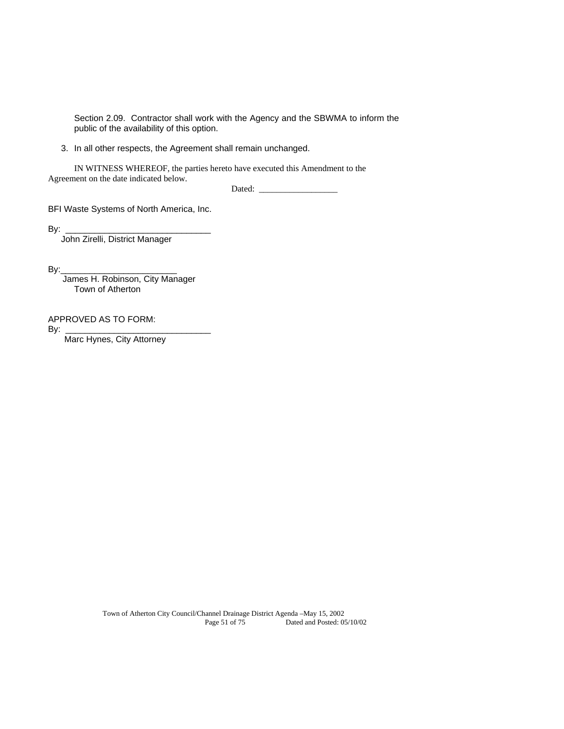Section 2.09. Contractor shall work with the Agency and the SBWMA to inform the public of the availability of this option.

3. In all other respects, the Agreement shall remain unchanged.

 IN WITNESS WHEREOF, the parties hereto have executed this Amendment to the Agreement on the date indicated below.

Dated:

BFI Waste Systems of North America, Inc.

By:  $\overline{z}$ 

John Zirelli, District Manager

 $By:$ 

 James H. Robinson, City Manager Town of Atherton

APPROVED AS TO FORM:

By: \_\_\_\_\_\_\_\_\_\_\_\_\_\_\_\_\_\_\_\_\_\_\_\_\_\_\_\_\_\_

Marc Hynes, City Attorney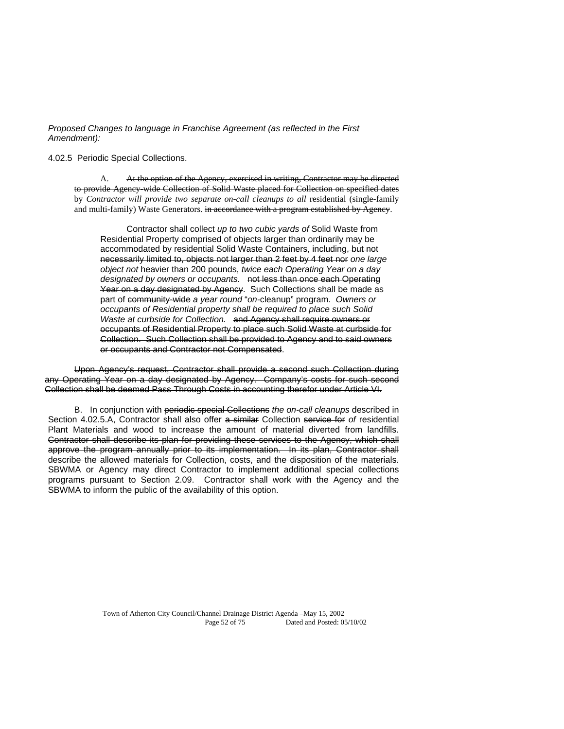*Proposed Changes to language in Franchise Agreement (as reflected in the First Amendment):* 

## 4.02.5 Periodic Special Collections.

 A. At the option of the Agency, exercised in writing, Contractor may be directed to provide Agency wide Collection of Solid Waste placed for Collection on specified dates by *Contractor will provide two separate on-call cleanups to all residential (single-family* and multi-family) Waste Generators. in accordance with a program established by Agency.

 Contractor shall collect *up to two cubic yards of* Solid Waste from Residential Property comprised of objects larger than ordinarily may be accommodated by residential Solid Waste Containers, including, but not necessarily limited to, objects not larger than 2 feet by 4 feet nor *one large object not* heavier than 200 pounds, *twice each Operating Year on a day designated by owners or occupants.* not less than once each Operating Year on a day designated by Agency. Such Collections shall be made as part of community-wide *a year round* "*on-*cleanup" program. *Owners or occupants of Residential property shall be required to place such Solid Waste at curbside for Collection.* and Agency shall require owners or occupants of Residential Property to place such Solid Waste at curbside for Collection. Such Collection shall be provided to Agency and to said owners or occupants and Contractor not Compensated.

Upon Agency's request, Contractor shall provide a second such Collection during any Operating Year on a day designated by Agency. Company's costs for such second Collection shall be deemed Pass Through Costs in accounting therefor under Article VI.

 B. In conjunction with periodic special Collections *the on-call cleanups* described in Section 4.02.5.A, Contractor shall also offer a similar Collection service for *of* residential Plant Materials and wood to increase the amount of material diverted from landfills. Contractor shall describe its plan for providing these services to the Agency, which shall approve the program annually prior to its implementation. In its plan, Contractor shall describe the allowed materials for Collection, costs, and the disposition of the materials. SBWMA or Agency may direct Contractor to implement additional special collections programs pursuant to Section 2.09. Contractor shall work with the Agency and the SBWMA to inform the public of the availability of this option.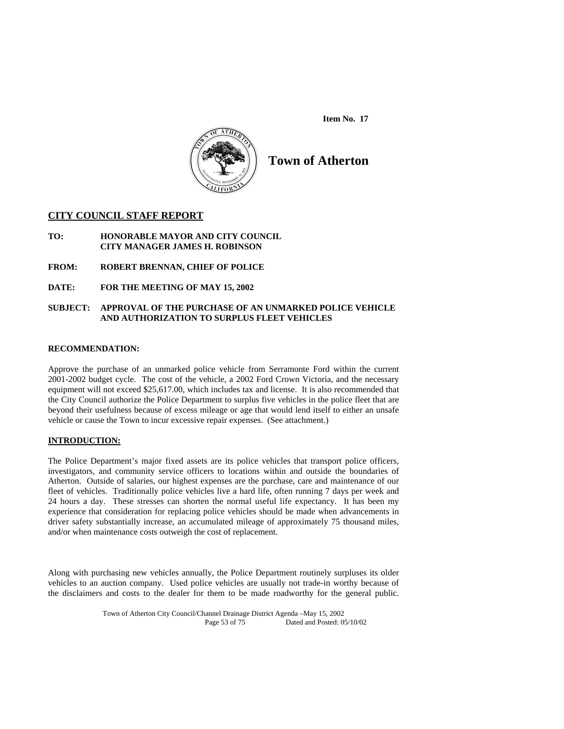**Item No. 17** 



# **Town of Atherton**

## **CITY COUNCIL STAFF REPORT**

- **TO: HONORABLE MAYOR AND CITY COUNCIL CITY MANAGER JAMES H. ROBINSON**
- **FROM: ROBERT BRENNAN, CHIEF OF POLICE**
- **DATE: FOR THE MEETING OF MAY 15, 2002**

## **SUBJECT: APPROVAL OF THE PURCHASE OF AN UNMARKED POLICE VEHICLE AND AUTHORIZATION TO SURPLUS FLEET VEHICLES**

## **RECOMMENDATION:**

Approve the purchase of an unmarked police vehicle from Serramonte Ford within the current 2001-2002 budget cycle. The cost of the vehicle, a 2002 Ford Crown Victoria, and the necessary equipment will not exceed \$25,617.00, which includes tax and license. It is also recommended that the City Council authorize the Police Department to surplus five vehicles in the police fleet that are beyond their usefulness because of excess mileage or age that would lend itself to either an unsafe vehicle or cause the Town to incur excessive repair expenses. (See attachment.)

## **INTRODUCTION:**

The Police Department's major fixed assets are its police vehicles that transport police officers, investigators, and community service officers to locations within and outside the boundaries of Atherton. Outside of salaries, our highest expenses are the purchase, care and maintenance of our fleet of vehicles. Traditionally police vehicles live a hard life, often running 7 days per week and 24 hours a day. These stresses can shorten the normal useful life expectancy. It has been my experience that consideration for replacing police vehicles should be made when advancements in driver safety substantially increase, an accumulated mileage of approximately 75 thousand miles, and/or when maintenance costs outweigh the cost of replacement.

Along with purchasing new vehicles annually, the Police Department routinely surpluses its older vehicles to an auction company. Used police vehicles are usually not trade-in worthy because of the disclaimers and costs to the dealer for them to be made roadworthy for the general public.

> Town of Atherton City Council/Channel Drainage District Agenda –May 15, 2002 Page 53 of 75 Dated and Posted: 05/10/02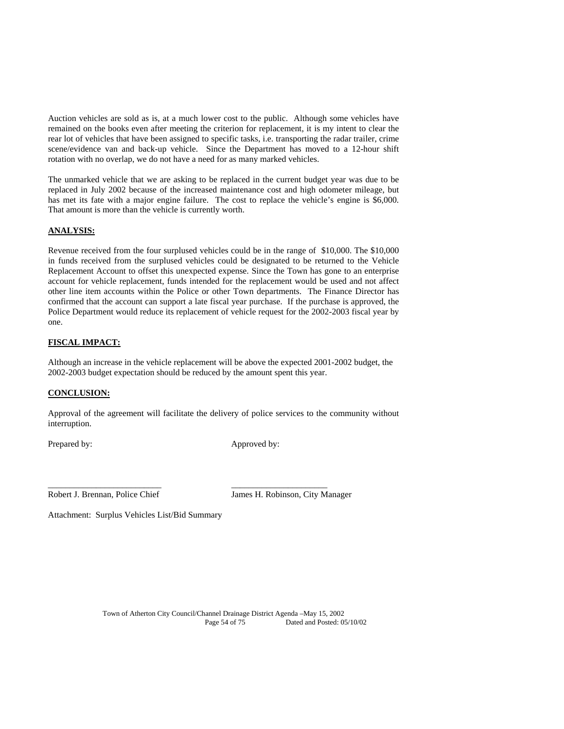Auction vehicles are sold as is, at a much lower cost to the public. Although some vehicles have remained on the books even after meeting the criterion for replacement, it is my intent to clear the rear lot of vehicles that have been assigned to specific tasks, i.e. transporting the radar trailer, crime scene/evidence van and back-up vehicle. Since the Department has moved to a 12-hour shift rotation with no overlap, we do not have a need for as many marked vehicles.

The unmarked vehicle that we are asking to be replaced in the current budget year was due to be replaced in July 2002 because of the increased maintenance cost and high odometer mileage, but has met its fate with a major engine failure. The cost to replace the vehicle's engine is \$6,000. That amount is more than the vehicle is currently worth.

## **ANALYSIS:**

Revenue received from the four surplused vehicles could be in the range of \$10,000. The \$10,000 in funds received from the surplused vehicles could be designated to be returned to the Vehicle Replacement Account to offset this unexpected expense. Since the Town has gone to an enterprise account for vehicle replacement, funds intended for the replacement would be used and not affect other line item accounts within the Police or other Town departments. The Finance Director has confirmed that the account can support a late fiscal year purchase. If the purchase is approved, the Police Department would reduce its replacement of vehicle request for the 2002-2003 fiscal year by one.

## **FISCAL IMPACT:**

Although an increase in the vehicle replacement will be above the expected 2001-2002 budget, the 2002-2003 budget expectation should be reduced by the amount spent this year.

## **CONCLUSION:**

Approval of the agreement will facilitate the delivery of police services to the community without interruption.

\_\_\_\_\_\_\_\_\_\_\_\_\_\_\_\_\_\_\_\_\_\_\_\_\_\_ \_\_\_\_\_\_\_\_\_\_\_\_\_\_\_\_\_\_\_\_\_\_

Prepared by: Approved by: Approved by:

Robert J. Brennan, Police Chief James H. Robinson, City Manager

Attachment: Surplus Vehicles List/Bid Summary

Town of Atherton City Council/Channel Drainage District Agenda –May 15, 2002 Page 54 of 75 Dated and Posted: 05/10/02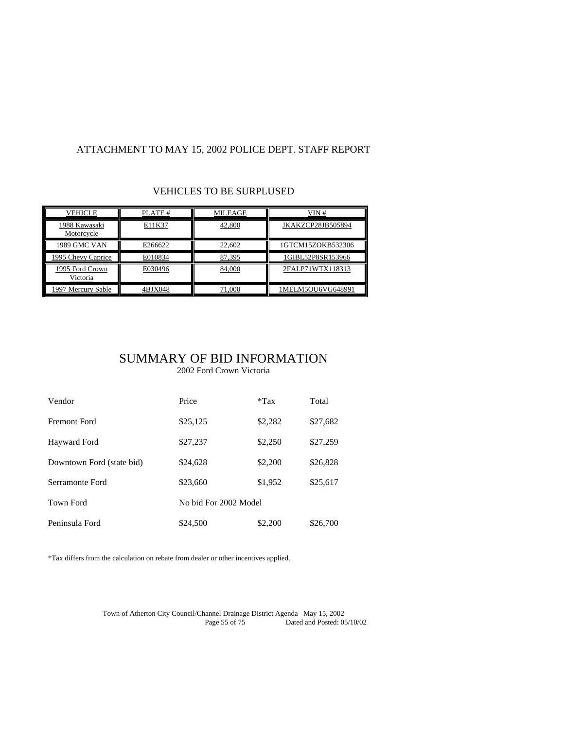# ATTACHMENT TO MAY 15, 2002 POLICE DEPT. STAFF REPORT

## VEHICLES TO BE SURPLUSED

| VEHICLE                     | PLATE # | <b>MILEAGE</b> | VIN#              |
|-----------------------------|---------|----------------|-------------------|
| 1988 Kawasaki<br>Motorcycle | E11K37  | 42,800         | JKAKZCP28JB505894 |
| 1989 GMC VAN                | E266622 | 22,602         | 1GTCM15ZOKB532306 |
| 1995 Chevy Caprice          | E010834 | 87,395         | 1GIBL52P8SR153966 |
| 1995 Ford Crown<br>Victoria | E030496 | 84,000         | 2FALP71WTX118313  |
| 1997 Mercury Sable          | 4BJX048 | 71,000         | 1MELM5OU6VG648991 |

# SUMMARY OF BID INFORMATION

2002 Ford Crown Victoria

| Vendor                    | Price    | $*Tax$                | Total    |
|---------------------------|----------|-----------------------|----------|
| Fremont Ford              | \$25,125 | \$2,282               | \$27,682 |
| Hayward Ford              | \$27,237 | \$2,250               | \$27,259 |
| Downtown Ford (state bid) | \$24,628 | \$2,200               | \$26,828 |
| Serramonte Ford           | \$23,660 | \$1,952               | \$25,617 |
| <b>Town Ford</b>          |          | No bid For 2002 Model |          |
| Peninsula Ford            | \$24,500 | \$2,200               | \$26,700 |

\*Tax differs from the calculation on rebate from dealer or other incentives applied.

Town of Atherton City Council/Channel Drainage District Agenda –May 15, 2002 Page 55 of  $75$  Dated and Posted:  $05/10/02$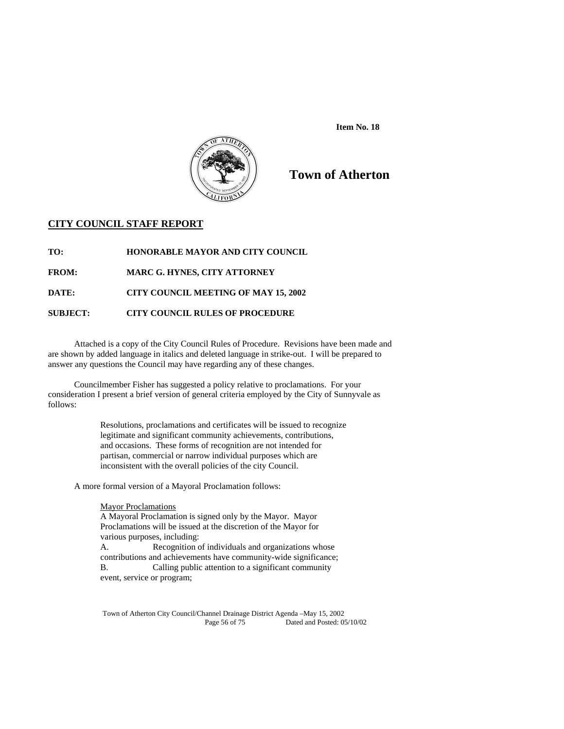



# **Town of Atherton**

## **CITY COUNCIL STAFF REPORT**

**TO: HONORABLE MAYOR AND CITY COUNCIL** 

**FROM: MARC G. HYNES, CITY ATTORNEY** 

**DATE: CITY COUNCIL MEETING OF MAY 15, 2002** 

## **SUBJECT: CITY COUNCIL RULES OF PROCEDURE**

Attached is a copy of the City Council Rules of Procedure. Revisions have been made and are shown by added language in italics and deleted language in strike-out. I will be prepared to answer any questions the Council may have regarding any of these changes.

 Councilmember Fisher has suggested a policy relative to proclamations. For your consideration I present a brief version of general criteria employed by the City of Sunnyvale as follows:

> Resolutions, proclamations and certificates will be issued to recognize legitimate and significant community achievements, contributions, and occasions. These forms of recognition are not intended for partisan, commercial or narrow individual purposes which are inconsistent with the overall policies of the city Council.

A more formal version of a Mayoral Proclamation follows:

#### **Mayor Proclamations**

A Mayoral Proclamation is signed only by the Mayor. Mayor Proclamations will be issued at the discretion of the Mayor for various purposes, including: A. Recognition of individuals and organizations whose contributions and achievements have community-wide significance; B. Calling public attention to a significant community event, service or program;

Town of Atherton City Council/Channel Drainage District Agenda –May 15, 2002 Dated and Posted: 05/10/02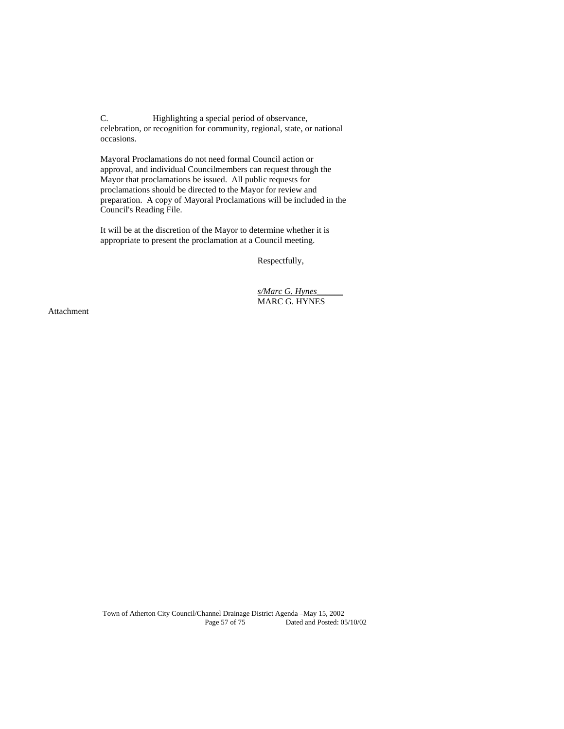C. Highlighting a special period of observance, celebration, or recognition for community, regional, state, or national occasions.

Mayoral Proclamations do not need formal Council action or approval, and individual Councilmembers can request through the Mayor that proclamations be issued. All public requests for proclamations should be directed to the Mayor for review and preparation. A copy of Mayoral Proclamations will be included in the Council's Reading File.

It will be at the discretion of the Mayor to determine whether it is appropriate to present the proclamation at a Council meeting.

Respectfully,

 *s/Marc G. Hynes\_\_\_\_\_\_* MARC G. HYNES

Attachment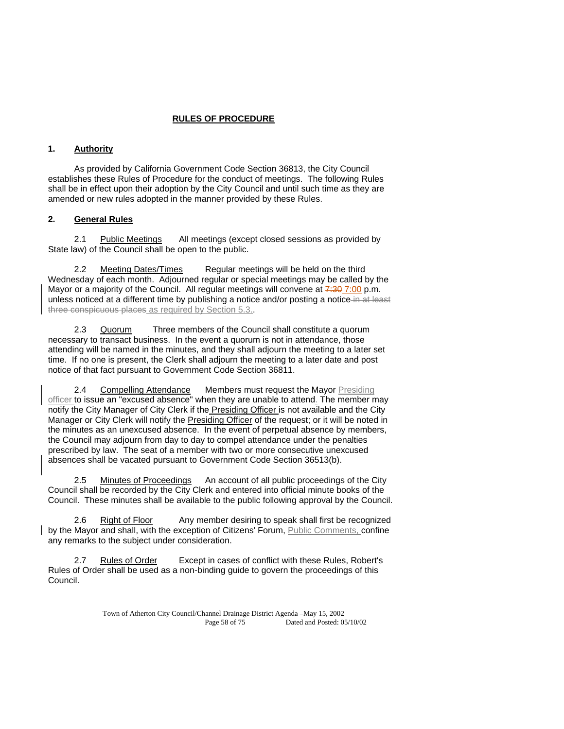## **RULES OF PROCEDURE**

## **1. Authority**

 As provided by California Government Code Section 36813, the City Council establishes these Rules of Procedure for the conduct of meetings. The following Rules shall be in effect upon their adoption by the City Council and until such time as they are amended or new rules adopted in the manner provided by these Rules.

## **2. General Rules**

2.1 Public Meetings All meetings (except closed sessions as provided by State law) of the Council shall be open to the public.

Meeting Dates/Times Regular meetings will be held on the third Wednesday of each month. Adjourned regular or special meetings may be called by the Mayor or a majority of the Council. All regular meetings will convene at  $\frac{7:30}{100}$  p.m. unless noticed at a different time by publishing a notice and/or posting a notice in at least three conspicuous places as required by Section 5.3..

 2.3 Quorum Three members of the Council shall constitute a quorum necessary to transact business. In the event a quorum is not in attendance, those attending will be named in the minutes, and they shall adjourn the meeting to a later set time. If no one is present, the Clerk shall adjourn the meeting to a later date and post notice of that fact pursuant to Government Code Section 36811.

2.4 Compelling Attendance Members must request the Mayor Presiding officer to issue an "excused absence" when they are unable to attend. The member may notify the City Manager of City Clerk if the Presiding Officer is not available and the City Manager or City Clerk will notify the Presiding Officer of the request; or it will be noted in the minutes as an unexcused absence. In the event of perpetual absence by members, the Council may adjourn from day to day to compel attendance under the penalties prescribed by law. The seat of a member with two or more consecutive unexcused absences shall be vacated pursuant to Government Code Section 36513(b).

2.5 Minutes of Proceedings An account of all public proceedings of the City Council shall be recorded by the City Clerk and entered into official minute books of the Council. These minutes shall be available to the public following approval by the Council.

 2.6 Right of Floor Any member desiring to speak shall first be recognized by the Mayor and shall, with the exception of Citizens' Forum, Public Comments, confine any remarks to the subject under consideration.

 2.7 Rules of Order Except in cases of conflict with these Rules, Robert's Rules of Order shall be used as a non-binding guide to govern the proceedings of this Council.

> Town of Atherton City Council/Channel Drainage District Agenda –May 15, 2002 Page 58 of 75 Dated and Posted: 05/10/02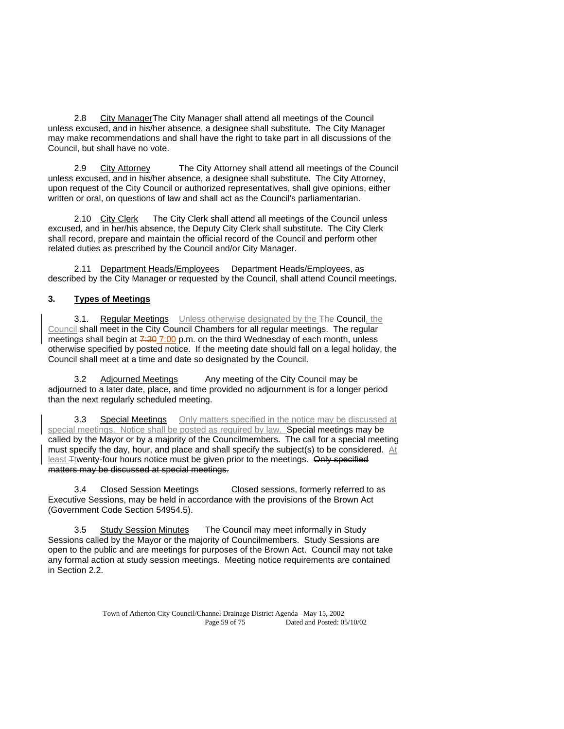2.8 City Manager The City Manager shall attend all meetings of the Council unless excused, and in his/her absence, a designee shall substitute. The City Manager may make recommendations and shall have the right to take part in all discussions of the Council, but shall have no vote.

 2.9 City Attorney The City Attorney shall attend all meetings of the Council unless excused, and in his/her absence, a designee shall substitute. The City Attorney, upon request of the City Council or authorized representatives, shall give opinions, either written or oral, on questions of law and shall act as the Council's parliamentarian.

 2.10 City Clerk The City Clerk shall attend all meetings of the Council unless excused, and in her/his absence, the Deputy City Clerk shall substitute. The City Clerk shall record, prepare and maintain the official record of the Council and perform other related duties as prescribed by the Council and/or City Manager.

2.11 Department Heads/Employees Department Heads/Employees, as described by the City Manager or requested by the Council, shall attend Council meetings.

# **3. Types of Meetings**

3.1. Regular Meetings Unless otherwise designated by the The Council, the Council shall meet in the City Council Chambers for all regular meetings. The regular meetings shall begin at  $7.30$  7:00 p.m. on the third Wednesday of each month, unless otherwise specified by posted notice. If the meeting date should fall on a legal holiday, the Council shall meet at a time and date so designated by the Council.

 3.2 Adjourned Meetings Any meeting of the City Council may be adjourned to a later date, place, and time provided no adjournment is for a longer period than the next regularly scheduled meeting.

**3.3** Special Meetings Only matters specified in the notice may be discussed at special meetings. Notice shall be posted as required by law. Special meetings may be called by the Mayor or by a majority of the Councilmembers. The call for a special meeting must specify the day, hour, and place and shall specify the subject(s) to be considered. At least Ttwenty-four hours notice must be given prior to the meetings. Only specified matters may be discussed at special meetings.

 3.4 Closed Session Meetings Closed sessions, formerly referred to as Executive Sessions, may be held in accordance with the provisions of the Brown Act (Government Code Section 54954.5).

 3.5 Study Session Minutes The Council may meet informally in Study Sessions called by the Mayor or the majority of Councilmembers. Study Sessions are open to the public and are meetings for purposes of the Brown Act. Council may not take any formal action at study session meetings. Meeting notice requirements are contained in Section 2.2.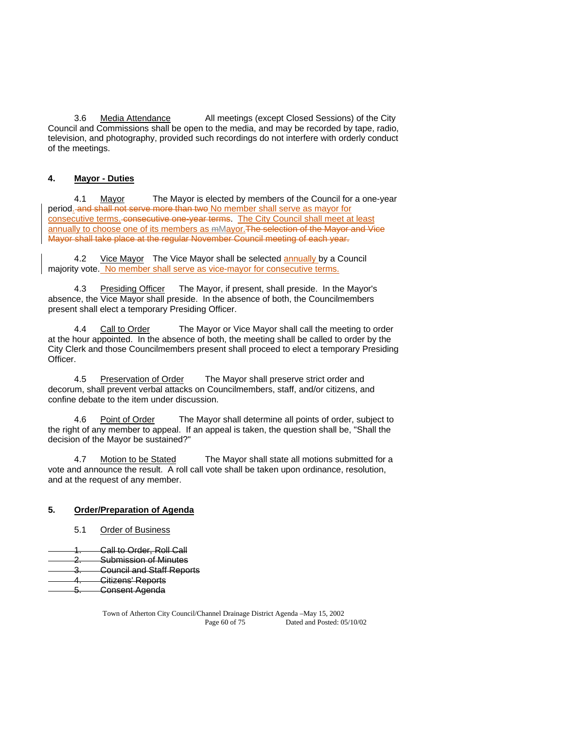3.6 Media Attendance All meetings (except Closed Sessions) of the City Council and Commissions shall be open to the media, and may be recorded by tape, radio, television, and photography, provided such recordings do not interfere with orderly conduct of the meetings.

# **4. Mayor - Duties**

 4.1 Mayor The Mayor is elected by members of the Council for a one-year period. and shall not serve more than two No member shall serve as mayor for consecutive terms. consecutive one-year terms. The City Council shall meet at least annually to choose one of its members as mMayor.The selection of the Mayor and Vice Mayor shall take place at the regular November Council meeting of each year.

 4.2 Vice Mayor The Vice Mayor shall be selected annually by a Council majority vote. No member shall serve as vice-mayor for consecutive terms.

 4.3 Presiding Officer The Mayor, if present, shall preside. In the Mayor's absence, the Vice Mayor shall preside. In the absence of both, the Councilmembers present shall elect a temporary Presiding Officer.

4.4 Call to Order The Mayor or Vice Mayor shall call the meeting to order at the hour appointed. In the absence of both, the meeting shall be called to order by the City Clerk and those Councilmembers present shall proceed to elect a temporary Presiding Officer.

 4.5 Preservation of Order The Mayor shall preserve strict order and decorum, shall prevent verbal attacks on Councilmembers, staff, and/or citizens, and confine debate to the item under discussion.

4.6 Point of Order The Mayor shall determine all points of order, subject to the right of any member to appeal. If an appeal is taken, the question shall be, "Shall the decision of the Mayor be sustained?"

 4.7 Motion to be Stated The Mayor shall state all motions submitted for a vote and announce the result. A roll call vote shall be taken upon ordinance, resolution, and at the request of any member.

## **5. Order/Preparation of Agenda**

- 5.1 Order of Business
- Call to Order, Roll Call
- 2. Submission of Minutes
- 3. Council and Staff Reports
- 4. Citizens' Reports
- 5. Consent Agenda

Town of Atherton City Council/Channel Drainage District Agenda –May 15, 2002 Page 60 of 75 Dated and Posted: 05/10/02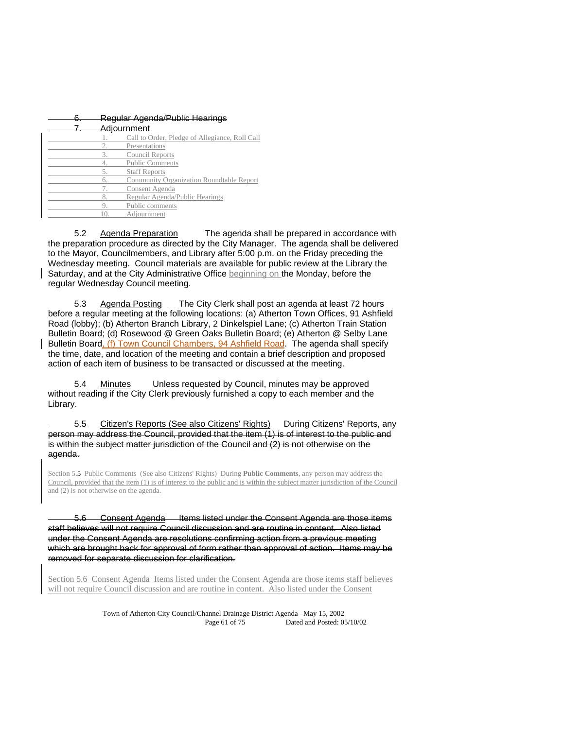| <del>Regular Agenda/Public Hearings</del> |                                                |
|-------------------------------------------|------------------------------------------------|
| Adiournment                               |                                                |
|                                           | Call to Order, Pledge of Allegiance, Roll Call |
|                                           | Presentations                                  |
| 3.                                        | <b>Council Reports</b>                         |
|                                           | <b>Public Comments</b>                         |
| 5.                                        | <b>Staff Reports</b>                           |
| 6.                                        | Community Organization Roundtable Report       |
|                                           | Consent Agenda                                 |
| 8.                                        | Regular Agenda/Public Hearings                 |
|                                           | Public comments                                |
|                                           | Adiournment                                    |
|                                           |                                                |

 5.2 Agenda Preparation The agenda shall be prepared in accordance with the preparation procedure as directed by the City Manager. The agenda shall be delivered to the Mayor, Councilmembers, and Library after 5:00 p.m. on the Friday preceding the Wednesday meeting. Council materials are available for public review at the Library the Saturday, and at the City Administrative Office beginning on the Monday, before the regular Wednesday Council meeting.

 5.3 Agenda Posting The City Clerk shall post an agenda at least 72 hours before a regular meeting at the following locations: (a) Atherton Town Offices, 91 Ashfield Road (lobby); (b) Atherton Branch Library, 2 Dinkelspiel Lane; (c) Atherton Train Station Bulletin Board; (d) Rosewood @ Green Oaks Bulletin Board; (e) Atherton @ Selby Lane Bulletin Board, (f) Town Council Chambers, 94 Ashfield Road. The agenda shall specify the time, date, and location of the meeting and contain a brief description and proposed action of each item of business to be transacted or discussed at the meeting.

 5.4 Minutes Unless requested by Council, minutes may be approved without reading if the City Clerk previously furnished a copy to each member and the Library.

Citizen's Reports (See also Citizens' Rights) During Citizens' Reports, any person may address the Council, provided that the item (1) is of interest to the public and is within the subject matter jurisdiction of the Council and (2) is not otherwise on the agenda.

Section 5.5 Public Comments (See also Citizens' Rights) During **Public Comments**, any person may address the Council, provided that the item (1) is of interest to the public and is within the subject matter jurisdiction of the Council and (2) is not otherwise on the agenda.

5.6 Consent Agenda Items listed under the Consent Agenda are those items staff believes will not require Council discussion and are routine in content. Also listed under the Consent Agenda are resolutions confirming action from a previous meeting which are brought back for approval of form rather than approval of action. Items may be removed for separate discussion for clarification.

Section 5.6 Consent Agenda Items listed under the Consent Agenda are those items staff believes will not require Council discussion and are routine in content. Also listed under the Consent

> Town of Atherton City Council/Channel Drainage District Agenda –May 15, 2002 Page 61 of 75 Dated and Posted: 05/10/02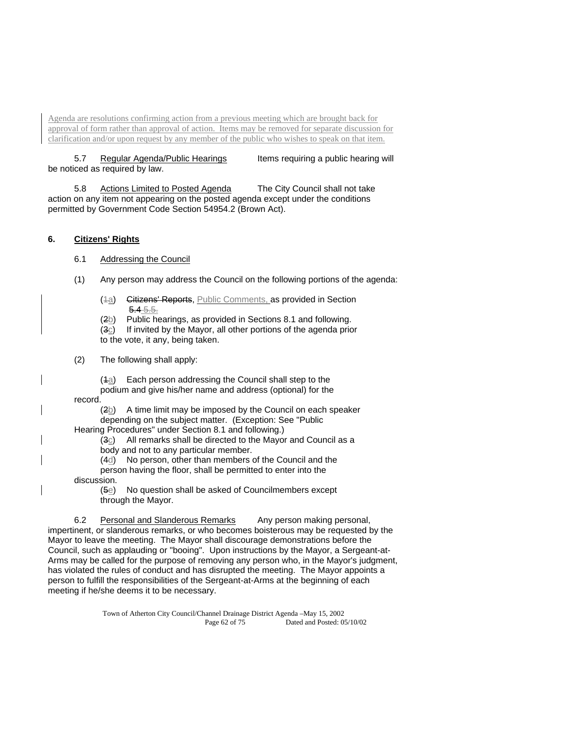Agenda are resolutions confirming action from a previous meeting which are brought back for approval of form rather than approval of action. Items may be removed for separate discussion for clarification and/or upon request by any member of the public who wishes to speak on that item.

5.7 Regular Agenda/Public Hearings Items requiring a public hearing will be noticed as required by law.

 5.8 Actions Limited to Posted Agenda The City Council shall not take action on any item not appearing on the posted agenda except under the conditions permitted by Government Code Section 54954.2 (Brown Act).

## **6. Citizens' Rights**

- 6.1 Addressing the Council
- (1) Any person may address the Council on the following portions of the agenda:
	- (4a) Citizens' Reports, Public Comments, as provided in Section 5.4 5.5.
	- $(2b)$  Public hearings, as provided in Sections 8.1 and following.
	- (3c) If invited by the Mayor, all other portions of the agenda prior to the vote, it any, being taken.
- (2) The following shall apply:

 $(4a)$  Each person addressing the Council shall step to the podium and give his/her name and address (optional) for the

record.

 $(2b)$  A time limit may be imposed by the Council on each speaker depending on the subject matter. (Exception: See "Public

Hearing Procedures" under Section 8.1 and following.)

- (3c) All remarks shall be directed to the Mayor and Council as a
- body and not to any particular member.
- (4d) No person, other than members of the Council and the

 person having the floor, shall be permitted to enter into the discussion.

 $(5e)$  No question shall be asked of Councilmembers except through the Mayor.

 6.2 Personal and Slanderous Remarks Any person making personal, impertinent, or slanderous remarks, or who becomes boisterous may be requested by the Mayor to leave the meeting. The Mayor shall discourage demonstrations before the Council, such as applauding or "booing". Upon instructions by the Mayor, a Sergeant-at-Arms may be called for the purpose of removing any person who, in the Mayor's judgment, has violated the rules of conduct and has disrupted the meeting. The Mayor appoints a person to fulfill the responsibilities of the Sergeant-at-Arms at the beginning of each meeting if he/she deems it to be necessary.

> Town of Atherton City Council/Channel Drainage District Agenda –May 15, 2002 Page 62 of 75 Dated and Posted: 05/10/02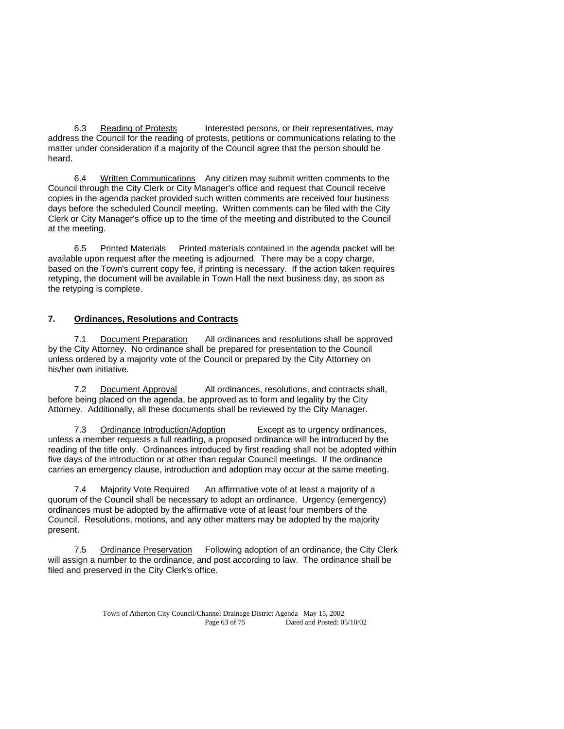6.3 Reading of Protests Interested persons, or their representatives, may address the Council for the reading of protests, petitions or communications relating to the matter under consideration if a majority of the Council agree that the person should be heard.

 6.4 Written Communications Any citizen may submit written comments to the Council through the City Clerk or City Manager's office and request that Council receive copies in the agenda packet provided such written comments are received four business days before the scheduled Council meeting. Written comments can be filed with the City Clerk or City Manager's office up to the time of the meeting and distributed to the Council at the meeting.

 6.5 Printed Materials Printed materials contained in the agenda packet will be available upon request after the meeting is adjourned. There may be a copy charge, based on the Town's current copy fee, if printing is necessary. If the action taken requires retyping, the document will be available in Town Hall the next business day, as soon as the retyping is complete.

## **7. Ordinances, Resolutions and Contracts**

 7.1 Document Preparation All ordinances and resolutions shall be approved by the City Attorney. No ordinance shall be prepared for presentation to the Council unless ordered by a majority vote of the Council or prepared by the City Attorney on his/her own initiative.

 7.2 Document Approval All ordinances, resolutions, and contracts shall, before being placed on the agenda, be approved as to form and legality by the City Attorney. Additionally, all these documents shall be reviewed by the City Manager.

 7.3 Ordinance Introduction/Adoption Except as to urgency ordinances, unless a member requests a full reading, a proposed ordinance will be introduced by the reading of the title only. Ordinances introduced by first reading shall not be adopted within five days of the introduction or at other than regular Council meetings. If the ordinance carries an emergency clause, introduction and adoption may occur at the same meeting.

 7.4 Majority Vote Required An affirmative vote of at least a majority of a quorum of the Council shall be necessary to adopt an ordinance. Urgency (emergency) ordinances must be adopted by the affirmative vote of at least four members of the Council. Resolutions, motions, and any other matters may be adopted by the majority present.

 7.5 Ordinance Preservation Following adoption of an ordinance, the City Clerk will assign a number to the ordinance, and post according to law. The ordinance shall be filed and preserved in the City Clerk's office.

> Town of Atherton City Council/Channel Drainage District Agenda –May 15, 2002 Page 63 of 75 Dated and Posted: 05/10/02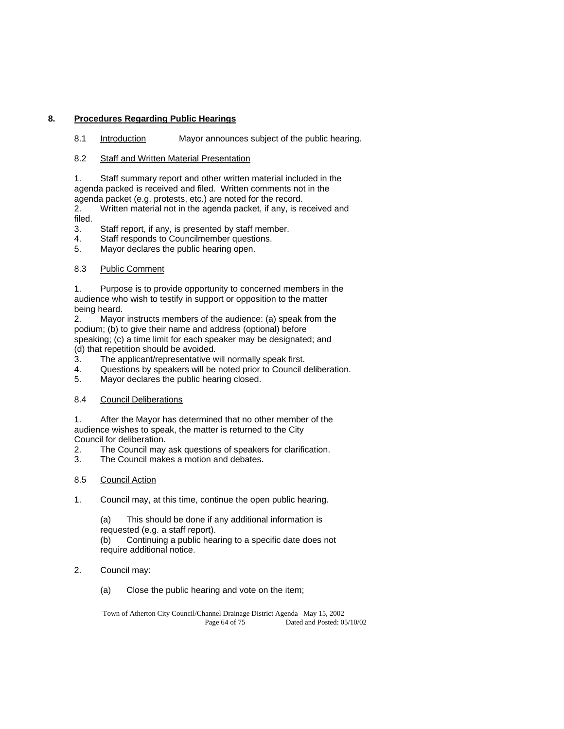## **8. Procedures Regarding Public Hearings**

8.1 Introduction Mayor announces subject of the public hearing.

8.2 Staff and Written Material Presentation

 1. Staff summary report and other written material included in the agenda packed is received and filed. Written comments not in the agenda packet (e.g. protests, etc.) are noted for the record.

 2. Written material not in the agenda packet, if any, is received and filed.

- 3. Staff report, if any, is presented by staff member.
- 4. Staff responds to Councilmember questions.

5. Mayor declares the public hearing open.

## 8.3 Public Comment

 1. Purpose is to provide opportunity to concerned members in the audience who wish to testify in support or opposition to the matter being heard.

 2. Mayor instructs members of the audience: (a) speak from the podium; (b) to give their name and address (optional) before speaking; (c) a time limit for each speaker may be designated; and (d) that repetition should be avoided.

- 3. The applicant/representative will normally speak first.
- 4. Questions by speakers will be noted prior to Council deliberation.
- 5. Mayor declares the public hearing closed.

# 8.4 Council Deliberations

 1. After the Mayor has determined that no other member of the audience wishes to speak, the matter is returned to the City Council for deliberation.

- 2. The Council may ask questions of speakers for clarification.
- 3. The Council makes a motion and debates.

## 8.5 Council Action

- 1. Council may, at this time, continue the open public hearing.
	- (a) This should be done if any additional information is
	- requested (e.g. a staff report).
	- (b) Continuing a public hearing to a specific date does not require additional notice.
- 2. Council may:
	- (a) Close the public hearing and vote on the item;

Town of Atherton City Council/Channel Drainage District Agenda –May 15, 2002 Page 64 of 75 Dated and Posted: 05/10/02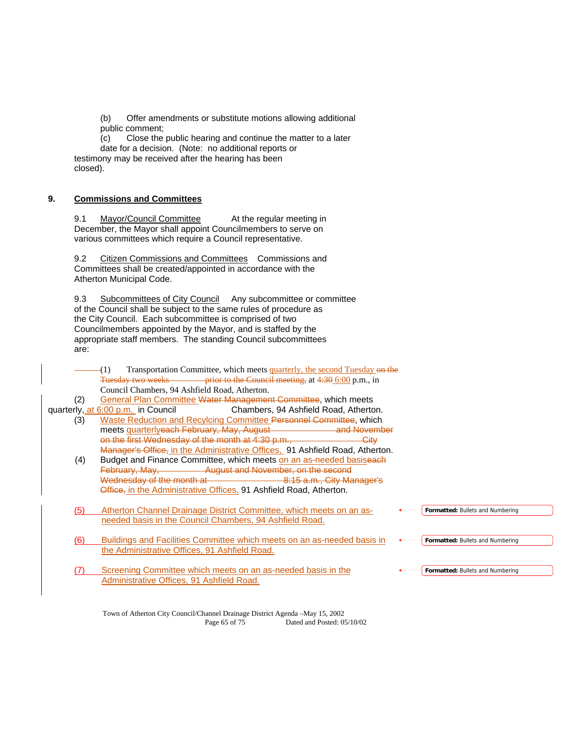(b) Offer amendments or substitute motions allowing additional public comment;

 (c) Close the public hearing and continue the matter to a later date for a decision. (Note: no additional reports or testimony may be received after the hearing has been closed).

## **9. Commissions and Committees**

9.1 Mayor/Council Committee At the regular meeting in December, the Mayor shall appoint Councilmembers to serve on various committees which require a Council representative.

 9.2 Citizen Commissions and Committees Commissions and Committees shall be created/appointed in accordance with the Atherton Municipal Code.

9.3 Subcommittees of City Council Any subcommittee or committee of the Council shall be subject to the same rules of procedure as the City Council. Each subcommittee is comprised of two Councilmembers appointed by the Mayor, and is staffed by the appropriate staff members. The standing Council subcommittees are:

(1) Transportation Committee, which meets quarterly, the second Tuesday on the Tuesday two weeks prior to the Council meeting, at 4:30 6:00 p.m., in Council Chambers, 94 Ashfield Road, Atherton.

(2) General Plan Committee Water Management Committee, which meets quarterly, at 6:00 p.m. in Council Chambers, 94 Ashfield Road, Atherton.

- (3) Waste Reduction and Recylcing Committee Personnel Committee, which<br>meets quarteriveach February, May, August<br>and Nevember meets quarterlyeach February, May, August on the first Wednesday of the month at 4:30 p.m., City Manager's Office, in the Administrative Offices, 91 Ashfield Road, Atherton.
	- (4) Budget and Finance Committee, which meets on an as-needed basiseach February, May, **August and November**, on the second Wednesday of the month at **Exercise 2016** a.m., City Manager's Office, in the Administrative Offices, 91 Ashfield Road, Atherton.
	- (5) Atherton Channel Drainage District Committee, which meets on an asneeded basis in the Council Chambers, 94 Ashfield Road.
	- (6) Buildings and Facilities Committee which meets on an as-needed basis in the Administrative Offices, 91 Ashfield Road.
	- (7) Screening Committee which meets on an as-needed basis in the Administrative Offices, 91 Ashfield Road.

**Formatted:** Bullets and Numbering

**Formatted:** Bullets and Numbering

**Formatted:** Bullets and Numbering

Town of Atherton City Council/Channel Drainage District Agenda –May 15, 2002 Page 65 of 75 Dated and Posted: 05/10/02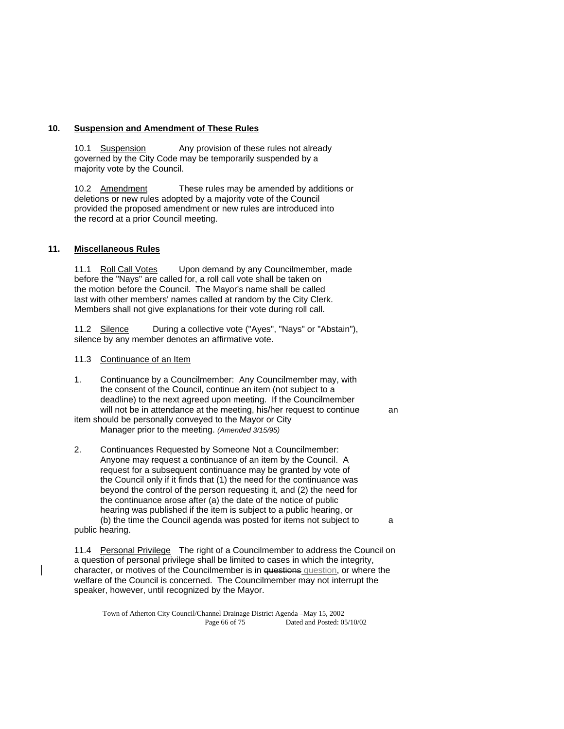## **10. Suspension and Amendment of These Rules**

 10.1 Suspension Any provision of these rules not already governed by the City Code may be temporarily suspended by a majority vote by the Council.

 10.2 Amendment These rules may be amended by additions or deletions or new rules adopted by a majority vote of the Council provided the proposed amendment or new rules are introduced into the record at a prior Council meeting.

## **11. Miscellaneous Rules**

11.1 Roll Call Votes Upon demand by any Councilmember, made before the "Nays" are called for, a roll call vote shall be taken on the motion before the Council. The Mayor's name shall be called last with other members' names called at random by the City Clerk. Members shall not give explanations for their vote during roll call.

11.2 Silence During a collective vote ("Ayes", "Nays" or "Abstain"), silence by any member denotes an affirmative vote.

#### 11.3 Continuance of an Item

1. Continuance by a Councilmember: Any Councilmember may, with the consent of the Council, continue an item (not subject to a deadline) to the next agreed upon meeting. If the Councilmember will not be in attendance at the meeting, his/her request to continue an item should be personally conveyed to the Mayor or City

Manager prior to the meeting. *(Amended 3/15/95)*

2. Continuances Requested by Someone Not a Councilmember: Anyone may request a continuance of an item by the Council. A request for a subsequent continuance may be granted by vote of the Council only if it finds that (1) the need for the continuance was beyond the control of the person requesting it, and (2) the need for the continuance arose after (a) the date of the notice of public hearing was published if the item is subject to a public hearing, or (b) the time the Council agenda was posted for items not subject to a public hearing.

11.4 Personal Privilege The right of a Councilmember to address the Council on a question of personal privilege shall be limited to cases in which the integrity, character, or motives of the Councilmember is in questions question, or where the welfare of the Council is concerned. The Councilmember may not interrupt the speaker, however, until recognized by the Mayor.

Town of Atherton City Council/Channel Drainage District Agenda –May 15, 2002 Page 66 of 75 Dated and Posted: 05/10/02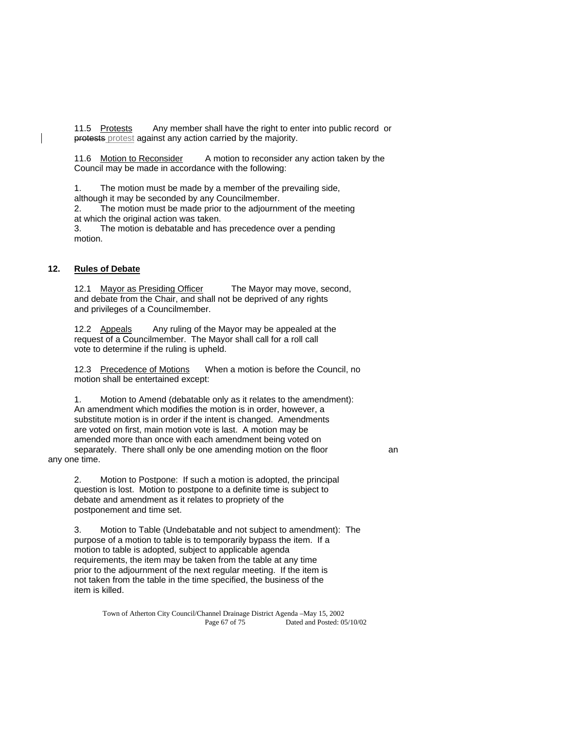11.5 Protests Any member shall have the right to enter into public record or protests protest against any action carried by the majority.

11.6 Motion to Reconsider A motion to reconsider any action taken by the Council may be made in accordance with the following:

 1. The motion must be made by a member of the prevailing side, although it may be seconded by any Councilmember.

 2. The motion must be made prior to the adjournment of the meeting at which the original action was taken.

 3. The motion is debatable and has precedence over a pending motion.

## **12. Rules of Debate**

12.1 Mayor as Presiding Officer The Mayor may move, second, and debate from the Chair, and shall not be deprived of any rights and privileges of a Councilmember.

12.2 Appeals Any ruling of the Mayor may be appealed at the request of a Councilmember. The Mayor shall call for a roll call vote to determine if the ruling is upheld.

 12.3 Precedence of Motions When a motion is before the Council, no motion shall be entertained except:

 1. Motion to Amend (debatable only as it relates to the amendment): An amendment which modifies the motion is in order, however, a substitute motion is in order if the intent is changed. Amendments are voted on first, main motion vote is last. A motion may be amended more than once with each amendment being voted on separately. There shall only be one amending motion on the floor an any one time.

 2. Motion to Postpone: If such a motion is adopted, the principal question is lost. Motion to postpone to a definite time is subject to debate and amendment as it relates to propriety of the postponement and time set.

 3. Motion to Table (Undebatable and not subject to amendment): The purpose of a motion to table is to temporarily bypass the item. If a motion to table is adopted, subject to applicable agenda requirements, the item may be taken from the table at any time prior to the adjournment of the next regular meeting. If the item is not taken from the table in the time specified, the business of the item is killed.

Town of Atherton City Council/Channel Drainage District Agenda –May 15, 2002 Page 67 of 75 Dated and Posted: 05/10/02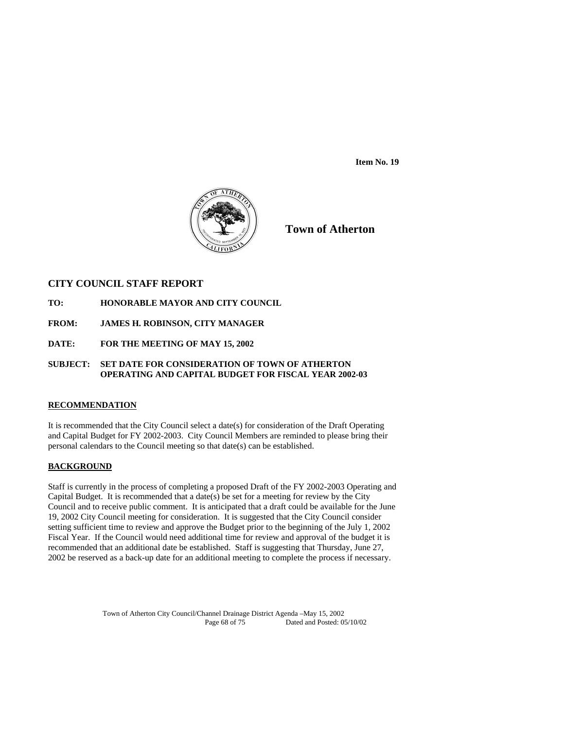**Item No. 19** 



**Town of Atherton**

## **CITY COUNCIL STAFF REPORT**

- **TO: HONORABLE MAYOR AND CITY COUNCIL**
- **FROM: JAMES H. ROBINSON, CITY MANAGER**
- **DATE: FOR THE MEETING OF MAY 15, 2002**

## **SUBJECT: SET DATE FOR CONSIDERATION OF TOWN OF ATHERTON OPERATING AND CAPITAL BUDGET FOR FISCAL YEAR 2002-03**

## **RECOMMENDATION**

It is recommended that the City Council select a date(s) for consideration of the Draft Operating and Capital Budget for FY 2002-2003. City Council Members are reminded to please bring their personal calendars to the Council meeting so that date(s) can be established.

## **BACKGROUND**

Staff is currently in the process of completing a proposed Draft of the FY 2002-2003 Operating and Capital Budget. It is recommended that a date(s) be set for a meeting for review by the City Council and to receive public comment. It is anticipated that a draft could be available for the June 19, 2002 City Council meeting for consideration. It is suggested that the City Council consider setting sufficient time to review and approve the Budget prior to the beginning of the July 1, 2002 Fiscal Year. If the Council would need additional time for review and approval of the budget it is recommended that an additional date be established. Staff is suggesting that Thursday, June 27, 2002 be reserved as a back-up date for an additional meeting to complete the process if necessary.

> Town of Atherton City Council/Channel Drainage District Agenda –May 15, 2002 Dated and Posted: 05/10/02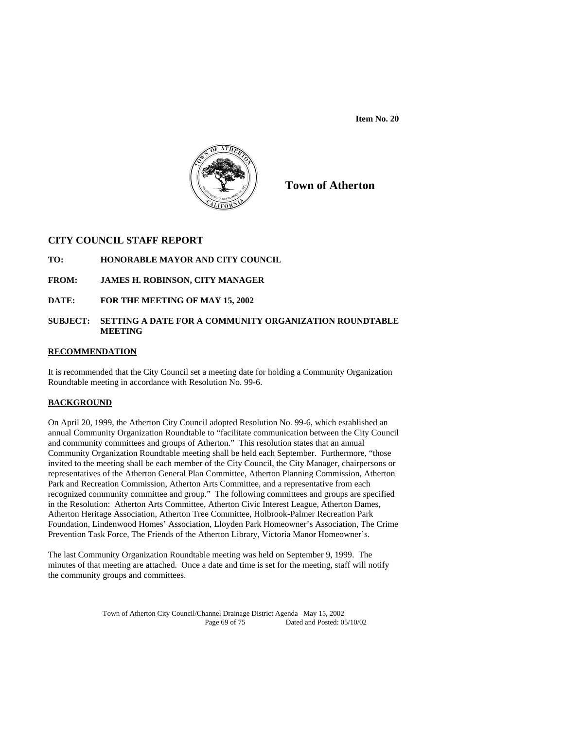**Item No. 20** 



**Town of Atherton**

## **CITY COUNCIL STAFF REPORT**

- **TO: HONORABLE MAYOR AND CITY COUNCIL**
- **FROM: JAMES H. ROBINSON, CITY MANAGER**
- **DATE: FOR THE MEETING OF MAY 15, 2002**

## **SUBJECT: SETTING A DATE FOR A COMMUNITY ORGANIZATION ROUNDTABLE MEETING**

## **RECOMMENDATION**

It is recommended that the City Council set a meeting date for holding a Community Organization Roundtable meeting in accordance with Resolution No. 99-6.

# **BACKGROUND**

On April 20, 1999, the Atherton City Council adopted Resolution No. 99-6, which established an annual Community Organization Roundtable to "facilitate communication between the City Council and community committees and groups of Atherton." This resolution states that an annual Community Organization Roundtable meeting shall be held each September. Furthermore, "those invited to the meeting shall be each member of the City Council, the City Manager, chairpersons or representatives of the Atherton General Plan Committee, Atherton Planning Commission, Atherton Park and Recreation Commission, Atherton Arts Committee, and a representative from each recognized community committee and group." The following committees and groups are specified in the Resolution: Atherton Arts Committee, Atherton Civic Interest League, Atherton Dames, Atherton Heritage Association, Atherton Tree Committee, Holbrook-Palmer Recreation Park Foundation, Lindenwood Homes' Association, Lloyden Park Homeowner's Association, The Crime Prevention Task Force, The Friends of the Atherton Library, Victoria Manor Homeowner's.

The last Community Organization Roundtable meeting was held on September 9, 1999. The minutes of that meeting are attached. Once a date and time is set for the meeting, staff will notify the community groups and committees.

> Town of Atherton City Council/Channel Drainage District Agenda –May 15, 2002 Dated and Posted: 05/10/02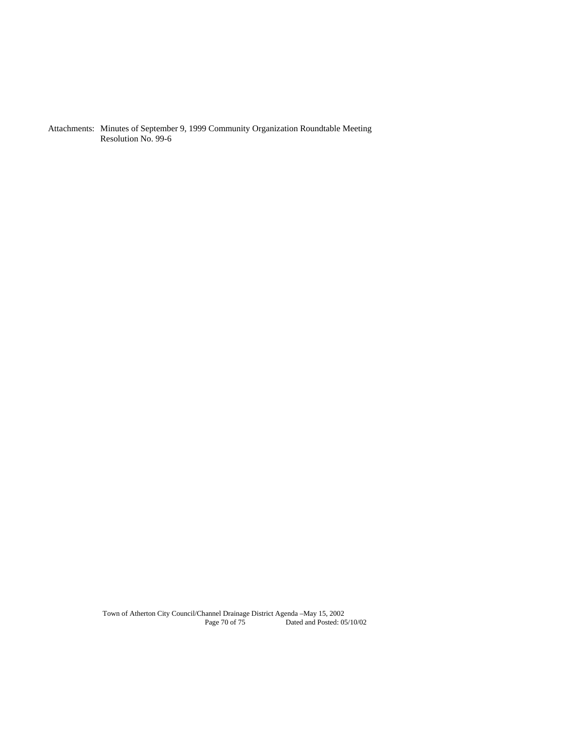Attachments: Minutes of September 9, 1999 Community Organization Roundtable Meeting Resolution No. 99-6

Town of Atherton City Council/Channel Drainage District Agenda –May 15, 2002 Page 70 of 75 Dated and Posted: 05/10/02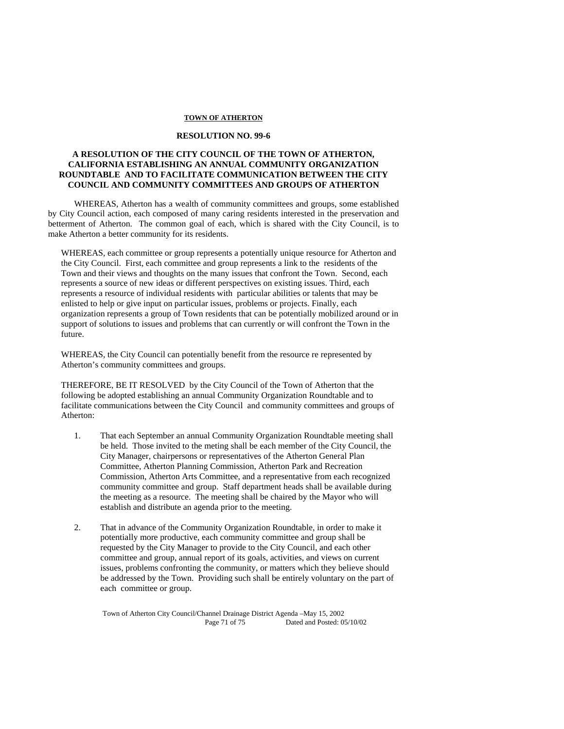#### **TOWN OF ATHERTON**

## **RESOLUTION NO. 99-6**

## **A RESOLUTION OF THE CITY COUNCIL OF THE TOWN OF ATHERTON, CALIFORNIA ESTABLISHING AN ANNUAL COMMUNITY ORGANIZATION ROUNDTABLE AND TO FACILITATE COMMUNICATION BETWEEN THE CITY COUNCIL AND COMMUNITY COMMITTEES AND GROUPS OF ATHERTON**

 WHEREAS, Atherton has a wealth of community committees and groups, some established by City Council action, each composed of many caring residents interested in the preservation and betterment of Atherton. The common goal of each, which is shared with the City Council, is to make Atherton a better community for its residents.

WHEREAS, each committee or group represents a potentially unique resource for Atherton and the City Council. First, each committee and group represents a link to the residents of the Town and their views and thoughts on the many issues that confront the Town. Second, each represents a source of new ideas or different perspectives on existing issues. Third, each represents a resource of individual residents with particular abilities or talents that may be enlisted to help or give input on particular issues, problems or projects. Finally, each organization represents a group of Town residents that can be potentially mobilized around or in support of solutions to issues and problems that can currently or will confront the Town in the future.

WHEREAS, the City Council can potentially benefit from the resource re represented by Atherton's community committees and groups.

THEREFORE, BE IT RESOLVED by the City Council of the Town of Atherton that the following be adopted establishing an annual Community Organization Roundtable and to facilitate communications between the City Council and community committees and groups of Atherton:

- 1. That each September an annual Community Organization Roundtable meeting shall be held. Those invited to the meting shall be each member of the City Council, the City Manager, chairpersons or representatives of the Atherton General Plan Committee, Atherton Planning Commission, Atherton Park and Recreation Commission, Atherton Arts Committee, and a representative from each recognized community committee and group. Staff department heads shall be available during the meeting as a resource. The meeting shall be chaired by the Mayor who will establish and distribute an agenda prior to the meeting.
- 2. That in advance of the Community Organization Roundtable, in order to make it potentially more productive, each community committee and group shall be requested by the City Manager to provide to the City Council, and each other committee and group, annual report of its goals, activities, and views on current issues, problems confronting the community, or matters which they believe should be addressed by the Town. Providing such shall be entirely voluntary on the part of each committee or group.

Town of Atherton City Council/Channel Drainage District Agenda –May 15, 2002 Page 71 of 75 Dated and Posted: 05/10/02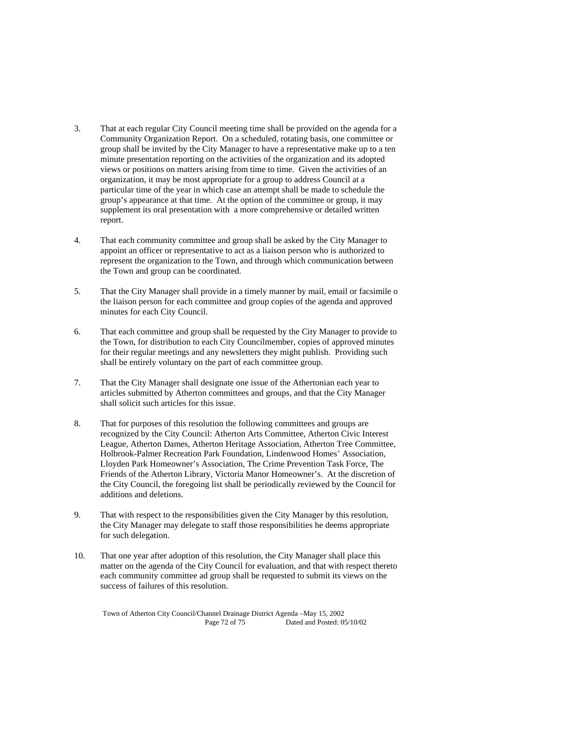- 3. That at each regular City Council meeting time shall be provided on the agenda for a Community Organization Report. On a scheduled, rotating basis, one committee or group shall be invited by the City Manager to have a representative make up to a ten minute presentation reporting on the activities of the organization and its adopted views or positions on matters arising from time to time. Given the activities of an organization, it may be most appropriate for a group to address Council at a particular time of the year in which case an attempt shall be made to schedule the group's appearance at that time. At the option of the committee or group, it may supplement its oral presentation with a more comprehensive or detailed written report.
- 4. That each community committee and group shall be asked by the City Manager to appoint an officer or representative to act as a liaison person who is authorized to represent the organization to the Town, and through which communication between the Town and group can be coordinated.
- 5. That the City Manager shall provide in a timely manner by mail, email or facsimile o the liaison person for each committee and group copies of the agenda and approved minutes for each City Council.
- 6. That each committee and group shall be requested by the City Manager to provide to the Town, for distribution to each City Councilmember, copies of approved minutes for their regular meetings and any newsletters they might publish. Providing such shall be entirely voluntary on the part of each committee group.
- 7. That the City Manager shall designate one issue of the Athertonian each year to articles submitted by Atherton committees and groups, and that the City Manager shall solicit such articles for this issue.
- 8. That for purposes of this resolution the following committees and groups are recognized by the City Council: Atherton Arts Committee, Atherton Civic Interest League, Atherton Dames, Atherton Heritage Association, Atherton Tree Committee, Holbrook-Palmer Recreation Park Foundation, Lindenwood Homes' Association, Lloyden Park Homeowner's Association, The Crime Prevention Task Force, The Friends of the Atherton Library, Victoria Manor Homeowner's. At the discretion of the City Council, the foregoing list shall be periodically reviewed by the Council for additions and deletions.
- 9. That with respect to the responsibilities given the City Manager by this resolution, the City Manager may delegate to staff those responsibilities he deems appropriate for such delegation.
- 10. That one year after adoption of this resolution, the City Manager shall place this matter on the agenda of the City Council for evaluation, and that with respect thereto each community committee ad group shall be requested to submit its views on the success of failures of this resolution.

Town of Atherton City Council/Channel Drainage District Agenda –May 15, 2002 Page 72 of 75 Dated and Posted: 05/10/02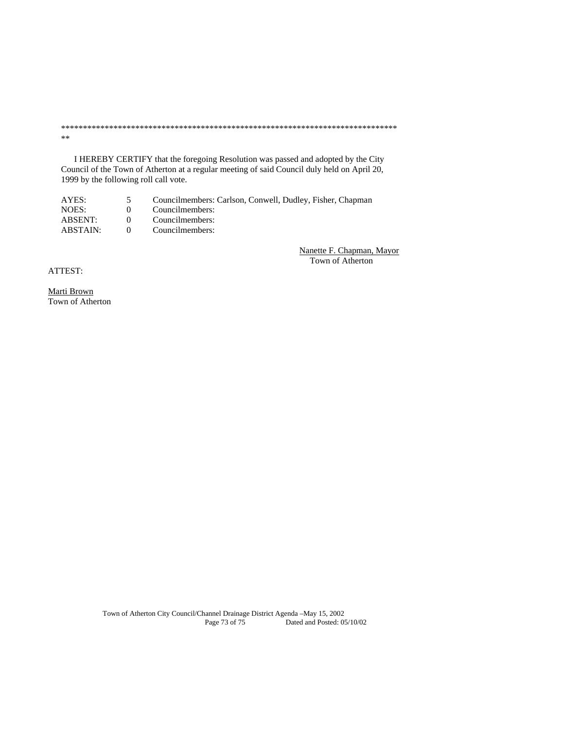\*\*\*\*\*\*\*\*\*\*\*\*\*\*\*\*\*\*\*\*\*\*\*\*\*\*\*\*\*\*\*\*\*\*\*\*\*\*\*\*\*\*\*\*\*\*\*\*\*\*\*\*\*\*\*\*\*\*\*\*\*\*\*\*\*\*\*\*\*\*\*\*\*\*\*\*\* \*\*

 I HEREBY CERTIFY that the foregoing Resolution was passed and adopted by the City Council of the Town of Atherton at a regular meeting of said Council duly held on April 20, 1999 by the following roll call vote.

| AYES:    |              | Councilmembers: Carlson, Conwell, Dudley, Fisher, Chapman |
|----------|--------------|-----------------------------------------------------------|
| NOES:    | $\mathbf{U}$ | Councilmembers:                                           |
| ABSENT:  | $\theta$     | Councilmembers:                                           |
| ABSTAIN: | $\theta$     | Councilmembers:                                           |
|          |              |                                                           |

Nanette F. Chapman, Mayor Town of Atherton

ATTEST:

Marti Brown Town of Atherton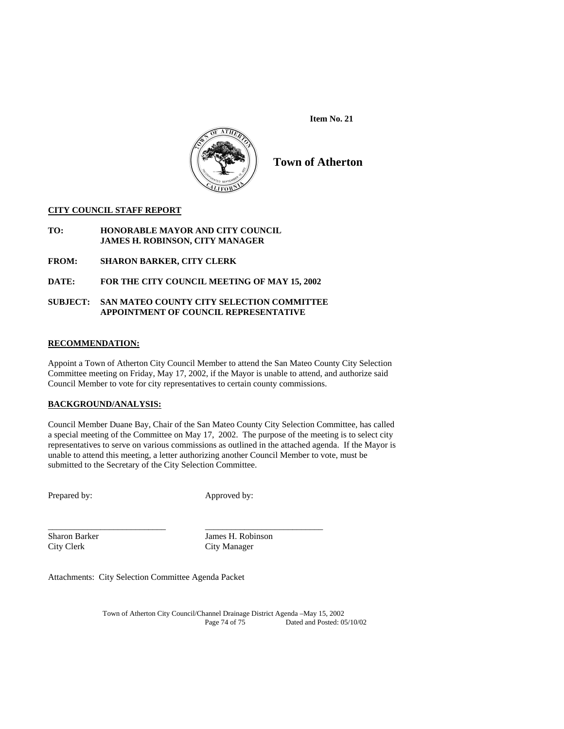**Item No. 21** 



# **Town of Atherton**

#### **CITY COUNCIL STAFF REPORT**

#### **TO: HONORABLE MAYOR AND CITY COUNCIL JAMES H. ROBINSON, CITY MANAGER**

**FROM: SHARON BARKER, CITY CLERK** 

## **DATE: FOR THE CITY COUNCIL MEETING OF MAY 15, 2002**

#### **SUBJECT: SAN MATEO COUNTY CITY SELECTION COMMITTEE APPOINTMENT OF COUNCIL REPRESENTATIVE**

#### **RECOMMENDATION:**

Appoint a Town of Atherton City Council Member to attend the San Mateo County City Selection Committee meeting on Friday, May 17, 2002, if the Mayor is unable to attend, and authorize said Council Member to vote for city representatives to certain county commissions.

#### **BACKGROUND/ANALYSIS:**

Council Member Duane Bay, Chair of the San Mateo County City Selection Committee, has called a special meeting of the Committee on May 17, 2002. The purpose of the meeting is to select city representatives to serve on various commissions as outlined in the attached agenda. If the Mayor is unable to attend this meeting, a letter authorizing another Council Member to vote, must be submitted to the Secretary of the City Selection Committee.

Prepared by: Approved by:

City Clerk City Manager

\_\_\_\_\_\_\_\_\_\_\_\_\_\_\_\_\_\_\_\_\_\_\_\_\_\_\_ \_\_\_\_\_\_\_\_\_\_\_\_\_\_\_\_\_\_\_\_\_\_\_\_\_\_\_ Sharon Barker James H. Robinson

Attachments: City Selection Committee Agenda Packet

Town of Atherton City Council/Channel Drainage District Agenda –May 15, 2002 Dated and Posted: 05/10/02